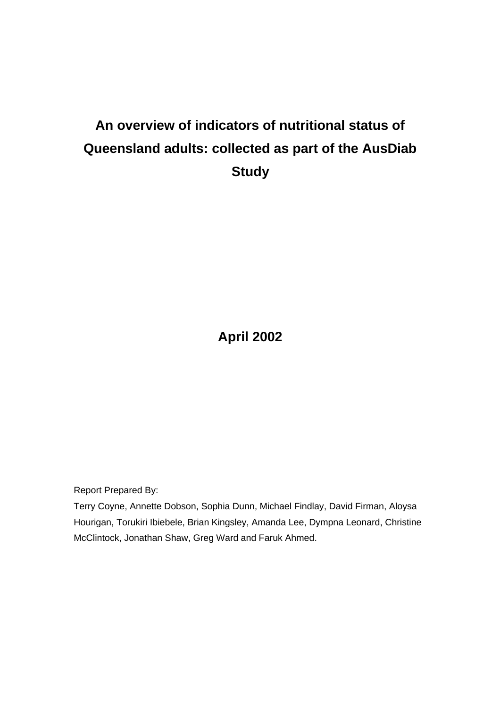# **An overview of indicators of nutritional status of Queensland adults: collected as part of the AusDiab Study**

**April 2002**

Report Prepared By:

Terry Coyne, Annette Dobson, Sophia Dunn, Michael Findlay, David Firman, Aloysa Hourigan, Torukiri Ibiebele, Brian Kingsley, Amanda Lee, Dympna Leonard, Christine McClintock, Jonathan Shaw, Greg Ward and Faruk Ahmed.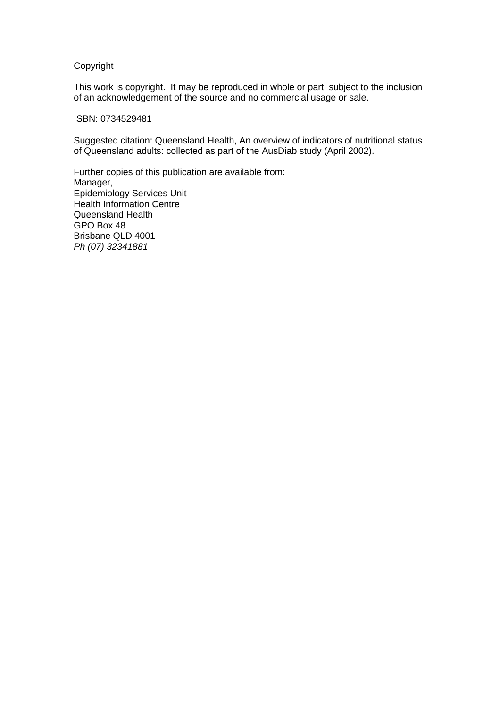#### Copyright

This work is copyright. It may be reproduced in whole or part, subject to the inclusion of an acknowledgement of the source and no commercial usage or sale.

#### ISBN: 0734529481

Suggested citation: Queensland Health, An overview of indicators of nutritional status of Queensland adults: collected as part of the AusDiab study (April 2002).

Further copies of this publication are available from: Manager, Epidemiology Services Unit Health Information Centre Queensland Health GPO Box 48 Brisbane QLD 4001 *Ph (07) 32341881*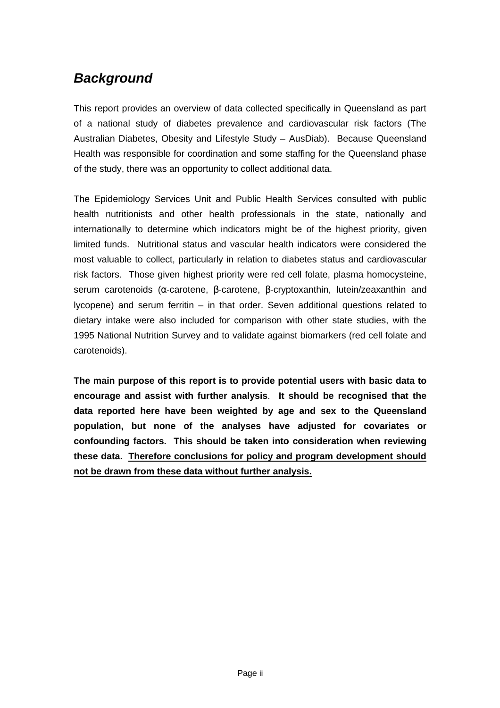## *Background*

This report provides an overview of data collected specifically in Queensland as part of a national study of diabetes prevalence and cardiovascular risk factors (The Australian Diabetes, Obesity and Lifestyle Study – AusDiab). Because Queensland Health was responsible for coordination and some staffing for the Queensland phase of the study, there was an opportunity to collect additional data.

The Epidemiology Services Unit and Public Health Services consulted with public health nutritionists and other health professionals in the state, nationally and internationally to determine which indicators might be of the highest priority, given limited funds. Nutritional status and vascular health indicators were considered the most valuable to collect, particularly in relation to diabetes status and cardiovascular risk factors. Those given highest priority were red cell folate, plasma homocysteine, serum carotenoids (α-carotene, β-carotene, β-cryptoxanthin, lutein/zeaxanthin and lycopene) and serum ferritin – in that order. Seven additional questions related to dietary intake were also included for comparison with other state studies, with the 1995 National Nutrition Survey and to validate against biomarkers (red cell folate and carotenoids).

**The main purpose of this report is to provide potential users with basic data to encourage and assist with further analysis**. **It should be recognised that the data reported here have been weighted by age and sex to the Queensland population, but none of the analyses have adjusted for covariates or confounding factors. This should be taken into consideration when reviewing these data. Therefore conclusions for policy and program development should not be drawn from these data without further analysis.**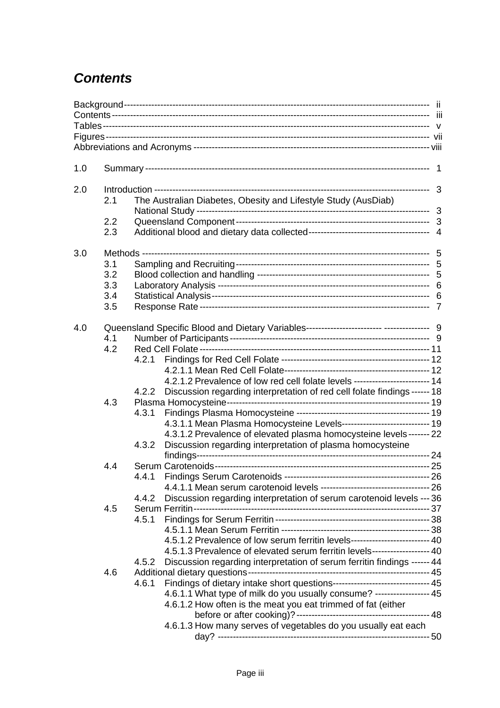## *Contents*

| 1.0 |     |       |                                                                               |  |  |
|-----|-----|-------|-------------------------------------------------------------------------------|--|--|
| 2.0 |     |       |                                                                               |  |  |
|     | 2.1 |       | The Australian Diabetes, Obesity and Lifestyle Study (AusDiab)                |  |  |
|     | 2.2 |       |                                                                               |  |  |
|     | 2.3 |       |                                                                               |  |  |
| 3.0 |     |       |                                                                               |  |  |
|     | 3.1 |       |                                                                               |  |  |
|     | 3.2 |       |                                                                               |  |  |
|     | 3.3 |       |                                                                               |  |  |
|     | 3.4 |       |                                                                               |  |  |
|     | 3.5 |       |                                                                               |  |  |
| 4.0 |     |       |                                                                               |  |  |
|     | 4.1 |       |                                                                               |  |  |
|     | 4.2 |       |                                                                               |  |  |
|     |     | 4.2.1 |                                                                               |  |  |
|     |     |       |                                                                               |  |  |
|     |     |       | 4.2.1.2 Prevalence of low red cell folate levels ------------------------- 14 |  |  |
|     |     | 4.2.2 | Discussion regarding interpretation of red cell folate findings ------ 18     |  |  |
|     | 4.3 |       |                                                                               |  |  |
|     |     | 4.3.1 |                                                                               |  |  |
|     |     |       | 4.3.1.1 Mean Plasma Homocysteine Levels---------------------------- 19        |  |  |
|     |     |       | 4.3.1.2 Prevalence of elevated plasma homocysteine levels ------- 22          |  |  |
|     |     | 4.3.2 | Discussion regarding interpretation of plasma homocysteine                    |  |  |
|     | 4.4 |       |                                                                               |  |  |
|     |     |       |                                                                               |  |  |
|     |     | 4.4.1 |                                                                               |  |  |
|     |     |       |                                                                               |  |  |
|     |     | 4.4.2 | Discussion regarding interpretation of serum carotenoid levels --- 36         |  |  |
|     | 4.5 |       |                                                                               |  |  |
|     |     |       |                                                                               |  |  |
|     |     |       |                                                                               |  |  |
|     |     |       | 4.5.1.2 Prevalence of low serum ferritin levels------------------------- 40   |  |  |
|     |     |       | 4.5.1.3 Prevalence of elevated serum ferritin levels------------------- 40    |  |  |
|     |     | 4.5.2 | Discussion regarding interpretation of serum ferritin findings ------ 44      |  |  |
|     | 4.6 |       |                                                                               |  |  |
|     |     | 4.6.1 | Findings of dietary intake short questions-------------------------------- 45 |  |  |
|     |     |       | 4.6.1.1 What type of milk do you usually consume? ----------------- 45        |  |  |
|     |     |       | 4.6.1.2 How often is the meat you eat trimmed of fat (either                  |  |  |
|     |     |       |                                                                               |  |  |
|     |     |       | 4.6.1.3 How many serves of vegetables do you usually eat each                 |  |  |
|     |     |       |                                                                               |  |  |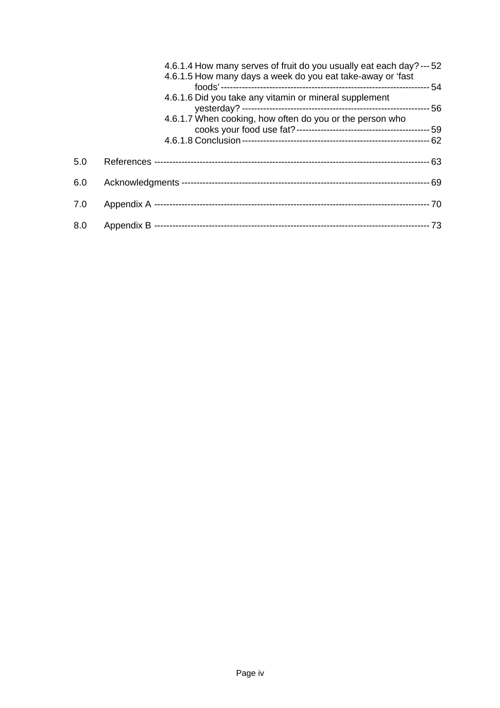|     | 4.6.1.4 How many serves of fruit do you usually eat each day? --- 52<br>4.6.1.5 How many days a week do you eat take-away or 'fast |
|-----|------------------------------------------------------------------------------------------------------------------------------------|
|     | 4.6.1.6 Did you take any vitamin or mineral supplement                                                                             |
|     | 4.6.1.7 When cooking, how often do you or the person who                                                                           |
| 5.0 |                                                                                                                                    |
| 6.0 | - 69                                                                                                                               |
| 7.0 |                                                                                                                                    |
| 8.0 |                                                                                                                                    |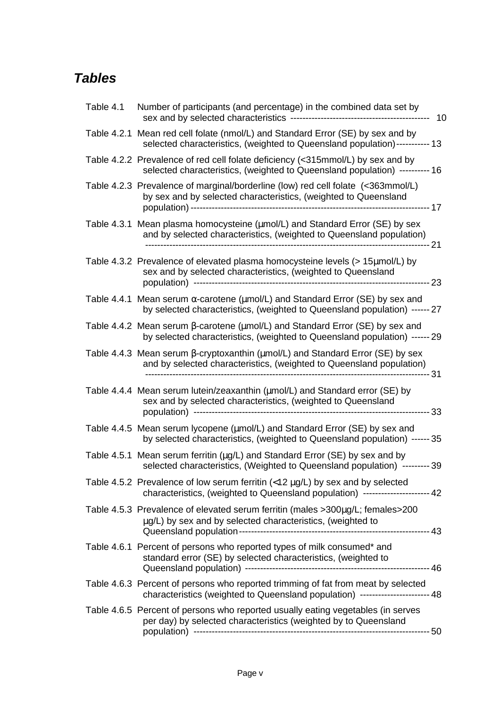## *Tables*

| Table 4.1 | Number of participants (and percentage) in the combined data set by<br>------ 10                                                                                                  |
|-----------|-----------------------------------------------------------------------------------------------------------------------------------------------------------------------------------|
|           | Table 4.2.1 Mean red cell folate (nmol/L) and Standard Error (SE) by sex and by<br>selected characteristics, (weighted to Queensland population)----------- 13                    |
|           | Table 4.2.2 Prevalence of red cell folate deficiency (<315mmol/L) by sex and by<br>selected characteristics, (weighted to Queensland population) ---------- 16                    |
|           | Table 4.2.3 Prevalence of marginal/borderline (low) red cell folate (<363mmol/L)<br>by sex and by selected characteristics, (weighted to Queensland                               |
|           | Table 4.3.1 Mean plasma homocysteine (umol/L) and Standard Error (SE) by sex<br>and by selected characteristics, (weighted to Queensland population)                              |
|           | Table 4.3.2 Prevalence of elevated plasma homocysteine levels (> 15µmol/L) by<br>sex and by selected characteristics, (weighted to Queensland                                     |
|           | Table 4.4.1 Mean serum $\alpha$ -carotene ( $\mu$ mol/L) and Standard Error (SE) by sex and<br>by selected characteristics, (weighted to Queensland population) ------ 27         |
|           | Table 4.4.2 Mean serum $\beta$ -carotene ( $\mu$ mol/L) and Standard Error (SE) by sex and<br>by selected characteristics, (weighted to Queensland population) ------ 29          |
|           | Table 4.4.3 Mean serum $\beta$ -cryptoxanthin ( $\mu$ mol/L) and Standard Error (SE) by sex<br>and by selected characteristics, (weighted to Queensland population)               |
|           | Table 4.4.4 Mean serum lutein/zeaxanthin (umol/L) and Standard error (SE) by<br>sex and by selected characteristics, (weighted to Queensland                                      |
|           | Table 4.4.5 Mean serum lycopene (umol/L) and Standard Error (SE) by sex and<br>by selected characteristics, (weighted to Queensland population) ------ 35                         |
|           | Table 4.5.1 Mean serum ferritin (µg/L) and Standard Error (SE) by sex and by<br>selected characteristics, (Weighted to Queensland population) --------- 39                        |
|           | Table 4.5.2 Prevalence of low serum ferritin $\langle 12 \mu g/L \rangle$ by sex and by selected<br>characteristics, (weighted to Queensland population) --------------------- 42 |
|           | Table 4.5.3 Prevalence of elevated serum ferritin (males >300µg/L; females>200<br>µg/L) by sex and by selected characteristics, (weighted to                                      |
|           | Table 4.6.1 Percent of persons who reported types of milk consumed* and<br>standard error (SE) by selected characteristics, (weighted to                                          |
|           | Table 4.6.3 Percent of persons who reported trimming of fat from meat by selected<br>characteristics (weighted to Queensland population) ---------------------- 48                |
|           | Table 4.6.5 Percent of persons who reported usually eating vegetables (in serves<br>per day) by selected characteristics (weighted by to Queensland                               |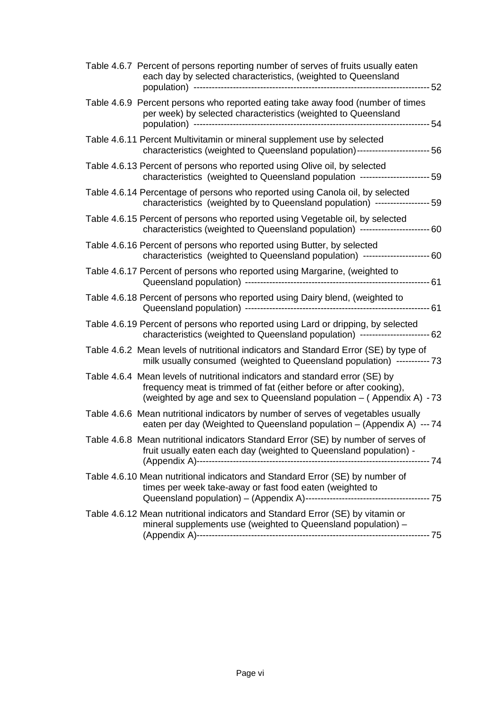| Table 4.6.7 Percent of persons reporting number of serves of fruits usually eaten<br>each day by selected characteristics, (weighted to Queensland                                                                          |  |
|-----------------------------------------------------------------------------------------------------------------------------------------------------------------------------------------------------------------------------|--|
| Table 4.6.9 Percent persons who reported eating take away food (number of times<br>per week) by selected characteristics (weighted to Queensland                                                                            |  |
| Table 4.6.11 Percent Multivitamin or mineral supplement use by selected<br>characteristics (weighted to Queensland population)------------------------ 56                                                                   |  |
| Table 4.6.13 Percent of persons who reported using Olive oil, by selected<br>characteristics (weighted to Queensland population ---------------------- 59                                                                   |  |
| Table 4.6.14 Percentage of persons who reported using Canola oil, by selected<br>characteristics (weighted by to Queensland population) ------------------ 59                                                               |  |
| Table 4.6.15 Percent of persons who reported using Vegetable oil, by selected<br>characteristics (weighted to Queensland population) --------------------------60                                                           |  |
| Table 4.6.16 Percent of persons who reported using Butter, by selected<br>characteristics (weighted to Queensland population) ---------------------- 60                                                                     |  |
| Table 4.6.17 Percent of persons who reported using Margarine, (weighted to                                                                                                                                                  |  |
| Table 4.6.18 Percent of persons who reported using Dairy blend, (weighted to                                                                                                                                                |  |
| Table 4.6.19 Percent of persons who reported using Lard or dripping, by selected<br>characteristics (weighted to Queensland population) ---------------------- 62                                                           |  |
| Table 4.6.2 Mean levels of nutritional indicators and Standard Error (SE) by type of<br>milk usually consumed (weighted to Queensland population) ----------- 73                                                            |  |
| Table 4.6.4 Mean levels of nutritional indicators and standard error (SE) by<br>frequency meat is trimmed of fat (either before or after cooking),<br>(weighted by age and sex to Queensland population - (Appendix A) - 73 |  |
| Table 4.6.6 Mean nutritional indicators by number of serves of vegetables usually<br>eaten per day (Weighted to Queensland population - (Appendix A) --- 74                                                                 |  |
| Table 4.6.8 Mean nutritional indicators Standard Error (SE) by number of serves of<br>fruit usually eaten each day (weighted to Queensland population) -                                                                    |  |
| Table 4.6.10 Mean nutritional indicators and Standard Error (SE) by number of<br>times per week take-away or fast food eaten (weighted to                                                                                   |  |
| Table 4.6.12 Mean nutritional indicators and Standard Error (SE) by vitamin or<br>mineral supplements use (weighted to Queensland population) -                                                                             |  |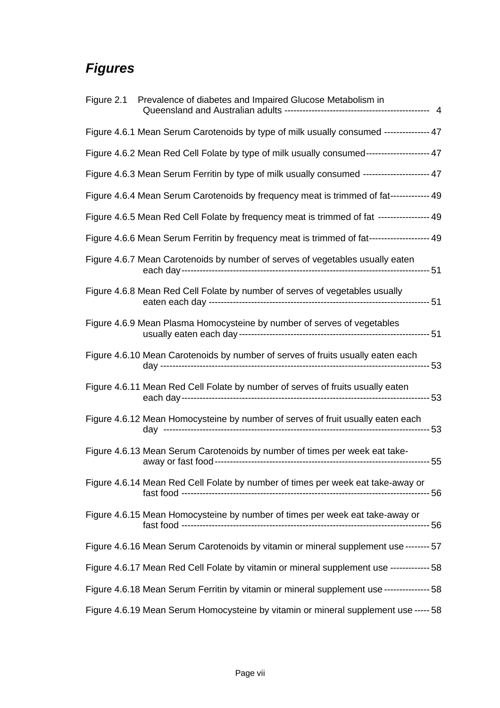## *Figures*

| Figure 2.1 Prevalence of diabetes and Impaired Glucose Metabolism in                        |  |
|---------------------------------------------------------------------------------------------|--|
| Figure 4.6.1 Mean Serum Carotenoids by type of milk usually consumed -------------- 47      |  |
| Figure 4.6.2 Mean Red Cell Folate by type of milk usually consumed-------------------- 47   |  |
| Figure 4.6.3 Mean Serum Ferritin by type of milk usually consumed --------------------- 47  |  |
| Figure 4.6.4 Mean Serum Carotenoids by frequency meat is trimmed of fat------------- 49     |  |
| Figure 4.6.5 Mean Red Cell Folate by frequency meat is trimmed of fat ----------------- 49  |  |
| Figure 4.6.6 Mean Serum Ferritin by frequency meat is trimmed of fat-------------------- 49 |  |
| Figure 4.6.7 Mean Carotenoids by number of serves of vegetables usually eaten               |  |
| Figure 4.6.8 Mean Red Cell Folate by number of serves of vegetables usually                 |  |
| Figure 4.6.9 Mean Plasma Homocysteine by number of serves of vegetables                     |  |
| Figure 4.6.10 Mean Carotenoids by number of serves of fruits usually eaten each             |  |
| Figure 4.6.11 Mean Red Cell Folate by number of serves of fruits usually eaten              |  |
| Figure 4.6.12 Mean Homocysteine by number of serves of fruit usually eaten each             |  |
| Figure 4.6.13 Mean Serum Carotenoids by number of times per week eat take-                  |  |
| Figure 4.6.14 Mean Red Cell Folate by number of times per week eat take-away or             |  |
| Figure 4.6.15 Mean Homocysteine by number of times per week eat take-away or                |  |
| Figure 4.6.16 Mean Serum Carotenoids by vitamin or mineral supplement use -------- 57       |  |
| Figure 4.6.17 Mean Red Cell Folate by vitamin or mineral supplement use ------------- 58    |  |
| Figure 4.6.18 Mean Serum Ferritin by vitamin or mineral supplement use --------------- 58   |  |
| Figure 4.6.19 Mean Serum Homocysteine by vitamin or mineral supplement use ----- 58         |  |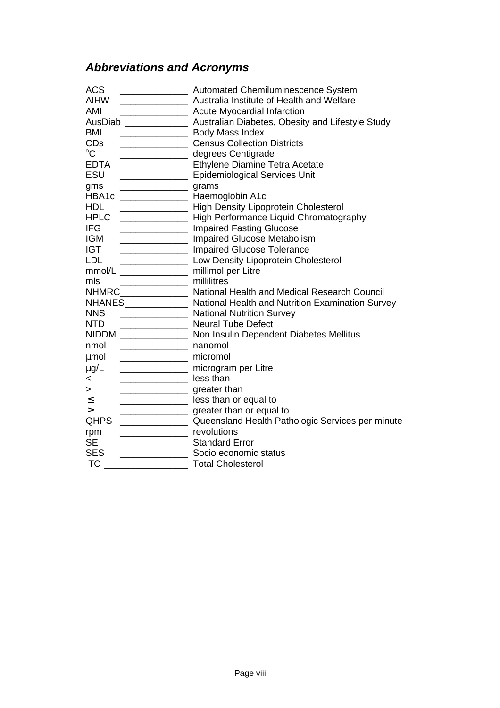## *Abbreviations and Acronyms*

| <b>ACS</b><br><b>AIHW</b><br>AMI                         | <b>Automated Chemiluminescence System</b><br>Australia Institute of Health and Welfare<br><b>Acute Myocardial Infarction</b> |
|----------------------------------------------------------|------------------------------------------------------------------------------------------------------------------------------|
|                                                          | AusDiab _______________________ Australian Diabetes, Obesity and Lifestyle Study                                             |
| <b>BMI</b>                                               | <b>Example 2014</b> Body Mass Index                                                                                          |
| <b>CD<sub>s</sub></b>                                    | <b>Census Collection Districts</b>                                                                                           |
| $\rm ^{o}C$                                              | degrees Centigrade                                                                                                           |
| <b>EDTA</b>                                              | <b>Ethylene Diamine Tetra Acetate</b> Christene Diamine Tetra Acetate                                                        |
| ESU                                                      | Epidemiological Services Unit                                                                                                |
| grams<br>gms                                             |                                                                                                                              |
| HBA1c _______________ Haemoglobin A1c                    |                                                                                                                              |
| <b>HDL</b><br><u> 1989 - Johann Barbara, martin eta </u> | <b>High Density Lipoprotein Cholesterol</b>                                                                                  |
| <b>HPLC</b>                                              | High Performance Liquid Chromatography                                                                                       |
| <b>IFG</b>                                               | <b>Impaired Fasting Glucose</b>                                                                                              |
| <b>IGM</b>                                               | <b>Impaired Glucose Metabolism</b>                                                                                           |
| <b>IGT</b>                                               | <b>Impaired Glucose Tolerance</b>                                                                                            |
| <b>LDL</b><br>______________________________             | Low Density Lipoprotein Cholesterol                                                                                          |
| $mmol/L$ _________________                               | millimol per Litre                                                                                                           |
| mls                                                      | millilitres                                                                                                                  |
|                                                          | NHMRC________________ National Health and Medical Research Council                                                           |
|                                                          | NHANES ______________ National Health and Nutrition Examination Survey                                                       |
| <b>NNS</b>                                               | <b>National Nutrition Survey</b>                                                                                             |
| <b>NTD</b>                                               | <b>Neural Tube Defect</b>                                                                                                    |
|                                                          | NIDDM ______________ Non Insulin Dependent Diabetes Mellitus                                                                 |
| nanomol<br>nmol                                          |                                                                                                                              |
| micromol<br><b>µmol</b>                                  |                                                                                                                              |
| $\mu$ g/L                                                | microgram per Litre                                                                                                          |
| less than<br>$\,<\,$                                     |                                                                                                                              |
| greater than<br>>                                        |                                                                                                                              |
| $\leq$                                                   | <b>EXAMPLE SET ASS</b> less than or equal to                                                                                 |
| $\geq$                                                   | greater than or equal to                                                                                                     |
| <b>QHPS</b>                                              | Queensland Health Pathologic Services per minute                                                                             |
| rpm                                                      | revolutions                                                                                                                  |
| <b>SE</b>                                                | <b>Standard Error</b>                                                                                                        |
| <b>SES</b>                                               | Socio economic status                                                                                                        |
| <b>TC</b>                                                | <b>Total Cholesterol</b>                                                                                                     |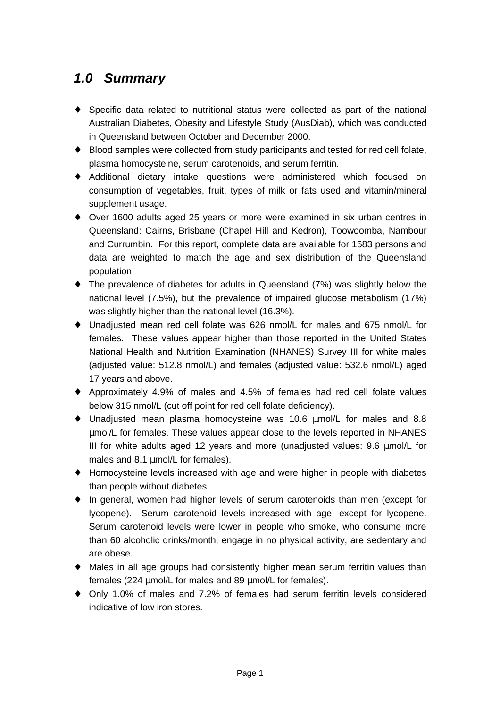## *1.0 Summary*

- ♦ Specific data related to nutritional status were collected as part of the national Australian Diabetes, Obesity and Lifestyle Study (AusDiab), which was conducted in Queensland between October and December 2000.
- ♦ Blood samples were collected from study participants and tested for red cell folate, plasma homocysteine, serum carotenoids, and serum ferritin.
- ♦ Additional dietary intake questions were administered which focused on consumption of vegetables, fruit, types of milk or fats used and vitamin/mineral supplement usage.
- ♦ Over 1600 adults aged 25 years or more were examined in six urban centres in Queensland: Cairns, Brisbane (Chapel Hill and Kedron), Toowoomba, Nambour and Currumbin. For this report, complete data are available for 1583 persons and data are weighted to match the age and sex distribution of the Queensland population.
- $\bullet$  The prevalence of diabetes for adults in Queensland (7%) was slightly below the national level (7.5%), but the prevalence of impaired glucose metabolism (17%) was slightly higher than the national level (16.3%).
- ♦ Unadjusted mean red cell folate was 626 nmol/L for males and 675 nmol/L for females. These values appear higher than those reported in the United States National Health and Nutrition Examination (NHANES) Survey III for white males (adjusted value: 512.8 nmol/L) and females (adjusted value: 532.6 nmol/L) aged 17 years and above.
- ♦ Approximately 4.9% of males and 4.5% of females had red cell folate values below 315 nmol/L (cut off point for red cell folate deficiency).
- ♦ Unadjusted mean plasma homocysteine was 10.6 μmol/L for males and 8.8 μmol/L for females. These values appear close to the levels reported in NHANES III for white adults aged 12 years and more (unadjusted values: 9.6 μmol/L for males and 8.1 μmol/L for females).
- ♦ Homocysteine levels increased with age and were higher in people with diabetes than people without diabetes.
- ♦ In general, women had higher levels of serum carotenoids than men (except for lycopene). Serum carotenoid levels increased with age, except for lycopene. Serum carotenoid levels were lower in people who smoke, who consume more than 60 alcoholic drinks/month, engage in no physical activity, are sedentary and are obese.
- ♦ Males in all age groups had consistently higher mean serum ferritin values than females (224 μmol/L for males and 89 μmol/L for females).
- ♦ Only 1.0% of males and 7.2% of females had serum ferritin levels considered indicative of low iron stores.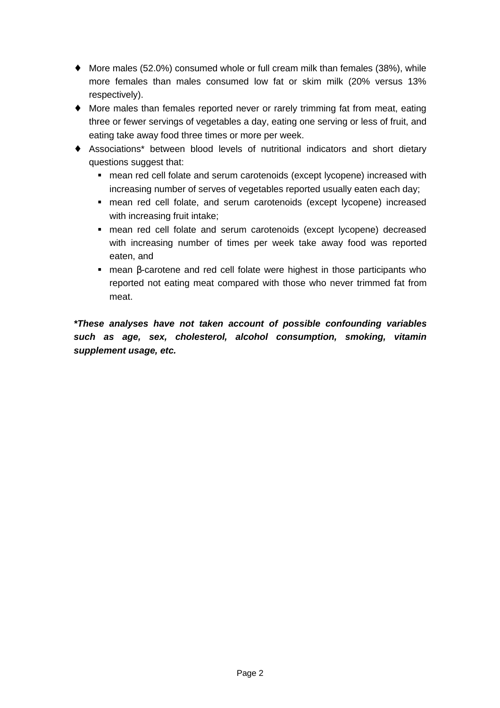- $\blacklozenge$  More males (52.0%) consumed whole or full cream milk than females (38%), while more females than males consumed low fat or skim milk (20% versus 13% respectively).
- ♦ More males than females reported never or rarely trimming fat from meat, eating three or fewer servings of vegetables a day, eating one serving or less of fruit, and eating take away food three times or more per week.
- ♦ Associations\* between blood levels of nutritional indicators and short dietary questions suggest that:
	- **n** mean red cell folate and serum carotenoids (except lycopene) increased with increasing number of serves of vegetables reported usually eaten each day;
	- mean red cell folate, and serum carotenoids (except lycopene) increased with increasing fruit intake;
	- **•** mean red cell folate and serum carotenoids (except lycopene) decreased with increasing number of times per week take away food was reported eaten, and
	- $\blacksquare$  mean  $\beta$ -carotene and red cell folate were highest in those participants who reported not eating meat compared with those who never trimmed fat from meat.

*\*These analyses have not taken account of possible confounding variables such as age, sex, cholesterol, alcohol consumption, smoking, vitamin supplement usage, etc.*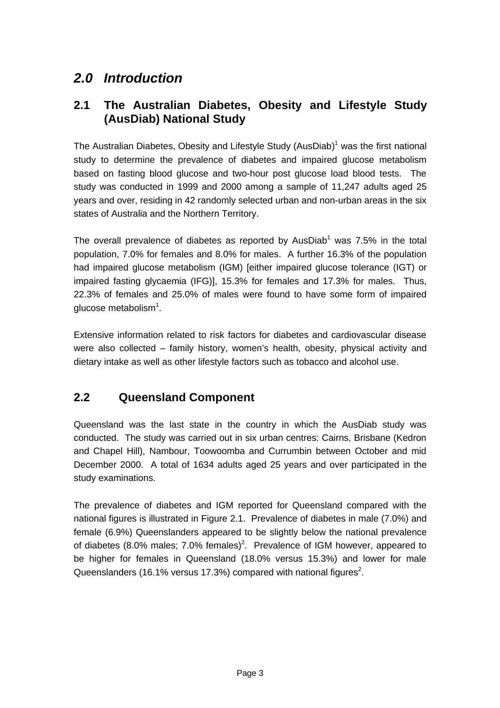## *2.0 Introduction*

### **2.1 The Australian Diabetes, Obesity and Lifestyle Study (AusDiab) National Study**

The Australian Diabetes, Obesity and Lifestyle Study (AusDiab)<sup>1</sup> was the first national study to determine the prevalence of diabetes and impaired glucose metabolism based on fasting blood glucose and two-hour post glucose load blood tests. The study was conducted in 1999 and 2000 among a sample of 11,247 adults aged 25 years and over, residing in 42 randomly selected urban and non-urban areas in the six states of Australia and the Northern Territory.

The overall prevalence of diabetes as reported by AusDiab<sup>1</sup> was 7.5% in the total population, 7.0% for females and 8.0% for males. A further 16.3% of the population had impaired glucose metabolism (IGM) [either impaired glucose tolerance (IGT) or impaired fasting glycaemia (IFG)], 15.3% for females and 17.3% for males. Thus, 22.3% of females and 25.0% of males were found to have some form of impaired glucose metabolism $^1$ .

Extensive information related to risk factors for diabetes and cardiovascular disease were also collected – family history, women's health, obesity, physical activity and dietary intake as well as other lifestyle factors such as tobacco and alcohol use.

## **2.2 Queensland Component**

Queensland was the last state in the country in which the AusDiab study was conducted. The study was carried out in six urban centres: Cairns, Brisbane (Kedron and Chapel Hill), Nambour, Toowoomba and Currumbin between October and mid December 2000. A total of 1634 adults aged 25 years and over participated in the study examinations.

The prevalence of diabetes and IGM reported for Queensland compared with the national figures is illustrated in Figure 2.1. Prevalence of diabetes in male (7.0%) and female (6.9%) Queenslanders appeared to be slightly below the national prevalence of diabetes (8.0% males; 7.0% females)<sup>2</sup>. Prevalence of IGM however, appeared to be higher for females in Queensland (18.0% versus 15.3%) and lower for male Queenslanders (16.1% versus 17.3%) compared with national figures<sup>2</sup>.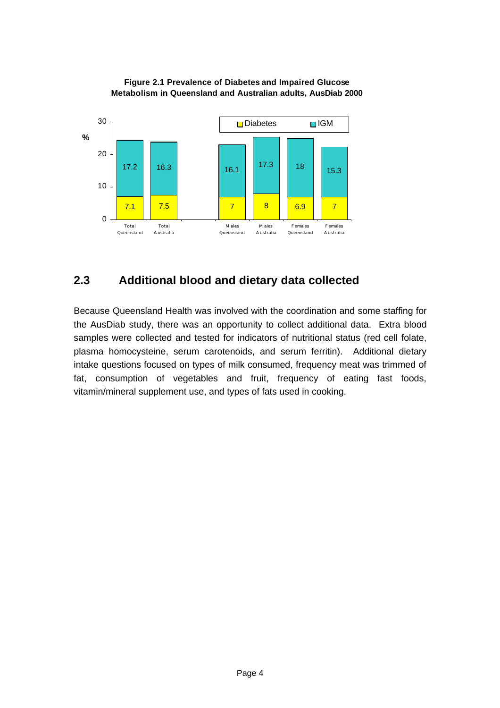



### **2.3 Additional blood and dietary data collected**

Because Queensland Health was involved with the coordination and some staffing for the AusDiab study, there was an opportunity to collect additional data. Extra blood samples were collected and tested for indicators of nutritional status (red cell folate, plasma homocysteine, serum carotenoids, and serum ferritin). Additional dietary intake questions focused on types of milk consumed, frequency meat was trimmed of fat, consumption of vegetables and fruit, frequency of eating fast foods, vitamin/mineral supplement use, and types of fats used in cooking.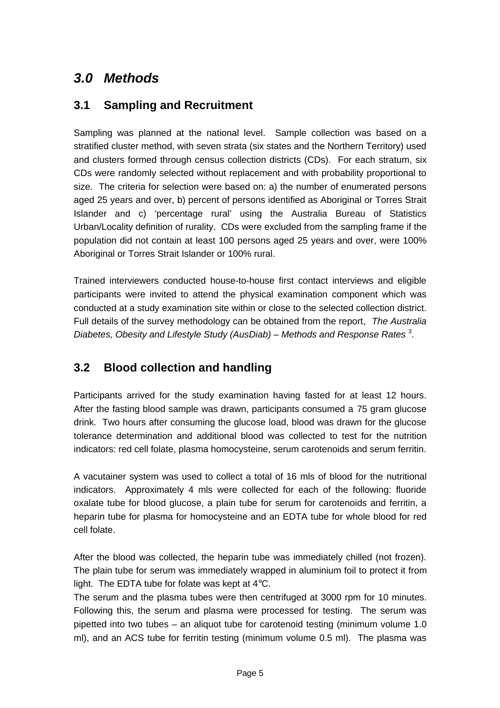## *3.0 Methods*

### **3.1 Sampling and Recruitment**

Sampling was planned at the national level. Sample collection was based on a stratified cluster method, with seven strata (six states and the Northern Territory) used and clusters formed through census collection districts (CDs). For each stratum, six CDs were randomly selected without replacement and with probability proportional to size. The criteria for selection were based on: a) the number of enumerated persons aged 25 years and over, b) percent of persons identified as Aboriginal or Torres Strait Islander and c) 'percentage rural' using the Australia Bureau of Statistics Urban/Locality definition of rurality. CDs were excluded from the sampling frame if the population did not contain at least 100 persons aged 25 years and over, were 100% Aboriginal or Torres Strait Islander or 100% rural.

Trained interviewers conducted house-to-house first contact interviews and eligible participants were invited to attend the physical examination component which was conducted at a study examination site within or close to the selected collection district. Full details of the survey methodology can be obtained from the report, *The Australia* Diabetes, Obesity and Lifestyle Study (AusDiab) – Methods and Response Rates<sup>3</sup>.

## **3.2 Blood collection and handling**

Participants arrived for the study examination having fasted for at least 12 hours. After the fasting blood sample was drawn, participants consumed a 75 gram glucose drink. Two hours after consuming the glucose load, blood was drawn for the glucose tolerance determination and additional blood was collected to test for the nutrition indicators: red cell folate, plasma homocysteine, serum carotenoids and serum ferritin.

A vacutainer system was used to collect a total of 16 mls of blood for the nutritional indicators. Approximately 4 mls were collected for each of the following: fluoride oxalate tube for blood glucose, a plain tube for serum for carotenoids and ferritin, a heparin tube for plasma for homocysteine and an EDTA tube for whole blood for red cell folate.

After the blood was collected, the heparin tube was immediately chilled (not frozen). The plain tube for serum was immediately wrapped in aluminium foil to protect it from light. The EDTA tube for folate was kept at 4°C.

The serum and the plasma tubes were then centrifuged at 3000 rpm for 10 minutes. Following this, the serum and plasma were processed for testing. The serum was pipetted into two tubes – an aliquot tube for carotenoid testing (minimum volume 1.0 ml), and an ACS tube for ferritin testing (minimum volume 0.5 ml). The plasma was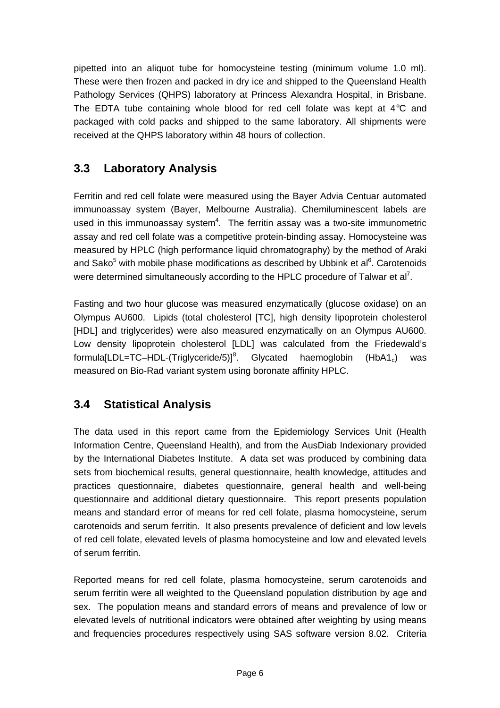pipetted into an aliquot tube for homocysteine testing (minimum volume 1.0 ml). These were then frozen and packed in dry ice and shipped to the Queensland Health Pathology Services (QHPS) laboratory at Princess Alexandra Hospital, in Brisbane. The EDTA tube containing whole blood for red cell folate was kept at 4°C and packaged with cold packs and shipped to the same laboratory. All shipments were received at the QHPS laboratory within 48 hours of collection.

## **3.3 Laboratory Analysis**

Ferritin and red cell folate were measured using the Bayer Advia Centuar automated immunoassay system (Bayer, Melbourne Australia). Chemiluminescent labels are used in this immunoassay system $4$ . The ferritin assay was a two-site immunometric assay and red cell folate was a competitive protein-binding assay. Homocysteine was measured by HPLC (high performance liquid chromatography) by the method of Araki and Sako<sup>5</sup> with mobile phase modifications as described by Ubbink et al<sup>6</sup>. Carotenoids were determined simultaneously according to the HPLC procedure of Talwar et al<sup>7</sup>.

Fasting and two hour glucose was measured enzymatically (glucose oxidase) on an Olympus AU600. Lipids (total cholesterol [TC], high density lipoprotein cholesterol [HDL] and triglycerides) were also measured enzymatically on an Olympus AU600. Low density lipoprotein cholesterol [LDL] was calculated from the Friedewald's formula[LDL=TC–HDL-(Triglyceride/5)]<sup>8</sup>. Glycated haemoglobin  $(HbA1_c)$  was measured on Bio-Rad variant system using boronate affinity HPLC.

## **3.4 Statistical Analysis**

The data used in this report came from the Epidemiology Services Unit (Health Information Centre, Queensland Health), and from the AusDiab Indexionary provided by the International Diabetes Institute. A data set was produced by combining data sets from biochemical results, general questionnaire, health knowledge, attitudes and practices questionnaire, diabetes questionnaire, general health and well-being questionnaire and additional dietary questionnaire. This report presents population means and standard error of means for red cell folate, plasma homocysteine, serum carotenoids and serum ferritin. It also presents prevalence of deficient and low levels of red cell folate, elevated levels of plasma homocysteine and low and elevated levels of serum ferritin.

Reported means for red cell folate, plasma homocysteine, serum carotenoids and serum ferritin were all weighted to the Queensland population distribution by age and sex. The population means and standard errors of means and prevalence of low or elevated levels of nutritional indicators were obtained after weighting by using means and frequencies procedures respectively using SAS software version 8.02. Criteria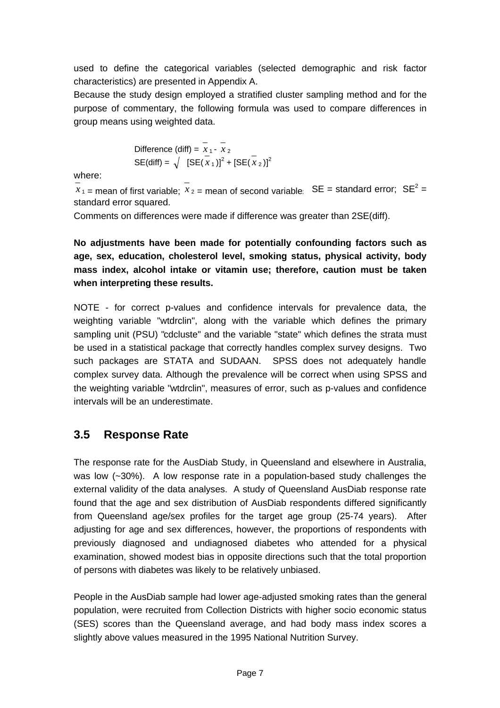used to define the categorical variables (selected demographic and risk factor characteristics) are presented in Appendix A.

Because the study design employed a stratified cluster sampling method and for the purpose of commentary, the following formula was used to compare differences in group means using weighted data.

Difference (diff) = 
$$
\overline{x}_1 - \overline{x}_2
$$
  
SE(diff) =  $\sqrt{\left[SE(\overline{x}_1)\right]^2 + \left[SE(\overline{x}_2)\right]^2}$ 

where:

 $x_1$  = mean of first variable;  $x_2$  = mean of second variable;  $\text{SE} = \text{standard error}$ ;  $\text{SE}^2 = \text{constant}$ standard error squared.

Comments on differences were made if difference was greater than 2SE(diff).

**No adjustments have been made for potentially confounding factors such as age, sex, education, cholesterol level, smoking status, physical activity, body mass index, alcohol intake or vitamin use; therefore, caution must be taken when interpreting these results.**

NOTE - for correct p-values and confidence intervals for prevalence data, the weighting variable "wtdrclin", along with the variable which defines the primary sampling unit (PSU) "cdcluste" and the variable "state" which defines the strata must be used in a statistical package that correctly handles complex survey designs. Two such packages are STATA and SUDAAN. SPSS does not adequately handle complex survey data. Although the prevalence will be correct when using SPSS and the weighting variable "wtdrclin", measures of error, such as p-values and confidence intervals will be an underestimate.

### **3.5 Response Rate**

The response rate for the AusDiab Study, in Queensland and elsewhere in Australia, was low (~30%). A low response rate in a population-based study challenges the external validity of the data analyses. A study of Queensland AusDiab response rate found that the age and sex distribution of AusDiab respondents differed significantly from Queensland age/sex profiles for the target age group (25-74 years). After adjusting for age and sex differences, however, the proportions of respondents with previously diagnosed and undiagnosed diabetes who attended for a physical examination, showed modest bias in opposite directions such that the total proportion of persons with diabetes was likely to be relatively unbiased.

People in the AusDiab sample had lower age-adjusted smoking rates than the general population, were recruited from Collection Districts with higher socio economic status (SES) scores than the Queensland average, and had body mass index scores a slightly above values measured in the 1995 National Nutrition Survey.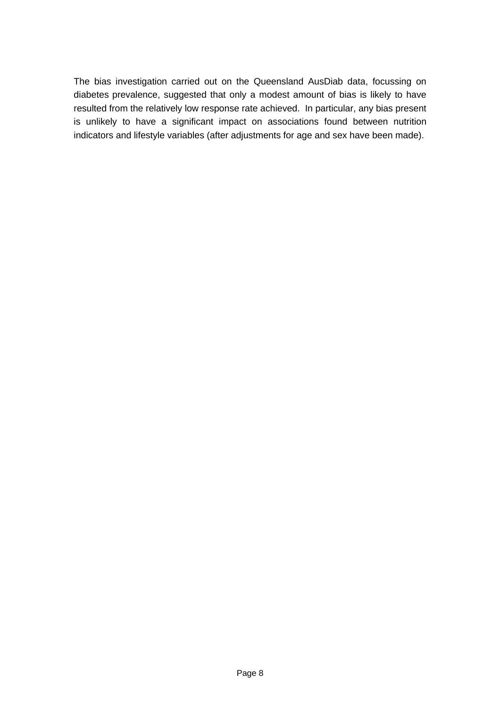The bias investigation carried out on the Queensland AusDiab data, focussing on diabetes prevalence, suggested that only a modest amount of bias is likely to have resulted from the relatively low response rate achieved. In particular, any bias present is unlikely to have a significant impact on associations found between nutrition indicators and lifestyle variables (after adjustments for age and sex have been made).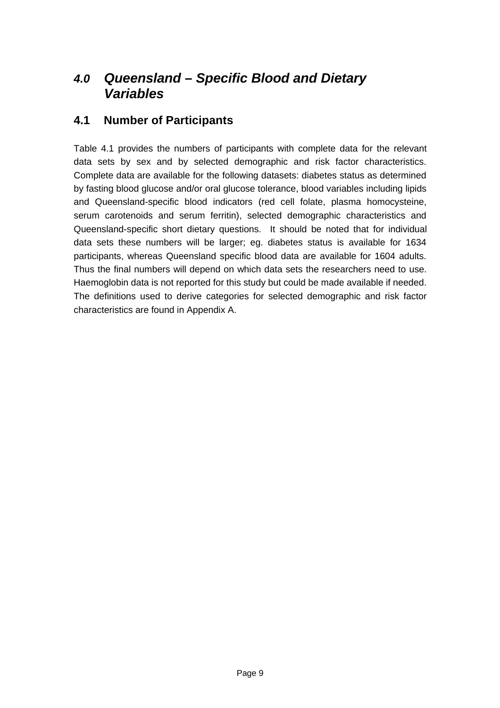## *4.0 Queensland – Specific Blood and Dietary Variables*

### **4.1 Number of Participants**

Table 4.1 provides the numbers of participants with complete data for the relevant data sets by sex and by selected demographic and risk factor characteristics. Complete data are available for the following datasets: diabetes status as determined by fasting blood glucose and/or oral glucose tolerance, blood variables including lipids and Queensland-specific blood indicators (red cell folate, plasma homocysteine, serum carotenoids and serum ferritin), selected demographic characteristics and Queensland-specific short dietary questions. It should be noted that for individual data sets these numbers will be larger; eg. diabetes status is available for 1634 participants, whereas Queensland specific blood data are available for 1604 adults. Thus the final numbers will depend on which data sets the researchers need to use. Haemoglobin data is not reported for this study but could be made available if needed. The definitions used to derive categories for selected demographic and risk factor characteristics are found in Appendix A.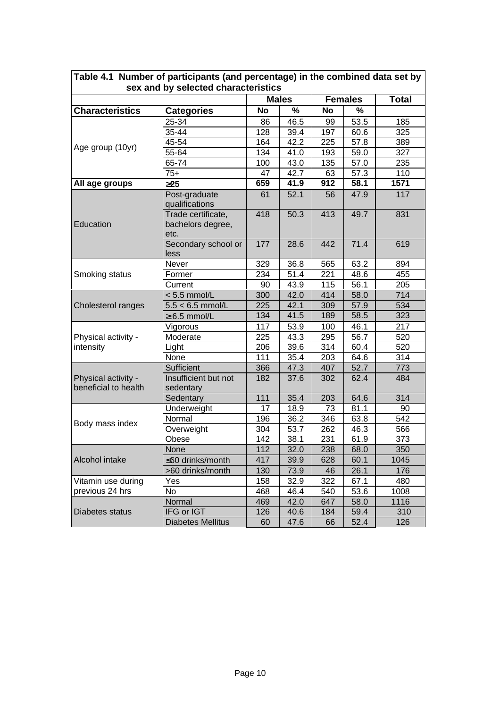|                                             |                                                 |           | <b>Males</b> | <b>Females</b> |      | <b>Total</b>     |
|---------------------------------------------|-------------------------------------------------|-----------|--------------|----------------|------|------------------|
| <b>Characteristics</b>                      | <b>Categories</b>                               | <b>No</b> | $\%$         | <b>No</b>      | $\%$ |                  |
|                                             | 25-34                                           | 86        | 46.5         | 99             | 53.5 | 185              |
|                                             | 35-44                                           | 128       | 39.4         | 197            | 60.6 | 325              |
|                                             | 45-54                                           | 164       | 42.2         | 225            | 57.8 | 389              |
| Age group (10yr)                            | 55-64                                           | 134       | 41.0         | 193            | 59.0 | 327              |
|                                             | 65-74                                           | 100       | 43.0         | 135            | 57.0 | 235              |
|                                             | $75+$                                           | 47        | 42.7         | 63             | 57.3 | 110              |
| All age groups                              | 325                                             | 659       | 41.9         | 912            | 58.1 | 1571             |
|                                             | Post-graduate<br>qualifications                 | 61        | 52.1         | 56             | 47.9 | 117              |
| Education                                   | Trade certificate,<br>bachelors degree,<br>etc. | 418       | 50.3         | 413            | 49.7 | 831              |
|                                             | Secondary school or<br>less                     | 177       | 28.6         | 442            | 71.4 | 619              |
|                                             | Never                                           | 329       | 36.8         | 565            | 63.2 | 894              |
| Smoking status                              | Former                                          | 234       | 51.4         | 221            | 48.6 | 455              |
|                                             | Current                                         | 90        | 43.9         | 115            | 56.1 | 205              |
|                                             | $< 5.5$ mmol/L                                  | 300       | 42.0         | 414            | 58.0 | $\overline{714}$ |
| Cholesterol ranges                          | $5.5 < 6.5$ mmol/L                              | 225       | 42.1         | 309            | 57.9 | 534              |
|                                             | $\geq 6.5$ mmol/L                               | 134       | 41.5         | 189            | 58.5 | 323              |
|                                             | Vigorous                                        | 117       | 53.9         | 100            | 46.1 | 217              |
| Physical activity -                         | Moderate                                        | 225       | 43.3         | 295            | 56.7 | 520              |
| intensity                                   | Light                                           | 206       | 39.6         | 314            | 60.4 | 520              |
|                                             | None                                            | 111       | 35.4         | 203            | 64.6 | 314              |
|                                             | Sufficient                                      | 366       | 47.3         | 407            | 52.7 | 773              |
| Physical activity -<br>beneficial to health | Insufficient but not<br>sedentary               | 182       | 37.6         | 302            | 62.4 | 484              |
|                                             | Sedentary                                       | 111       | 35.4         | 203            | 64.6 | 314              |
|                                             | Underweight                                     | 17        | 18.9         | 73             | 81.1 | 90               |
|                                             | Normal                                          | 196       | 36.2         | 346            | 63.8 | 542              |
| Body mass index                             | Overweight                                      | 304       | 53.7         | 262            | 46.3 | 566              |
|                                             | Obese                                           | 142       | 38.1         | 231            | 61.9 | 373              |
|                                             | None                                            | 112       | 32.0         | 238            | 68.0 | 350              |
| Alcohol intake                              | ≤60 drinks/month                                | 417       | 39.9         | 628            | 60.1 | 1045             |
|                                             | >60 drinks/month                                | 130       | 73.9         | 46             | 26.1 | 176              |
| Vitamin use during                          | Yes                                             | 158       | 32.9         | 322            | 67.1 | 480              |
| previous 24 hrs                             | No                                              | 468       | 46.4         | 540            | 53.6 | 1008             |
|                                             | Normal                                          | 469       | 42.0         | 647            | 58.0 | 1116             |
| Diabetes status                             | IFG or IGT                                      | 126       | 40.6         | 184            | 59.4 | 310              |
|                                             | <b>Diabetes Mellitus</b>                        | 60        | 47.6         | 66             | 52.4 | 126              |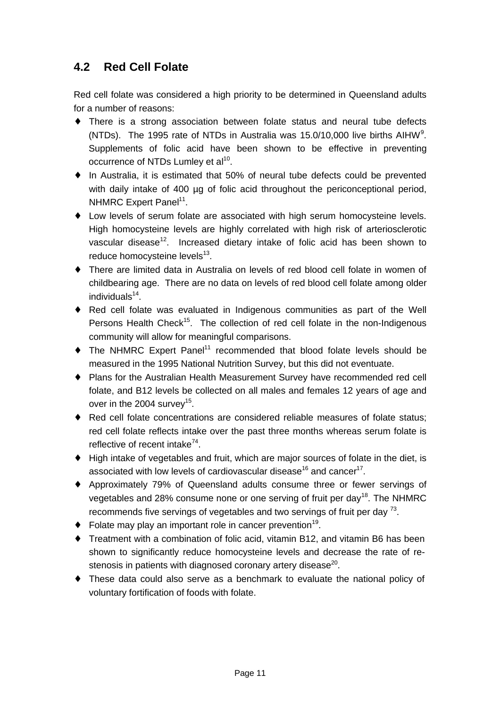## **4.2 Red Cell Folate**

Red cell folate was considered a high priority to be determined in Queensland adults for a number of reasons:

- ♦ There is a strong association between folate status and neural tube defects (NTDs). The 1995 rate of NTDs in Australia was 15.0/10,000 live births AIHW<sup>9</sup>. Supplements of folic acid have been shown to be effective in preventing occurrence of NTDs Lumley et al $^{10}$ .
- ♦ In Australia, it is estimated that 50% of neural tube defects could be prevented with daily intake of 400 µg of folic acid throughout the periconceptional period, NHMRC Expert Panel<sup>11</sup>.
- ♦ Low levels of serum folate are associated with high serum homocysteine levels. High homocysteine levels are highly correlated with high risk of arteriosclerotic vascular disease<sup>12</sup>. Increased dietary intake of folic acid has been shown to reduce homocysteine levels<sup>13</sup>.
- ♦ There are limited data in Australia on levels of red blood cell folate in women of childbearing age. There are no data on levels of red blood cell folate among older individuals<sup>14</sup>.
- ♦ Red cell folate was evaluated in Indigenous communities as part of the Well Persons Health Check<sup>15</sup>. The collection of red cell folate in the non-Indigenous community will allow for meaningful comparisons.
- $\bullet$  The NHMRC Expert Panel<sup>11</sup> recommended that blood folate levels should be measured in the 1995 National Nutrition Survey, but this did not eventuate.
- ♦ Plans for the Australian Health Measurement Survey have recommended red cell folate, and B12 levels be collected on all males and females 12 years of age and over in the 2004 survey $^{15}$ .
- ♦ Red cell folate concentrations are considered reliable measures of folate status; red cell folate reflects intake over the past three months whereas serum folate is reflective of recent intake<sup>74</sup>.
- ♦ High intake of vegetables and fruit, which are major sources of folate in the diet, is associated with low levels of cardiovascular disease $^{16}$  and cancer $^{17}$ .
- ♦ Approximately 79% of Queensland adults consume three or fewer servings of vegetables and 28% consume none or one serving of fruit per day<sup>18</sup>. The NHMRC recommends five servings of vegetables and two servings of fruit per day  $^{73}$ .
- $\bullet$  Folate may play an important role in cancer prevention<sup>19</sup>.
- ♦ Treatment with a combination of folic acid, vitamin B12, and vitamin B6 has been shown to significantly reduce homocysteine levels and decrease the rate of restenosis in patients with diagnosed coronary artery disease<sup>20</sup>.
- ♦ These data could also serve as a benchmark to evaluate the national policy of voluntary fortification of foods with folate.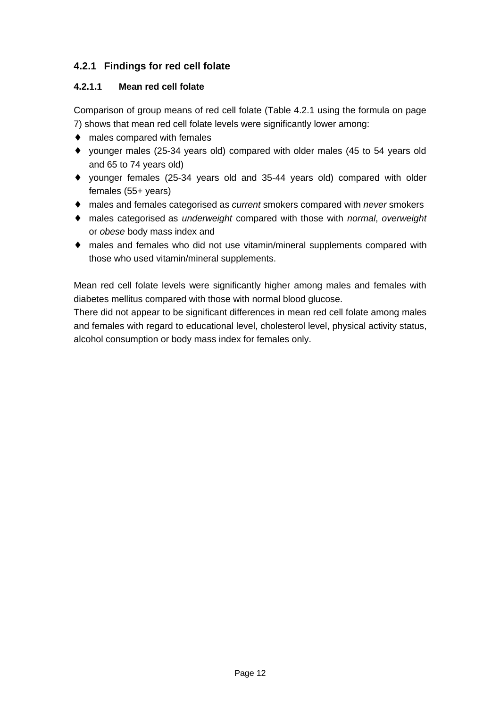### **4.2.1 Findings for red cell folate**

#### **4.2.1.1 Mean red cell folate**

Comparison of group means of red cell folate (Table 4.2.1 using the formula on page 7) shows that mean red cell folate levels were significantly lower among:

- ♦ males compared with females
- ♦ younger males (25-34 years old) compared with older males (45 to 54 years old and 65 to 74 years old)
- ♦ younger females (25-34 years old and 35-44 years old) compared with older females (55+ years)
- ♦ males and females categorised as *current* smokers compared with *never* smokers
- ♦ males categorised as *underweight* compared with those with *normal*, *overweight* or *obese* body mass index and
- ♦ males and females who did not use vitamin/mineral supplements compared with those who used vitamin/mineral supplements.

Mean red cell folate levels were significantly higher among males and females with diabetes mellitus compared with those with normal blood glucose.

There did not appear to be significant differences in mean red cell folate among males and females with regard to educational level, cholesterol level, physical activity status, alcohol consumption or body mass index for females only.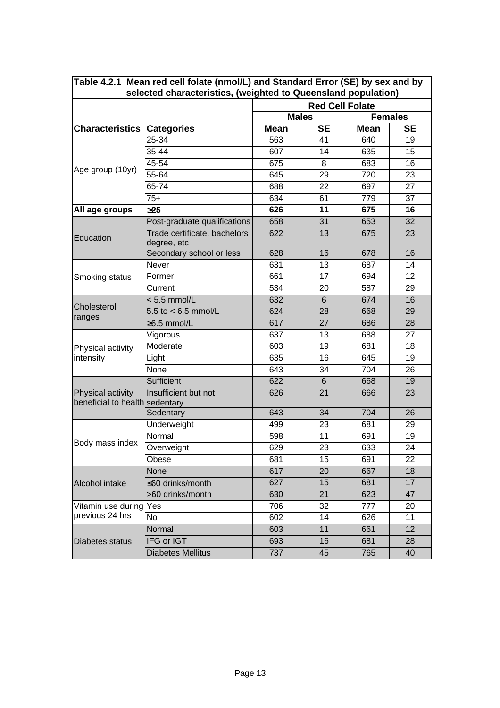| Table 4.2.1 Mean red cell folate (nmol/L) and Standard Error (SE) by sex and by<br>selected characteristics, (weighted to Queensland population) |                                             |             |                        |             |                |
|--------------------------------------------------------------------------------------------------------------------------------------------------|---------------------------------------------|-------------|------------------------|-------------|----------------|
|                                                                                                                                                  |                                             |             | <b>Red Cell Folate</b> |             |                |
|                                                                                                                                                  |                                             |             | <b>Males</b>           |             | <b>Females</b> |
| <b>Characteristics Categories</b>                                                                                                                |                                             | <b>Mean</b> | <b>SE</b>              | <b>Mean</b> | <b>SE</b>      |
|                                                                                                                                                  | 25-34                                       | 563         | 41                     | 640         | 19             |
|                                                                                                                                                  | 35-44                                       | 607         | 14                     | 635         | 15             |
|                                                                                                                                                  | $45 - 54$                                   | 675         | 8                      | 683         | 16             |
| Age group (10yr)                                                                                                                                 | 55-64                                       | 645         | 29                     | 720         | 23             |
|                                                                                                                                                  | 65-74                                       | 688         | 22                     | 697         | 27             |
|                                                                                                                                                  | $75+$                                       | 634         | 61                     | 779         | 37             |
| All age groups                                                                                                                                   | 325                                         | 626         | 11                     | 675         | 16             |
|                                                                                                                                                  | Post-graduate qualifications                | 658         | 31                     | 653         | 32             |
| Education                                                                                                                                        | Trade certificate, bachelors<br>degree, etc | 622         | 13                     | 675         | 23             |
|                                                                                                                                                  | Secondary school or less                    | 628         | 16                     | 678         | 16             |
|                                                                                                                                                  | Never                                       | 631         | 13                     | 687         | 14             |
| Smoking status                                                                                                                                   | Former                                      | 661         | 17                     | 694         | 12             |
|                                                                                                                                                  | Current                                     | 534         | 20                     | 587         | 29             |
|                                                                                                                                                  | $< 5.5$ mmol/L                              | 632         | $6\phantom{1}$         | 674         | 16             |
| Cholesterol                                                                                                                                      | 5.5 to $< 6.5$ mmol/L                       | 624         | 28                     | 668         | 29             |
| ranges                                                                                                                                           | $\geq$ 6.5 mmol/L                           | 617         | 27                     | 686         | 28             |
|                                                                                                                                                  | Vigorous                                    | 637         | 13                     | 688         | 27             |
| Physical activity                                                                                                                                | Moderate                                    | 603         | 19                     | 681         | 18             |
| intensity                                                                                                                                        | Light                                       | 635         | 16                     | 645         | 19             |
|                                                                                                                                                  | None                                        | 643         | 34                     | 704         | 26             |
|                                                                                                                                                  | <b>Sufficient</b>                           | 622         | 6                      | 668         | 19             |
| Physical activity<br>beneficial to health sedentary                                                                                              | Insufficient but not                        | 626         | 21                     | 666         | 23             |
|                                                                                                                                                  | Sedentary                                   | 643         | 34                     | 704         | 26             |
|                                                                                                                                                  | Underweight                                 | 499         | 23                     | 681         | 29             |
|                                                                                                                                                  | Normal                                      | 598         | 11                     | 691         | 19             |
| Body mass index                                                                                                                                  | Overweight                                  | 629         | 23                     | 633         | 24             |
|                                                                                                                                                  | Obese                                       | 681         | 15                     | 691         | 22             |
|                                                                                                                                                  | None                                        | 617         | 20                     | 667         | 18             |
| Alcohol intake                                                                                                                                   | ≤60 drinks/month                            | 627         | 15                     | 681         | 17             |
|                                                                                                                                                  | >60 drinks/month                            | 630         | 21                     | 623         | 47             |
| Vitamin use during                                                                                                                               | Yes                                         | 706         | 32                     | 777         | 20             |
| previous 24 hrs                                                                                                                                  | No                                          | 602         | 14                     | 626         | 11             |
|                                                                                                                                                  | Normal                                      | 603         | 11                     | 661         | 12             |
| <b>Diabetes status</b>                                                                                                                           | IFG or IGT                                  | 693         | 16                     | 681         | 28             |
|                                                                                                                                                  | <b>Diabetes Mellitus</b>                    | 737         | 45                     | 765         | 40             |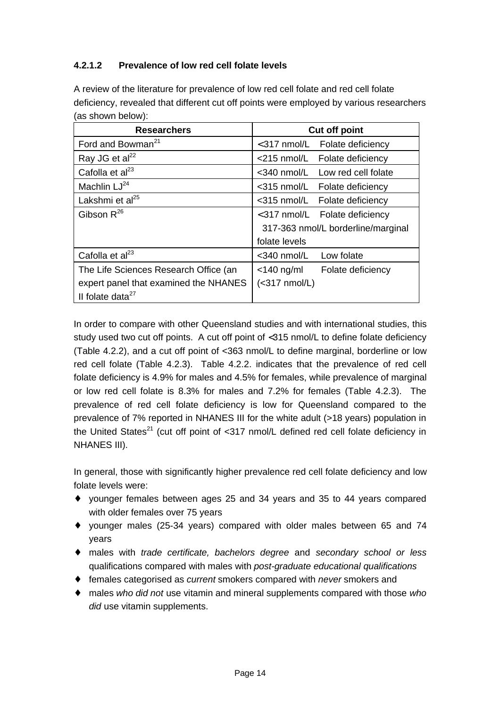#### **4.2.1.2 Prevalence of low red cell folate levels**

A review of the literature for prevalence of low red cell folate and red cell folate deficiency, revealed that different cut off points were employed by various researchers (as shown below):

| <b>Researchers</b>                    | <b>Cut off point</b>                |
|---------------------------------------|-------------------------------------|
| Ford and Bowman <sup>21</sup>         | $<$ 317 nmol/L<br>Folate deficiency |
| Ray JG et al <sup>22</sup>            | $<$ 215 nmol/L<br>Folate deficiency |
| Cafolla et $al23$                     | <340 nmol/L<br>Low red cell folate  |
| Machlin LJ <sup>24</sup>              | <315 nmol/L Folate deficiency       |
| Lakshmi et al <sup>25</sup>           | <315 nmol/L Folate deficiency       |
| Gibson $R^{26}$                       | <317 nmol/L Folate deficiency       |
|                                       | 317-363 nmol/L borderline/marginal  |
|                                       | folate levels                       |
| Cafolla et $al23$                     | Low folate<br>$<$ 340 nmol/L        |
| The Life Sciences Research Office (an | $<$ 140 ng/ml<br>Folate deficiency  |
| expert panel that examined the NHANES | $(<317$ nmol/L)                     |
| Il folate data <sup>27</sup>          |                                     |

In order to compare with other Queensland studies and with international studies, this study used two cut off points. A cut off point of <315 nmol/L to define folate deficiency (Table 4.2.2), and a cut off point of <363 nmol/L to define marginal, borderline or low red cell folate (Table 4.2.3). Table 4.2.2. indicates that the prevalence of red cell folate deficiency is 4.9% for males and 4.5% for females, while prevalence of marginal or low red cell folate is 8.3% for males and 7.2% for females (Table 4.2.3). The prevalence of red cell folate deficiency is low for Queensland compared to the prevalence of 7% reported in NHANES III for the white adult (>18 years) population in the United States<sup>21</sup> (cut off point of  $\langle 317 \rangle$  nmol/L defined red cell folate deficiency in NHANES III).

In general, those with significantly higher prevalence red cell folate deficiency and low folate levels were:

- ♦ younger females between ages 25 and 34 years and 35 to 44 years compared with older females over 75 years
- ♦ younger males (25-34 years) compared with older males between 65 and 74 years
- ♦ males with *trade certificate, bachelors degree* and *secondary school or less* qualifications compared with males with *post-graduate educational qualifications*
- ♦ females categorised as *current* smokers compared with *never* smokers and
- ♦ males *who did not* use vitamin and mineral supplements compared with those *who did* use vitamin supplements.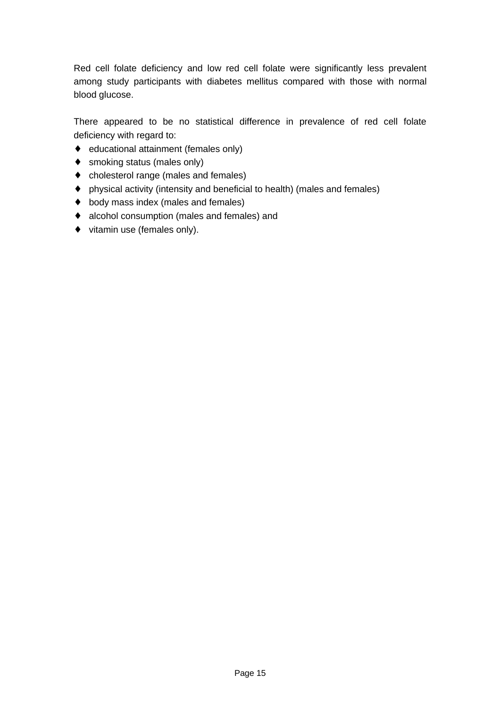Red cell folate deficiency and low red cell folate were significantly less prevalent among study participants with diabetes mellitus compared with those with normal blood glucose.

There appeared to be no statistical difference in prevalence of red cell folate deficiency with regard to:

- ♦ educational attainment (females only)
- ♦ smoking status (males only)
- ♦ cholesterol range (males and females)
- ♦ physical activity (intensity and beneficial to health) (males and females)
- ♦ body mass index (males and females)
- ♦ alcohol consumption (males and females) and
- ♦ vitamin use (females only).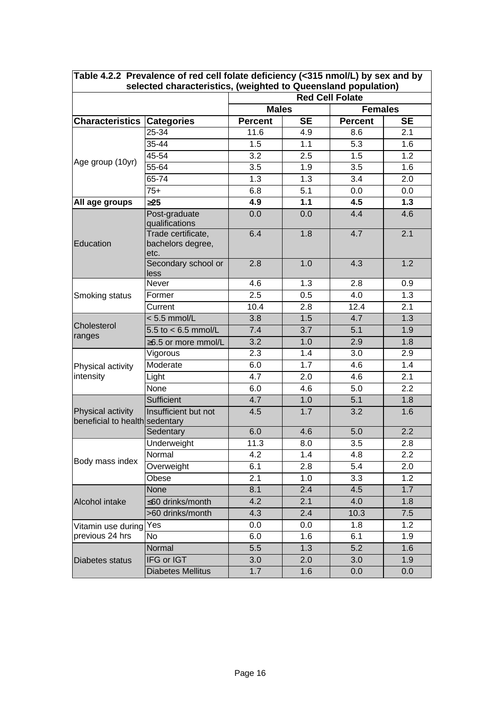| Table 4.2.2 Prevalence of red cell folate deficiency (<315 nmol/L) by sex and by<br>selected characteristics, (weighted to Queensland population) |                                                 |                                |                        |                  |           |  |
|---------------------------------------------------------------------------------------------------------------------------------------------------|-------------------------------------------------|--------------------------------|------------------------|------------------|-----------|--|
|                                                                                                                                                   |                                                 |                                | <b>Red Cell Folate</b> |                  |           |  |
|                                                                                                                                                   |                                                 | <b>Females</b><br><b>Males</b> |                        |                  |           |  |
| <b>Characteristics</b>                                                                                                                            | <b>Categories</b>                               | <b>Percent</b>                 | <b>SE</b>              | <b>Percent</b>   | <b>SE</b> |  |
|                                                                                                                                                   | 25-34                                           | 11.6                           | 4.9                    | 8.6              | 2.1       |  |
|                                                                                                                                                   | 35-44                                           | 1.5                            | 1.1                    | 5.3              | 1.6       |  |
|                                                                                                                                                   | 45-54                                           | 3.2                            | 2.5                    | 1.5              | 1.2       |  |
| Age group (10yr)                                                                                                                                  | 55-64                                           | 3.5                            | 1.9                    | $\overline{3.5}$ | 1.6       |  |
|                                                                                                                                                   | $65 - 74$                                       | 1.3                            | 1.3                    | 3.4              | 2.0       |  |
|                                                                                                                                                   | $75+$                                           | 6.8                            | 5.1                    | 0.0              | 0.0       |  |
| All age groups                                                                                                                                    | 325                                             | 4.9                            | $1.1$                  | 4.5              | $1.3$     |  |
|                                                                                                                                                   | Post-graduate<br>qualifications                 | 0.0                            | 0.0                    | 4.4              | 4.6       |  |
| Education                                                                                                                                         | Trade certificate,<br>bachelors degree,<br>etc. | 6.4                            | 1.8                    | 4.7              | 2.1       |  |
|                                                                                                                                                   | Secondary school or<br>less                     | 2.8                            | 1.0                    | 4.3              | 1.2       |  |
|                                                                                                                                                   | Never                                           | 4.6                            | 1.3                    | 2.8              | 0.9       |  |
| Smoking status                                                                                                                                    | Former                                          | 2.5                            | 0.5                    | 4.0              | 1.3       |  |
|                                                                                                                                                   | Current                                         | 10.4                           | 2.8                    | 12.4             | 2.1       |  |
|                                                                                                                                                   | $< 5.5$ mmol/L                                  | 3.8                            | 1.5                    | 4.7              | 1.3       |  |
| Cholesterol<br>ranges                                                                                                                             | $5.5$ to $< 6.5$ mmol/L                         | 7.4                            | 3.7                    | 5.1              | 1.9       |  |
|                                                                                                                                                   | ≥6.5 or more mmol/L                             | 3.2                            | 1.0                    | 2.9              | 1.8       |  |
|                                                                                                                                                   | Vigorous                                        | 2.3                            | 1.4                    | 3.0              | 2.9       |  |
| Physical activity                                                                                                                                 | Moderate                                        | 6.0                            | 1.7                    | 4.6              | 1.4       |  |
| intensity                                                                                                                                         | Light                                           | 4.7                            | 2.0                    | 4.6              | 2.1       |  |
|                                                                                                                                                   | None                                            | 6.0                            | 4.6                    | 5.0              | 2.2       |  |
|                                                                                                                                                   | Sufficient                                      | 4.7                            | 1.0                    | 5.1              | 1.8       |  |
| Physical activity<br>beneficial to health sedentary                                                                                               | Insufficient but not                            | 4.5                            | 1.7                    | 3.2              | 1.6       |  |
|                                                                                                                                                   | Sedentary                                       | 6.0                            | 4.6                    | 5.0              | 2.2       |  |
|                                                                                                                                                   | Underweight                                     | 11.3                           | 8.0                    | 3.5              | 2.8       |  |
|                                                                                                                                                   | Normal                                          | 4.2                            | 1.4                    | 4.8              | 2.2       |  |
| Body mass index                                                                                                                                   | Overweight                                      | 6.1                            | 2.8                    | 5.4              | 2.0       |  |
|                                                                                                                                                   | Obese                                           | 2.1                            | 1.0                    | 3.3              | 1.2       |  |
|                                                                                                                                                   | None                                            | 8.1                            | 2.4                    | 4.5              | 1.7       |  |
| Alcohol intake                                                                                                                                    | ≤60 drinks/month                                | 4.2                            | 2.1                    | 4.0              | 1.8       |  |
|                                                                                                                                                   | >60 drinks/month                                | 4.3                            | 2.4                    | 10.3             | 7.5       |  |
| Vitamin use during                                                                                                                                | Yes                                             | 0.0                            | 0.0                    | 1.8              | 1.2       |  |
| previous 24 hrs                                                                                                                                   | No                                              | 6.0                            | 1.6                    | 6.1              | 1.9       |  |
|                                                                                                                                                   | Normal                                          | 5.5                            | 1.3                    | 5.2              | 1.6       |  |
| Diabetes status                                                                                                                                   | IFG or IGT                                      | 3.0                            | 2.0                    | 3.0              | 1.9       |  |
|                                                                                                                                                   | <b>Diabetes Mellitus</b>                        | 1.7                            | 1.6                    | 0.0              | 0.0       |  |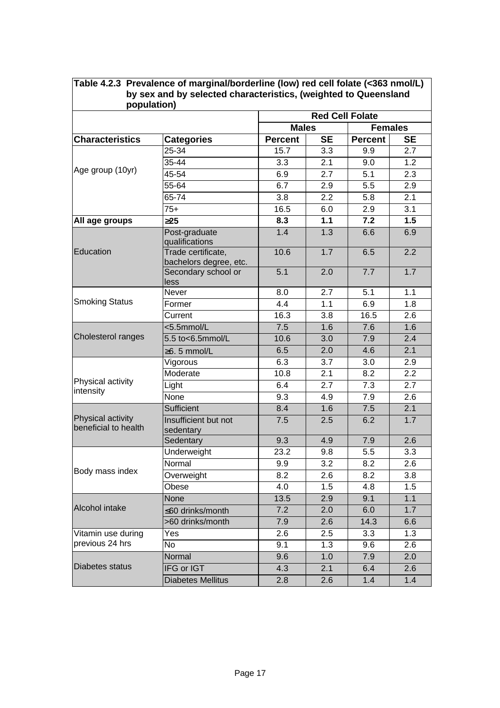| population)                               | Table 4.2.3 Prevalence of marginal/borderline (low) red cell folate (<363 nmol/L)<br>by sex and by selected characteristics, (weighted to Queensland |                  |                        |                |           |
|-------------------------------------------|------------------------------------------------------------------------------------------------------------------------------------------------------|------------------|------------------------|----------------|-----------|
|                                           |                                                                                                                                                      |                  | <b>Red Cell Folate</b> |                |           |
|                                           |                                                                                                                                                      | <b>Males</b>     |                        | <b>Females</b> |           |
| <b>Characteristics</b>                    | <b>Categories</b>                                                                                                                                    | <b>Percent</b>   | <b>SE</b>              | <b>Percent</b> | <b>SE</b> |
|                                           | 25-34                                                                                                                                                | 15.7             | 3.3                    | 9.9            | 2.7       |
|                                           | 35-44                                                                                                                                                | 3.3              | 2.1                    | 9.0            | 1.2       |
| Age group (10yr)                          | 45-54                                                                                                                                                | 6.9              | 2.7                    | 5.1            | 2.3       |
|                                           | 55-64                                                                                                                                                | 6.7              | 2.9                    | 5.5            | 2.9       |
|                                           | 65-74                                                                                                                                                | 3.8              | 2.2                    | 5.8            | 2.1       |
|                                           | $75+$                                                                                                                                                | 16.5             | 6.0                    | 2.9            | 3.1       |
| All age groups                            | 325                                                                                                                                                  | $\overline{8.3}$ | 1.1                    | 7.2            | 1.5       |
|                                           | Post-graduate<br>qualifications                                                                                                                      | 1.4              | 1.3                    | 6.6            | 6.9       |
| Education                                 | Trade certificate,<br>bachelors degree, etc.                                                                                                         | 10.6             | 1.7                    | 6.5            | 2.2       |
|                                           | Secondary school or<br>less                                                                                                                          | 5.1              | 2.0                    | 7.7            | 1.7       |
|                                           | Never                                                                                                                                                | 8.0              | 2.7                    | 5.1            | 1.1       |
| <b>Smoking Status</b>                     | Former                                                                                                                                               | 4.4              | 1.1                    | 6.9            | 1.8       |
|                                           | Current                                                                                                                                              | 16.3             | 3.8                    | 16.5           | 2.6       |
|                                           | $<$ 5.5mmol/L                                                                                                                                        | 7.5              | 1.6                    | 7.6            | 1.6       |
| Cholesterol ranges                        | 5.5 to<6.5mmol/L                                                                                                                                     | 10.6             | 3.0                    | 7.9            | 2.4       |
|                                           | $\geq 6.5$ mmol/L                                                                                                                                    | 6.5              | 2.0                    | 4.6            | 2.1       |
|                                           | Vigorous                                                                                                                                             | 6.3              | 3.7                    | 3.0            | 2.9       |
|                                           | Moderate                                                                                                                                             | 10.8             | 2.1                    | 8.2            | 2.2       |
| Physical activity<br>intensity            | Light                                                                                                                                                | 6.4              | 2.7                    | 7.3            | 2.7       |
|                                           | None                                                                                                                                                 | 9.3              | 4.9                    | 7.9            | 2.6       |
|                                           | Sufficient                                                                                                                                           | 8.4              | 1.6                    | 7.5            | 2.1       |
| Physical activity<br>beneficial to health | Insufficient but not<br>sedentary                                                                                                                    | 7.5              | 2.5                    | 6.2            | 1.7       |
|                                           | Sedentary                                                                                                                                            | 9.3              | 4.9                    | 7.9            | 2.6       |
|                                           | Underweight                                                                                                                                          | 23.2             | 9.8                    | 5.5            | 3.3       |
|                                           | Normal                                                                                                                                               | 9.9              | 3.2                    | 8.2            | 2.6       |
| Body mass index                           | Overweight                                                                                                                                           | 8.2              | 2.6                    | 8.2            | 3.8       |
|                                           | Obese                                                                                                                                                | 4.0              | 1.5                    | 4.8            | 1.5       |
|                                           | None                                                                                                                                                 | 13.5             | 2.9                    | 9.1            | 1.1       |
| Alcohol intake                            | ≤60 drinks/month                                                                                                                                     | 7.2              | 2.0                    | 6.0            | 1.7       |
|                                           | >60 drinks/month                                                                                                                                     | 7.9              | 2.6                    | 14.3           | 6.6       |
| Vitamin use during                        | Yes                                                                                                                                                  | 2.6              | 2.5                    | 3.3            | 1.3       |
| previous 24 hrs                           | No                                                                                                                                                   | 9.1              | 1.3                    | 9.6            | 2.6       |
|                                           | Normal                                                                                                                                               | 9.6              | 1.0                    | 7.9            | 2.0       |
| Diabetes status                           | IFG or IGT                                                                                                                                           | 4.3              | 2.1                    | 6.4            | 2.6       |
|                                           | <b>Diabetes Mellitus</b>                                                                                                                             | 2.8              | 2.6                    | 1.4            | 1.4       |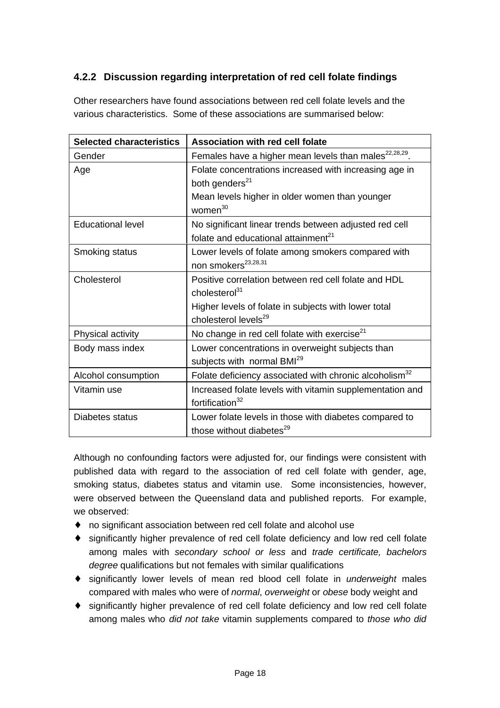### **4.2.2 Discussion regarding interpretation of red cell folate findings**

Other researchers have found associations between red cell folate levels and the various characteristics. Some of these associations are summarised below:

| <b>Selected characteristics</b> | Association with red cell folate                                                        |
|---------------------------------|-----------------------------------------------------------------------------------------|
| Gender                          | Females have a higher mean levels than males <sup>22,28,29</sup> .                      |
| Age                             | Folate concentrations increased with increasing age in<br>both genders <sup>21</sup>    |
|                                 | Mean levels higher in older women than younger<br>women <sup>30</sup>                   |
| <b>Educational level</b>        | No significant linear trends between adjusted red cell                                  |
|                                 | folate and educational attainment <sup>21</sup>                                         |
| Smoking status                  | Lower levels of folate among smokers compared with<br>non smokers <sup>23,28,31</sup>   |
| Cholesterol                     | Positive correlation between red cell folate and HDL                                    |
|                                 | cholesterol <sup>31</sup>                                                               |
|                                 | Higher levels of folate in subjects with lower total                                    |
|                                 | cholesterol levels <sup>29</sup>                                                        |
| Physical activity               | No change in red cell folate with exercise $^{21}$                                      |
| Body mass index                 | Lower concentrations in overweight subjects than                                        |
|                                 | subjects with normal BMI <sup>29</sup>                                                  |
| Alcohol consumption             | Folate deficiency associated with chronic alcoholism <sup>32</sup>                      |
| Vitamin use                     | Increased folate levels with vitamin supplementation and<br>fortification <sup>32</sup> |
| Diabetes status                 | Lower folate levels in those with diabetes compared to                                  |
|                                 | those without diabetes <sup>29</sup>                                                    |

Although no confounding factors were adjusted for, our findings were consistent with published data with regard to the association of red cell folate with gender, age, smoking status, diabetes status and vitamin use. Some inconsistencies, however, were observed between the Queensland data and published reports. For example, we observed:

- ♦ no significant association between red cell folate and alcohol use
- ♦ significantly higher prevalence of red cell folate deficiency and low red cell folate among males with *secondary school or less* and *trade certificate, bachelors degree* qualifications but not females with similar qualifications
- ♦ significantly lower levels of mean red blood cell folate in *underweight* males compared with males who were of *normal*, *overweight* or *obese* body weight and
- ♦ significantly higher prevalence of red cell folate deficiency and low red cell folate among males who *did not take* vitamin supplements compared to *those who did*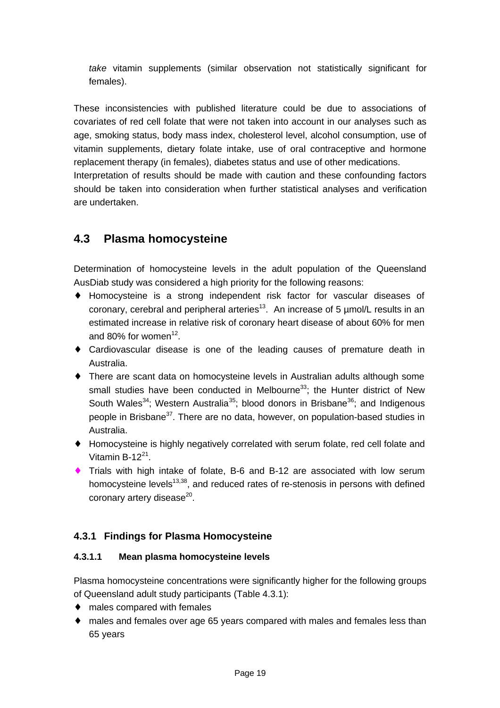*take* vitamin supplements (similar observation not statistically significant for females).

These inconsistencies with published literature could be due to associations of covariates of red cell folate that were not taken into account in our analyses such as age, smoking status, body mass index, cholesterol level, alcohol consumption, use of vitamin supplements, dietary folate intake, use of oral contraceptive and hormone replacement therapy (in females), diabetes status and use of other medications. Interpretation of results should be made with caution and these confounding factors should be taken into consideration when further statistical analyses and verification

### **4.3 Plasma homocysteine**

are undertaken.

Determination of homocysteine levels in the adult population of the Queensland AusDiab study was considered a high priority for the following reasons:

- ♦ Homocysteine is a strong independent risk factor for vascular diseases of coronary, cerebral and peripheral arteries<sup>13</sup>. An increase of 5  $\mu$ mol/L results in an estimated increase in relative risk of coronary heart disease of about 60% for men and 80% for women<sup>12</sup>.
- ♦ Cardiovascular disease is one of the leading causes of premature death in Australia.
- ♦ There are scant data on homocysteine levels in Australian adults although some small studies have been conducted in Melbourne<sup>33</sup>; the Hunter district of New South Wales<sup>34</sup>; Western Australia<sup>35</sup>; blood donors in Brisbane<sup>36</sup>; and Indigenous people in Brisbane<sup>37</sup>. There are no data, however, on population-based studies in Australia.
- ♦ Homocysteine is highly negatively correlated with serum folate, red cell folate and Vitamin B-12 $^{21}$ .
- ♦ Trials with high intake of folate, B-6 and B-12 are associated with low serum homocysteine levels<sup>13,38</sup>, and reduced rates of re-stenosis in persons with defined coronary artery disease $^{20}$ .

#### **4.3.1 Findings for Plasma Homocysteine**

#### **4.3.1.1 Mean plasma homocysteine levels**

Plasma homocysteine concentrations were significantly higher for the following groups of Queensland adult study participants (Table 4.3.1):

- ♦ males compared with females
- ♦ males and females over age 65 years compared with males and females less than 65 years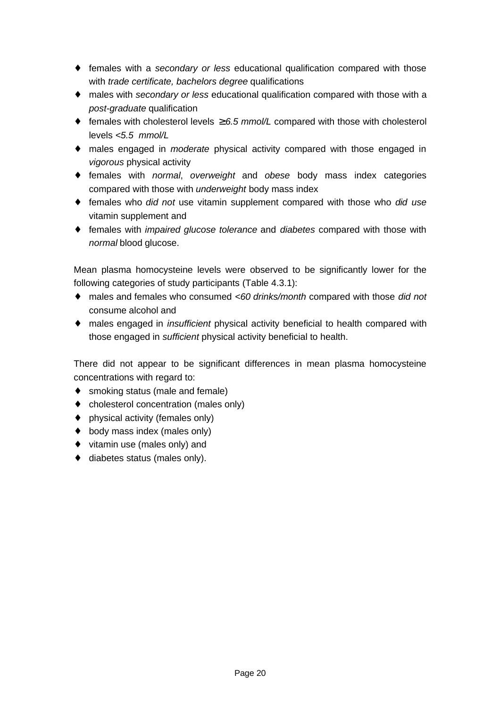- ♦ females with a *secondary or less* educational qualification compared with those with *trade certificate, bachelors degree* qualifications
- ♦ males with *secondary or less* educational qualification compared with those with a *post-graduate* qualification
- ♦ females with cholesterol levels ≥ *6.5 mmol/L* compared with those with cholesterol levels *<5.5 mmol/L*
- ♦ males engaged in *moderate* physical activity compared with those engaged in *vigorous* physical activity
- ♦ females with *normal*, *overweight* and *obese* body mass index categories compared with those with *underweight* body mass index
- ♦ females who *did not* use vitamin supplement compared with those who *did use* vitamin supplement and
- ♦ females with *impaired glucose tolerance* and *diabetes* compared with those with *normal* blood glucose.

Mean plasma homocysteine levels were observed to be significantly lower for the following categories of study participants (Table 4.3.1):

- ♦ males and females who consumed *<60 drinks/month* compared with those *did not* consume alcohol and
- ♦ males engaged in *insufficient* physical activity beneficial to health compared with those engaged in *sufficient* physical activity beneficial to health.

There did not appear to be significant differences in mean plasma homocysteine concentrations with regard to:

- ♦ smoking status (male and female)
- ♦ cholesterol concentration (males only)
- ♦ physical activity (females only)
- ♦ body mass index (males only)
- ♦ vitamin use (males only) and
- ♦ diabetes status (males only).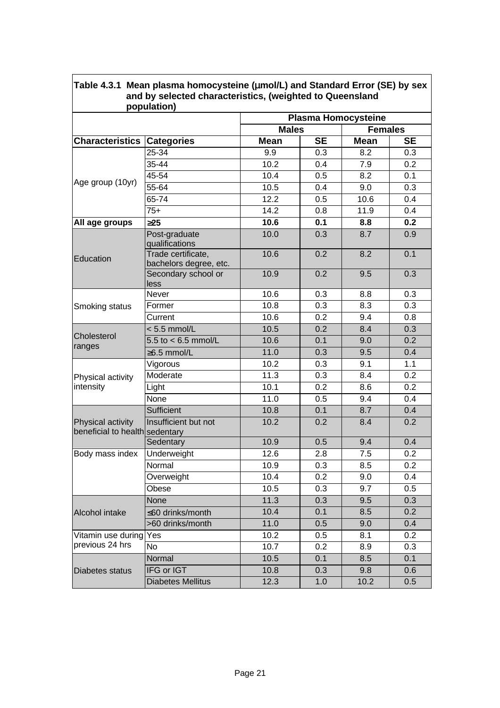|                                                     | population)                                  |                            |                  |                |                  |
|-----------------------------------------------------|----------------------------------------------|----------------------------|------------------|----------------|------------------|
|                                                     |                                              | <b>Plasma Homocysteine</b> |                  |                |                  |
|                                                     |                                              | <b>Males</b>               |                  | <b>Females</b> |                  |
| <b>Characteristics</b>                              | <b>Categories</b>                            | <b>Mean</b>                | <b>SE</b>        | <b>Mean</b>    | <b>SE</b>        |
| Age group (10yr)                                    | 25-34                                        | 9.9                        | 0.3              | 8.2            | 0.3              |
|                                                     | 35-44                                        | 10.2                       | 0.4              | 7.9            | 0.2              |
|                                                     | 45-54                                        | 10.4                       | 0.5              | 8.2            | 0.1              |
|                                                     | 55-64                                        | 10.5                       | 0.4              | 9.0            | 0.3              |
|                                                     | $65 - 74$                                    | $\overline{12.2}$          | 0.5              | 10.6           | 0.4              |
|                                                     | $75+$                                        | 14.2                       | 0.8              | 11.9           | 0.4              |
| All age groups                                      | 325                                          | 10.6                       | 0.1              | 8.8            | 0.2              |
| Education                                           | Post-graduate<br>qualifications              | 10.0                       | 0.3              | 8.7            | 0.9              |
|                                                     | Trade certificate,<br>bachelors degree, etc. | 10.6                       | 0.2              | 8.2            | 0.1              |
|                                                     | Secondary school or<br>less                  | 10.9                       | 0.2              | 9.5            | 0.3              |
|                                                     | Never                                        | 10.6                       | 0.3              | 8.8            | 0.3              |
| Smoking status                                      | Former                                       | 10.8                       | 0.3              | 8.3            | 0.3              |
|                                                     | Current                                      | 10.6                       | 0.2              | 9.4            | 0.8              |
|                                                     | $< 5.5$ mmol/L                               | 10.5                       | 0.2              | 8.4            | 0.3              |
| Cholesterol<br>ranges                               | 5.5 to $< 6.5$ mmol/L                        | 10.6                       | 0.1              | 9.0            | $\overline{0.2}$ |
|                                                     | $\geq$ 6.5 mmol/L                            | 11.0                       | 0.3              | 9.5            | 0.4              |
|                                                     | Vigorous                                     | 10.2                       | 0.3              | 9.1            | 1.1              |
| Physical activity                                   | Moderate                                     | 11.3                       | 0.3              | 8.4            | 0.2              |
| intensity                                           | Light                                        | 10.1                       | 0.2              | 8.6            | 0.2              |
|                                                     | None                                         | 11.0                       | 0.5              | 9.4            | 0.4              |
|                                                     | Sufficient                                   | 10.8                       | 0.1              | 8.7            | 0.4              |
| Physical activity<br>beneficial to health sedentary | Insufficient but not                         | 10.2                       | 0.2              | 8.4            | 0.2              |
|                                                     | Sedentary                                    | 10.9                       | 0.5              | 9.4            | 0.4              |
| Body mass index                                     | Underweight                                  | 12.6                       | 2.8              | 7.5            | 0.2              |
|                                                     | Normal                                       | 10.9                       | $\overline{0.3}$ | 8.5            | 0.2              |
|                                                     | Overweight                                   | 10.4                       | 0.2              | 9.0            | 0.4              |
|                                                     | Obese                                        | 10.5                       | 0.3              | 9.7            | 0.5              |
|                                                     | None                                         | 11.3                       | 0.3              | 9.5            | 0.3              |
| Alcohol intake                                      | ≤60 drinks/month                             | 10.4                       | 0.1              | 8.5            | 0.2              |
|                                                     | >60 drinks/month                             | 11.0                       | 0.5              | 9.0            | 0.4              |
| Vitamin use during                                  | Yes                                          | 10.2                       | 0.5              | 8.1            | 0.2              |
| previous 24 hrs                                     | No                                           | 10.7                       | 0.2              | 8.9            | 0.3              |
|                                                     | Normal                                       | 10.5                       | 0.1              | 8.5            | 0.1              |
| Diabetes status                                     | IFG or IGT                                   | 10.8                       | 0.3              | 9.8            | 0.6              |
|                                                     | <b>Diabetes Mellitus</b>                     | 12.3                       | 1.0              | 10.2           | 0.5              |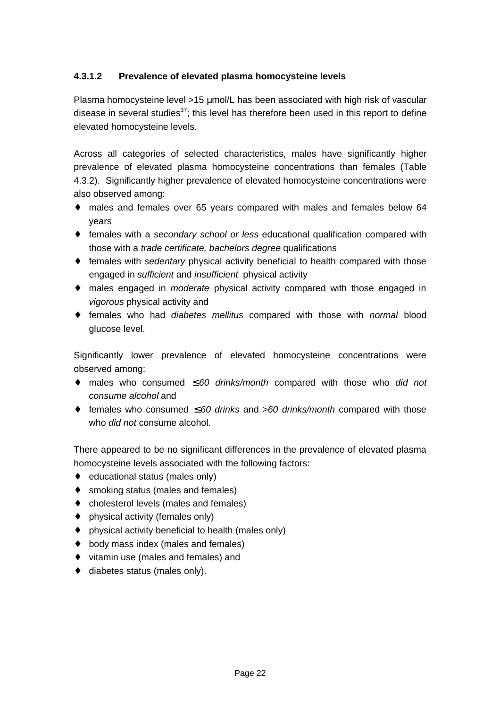#### **4.3.1.2 Prevalence of elevated plasma homocysteine levels**

Plasma homocysteine level >15 μmol/L has been associated with high risk of vascular disease in several studies<sup>37</sup>; this level has therefore been used in this report to define elevated homocysteine levels.

Across all categories of selected characteristics, males have significantly higher prevalence of elevated plasma homocysteine concentrations than females (Table 4.3.2). Significantly higher prevalence of elevated homocysteine concentrations were also observed among:

- ♦ males and females over 65 years compared with males and females below 64 years
- ♦ females with a *secondary school or less* educational qualification compared with those with a *trade certificate, bachelors degree* qualifications
- ♦ females with *sedentary* physical activity beneficial to health compared with those engaged in *sufficient* and *insufficient* physical activity
- ♦ males engaged in *moderate* physical activity compared with those engaged in *vigorous* physical activity and
- ♦ females who had *diabetes mellitus* compared with those with *normal* blood glucose level.

Significantly lower prevalence of elevated homocysteine concentrations were observed among:

- ♦ males who consumed ≤ *60 drinks/month* compared with those who *did not consume alcohol* and
- ♦ females who consumed ≤ *60 drinks* and >*60 drinks/month* compared with those who *did not* consume alcohol.

There appeared to be no significant differences in the prevalence of elevated plasma homocysteine levels associated with the following factors:

- ♦ educational status (males only)
- ♦ smoking status (males and females)
- ♦ cholesterol levels (males and females)
- $\bullet$  physical activity (females only)
- ♦ physical activity beneficial to health (males only)
- ♦ body mass index (males and females)
- ♦ vitamin use (males and females) and
- $\bullet$  diabetes status (males only).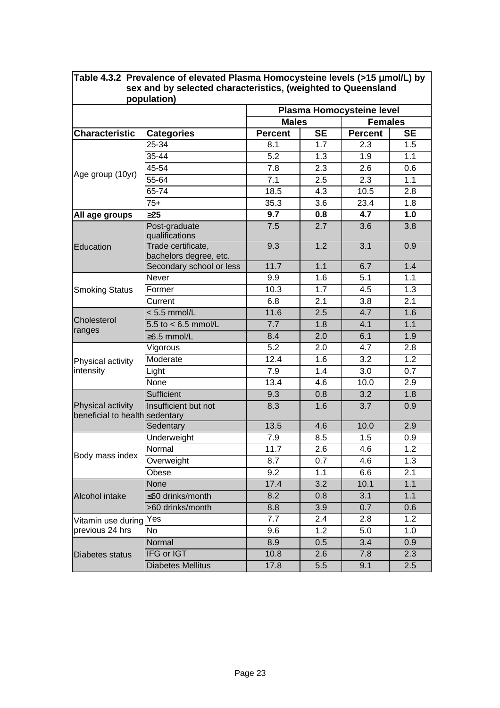| population)                                         |                                              |                           |                  |                |           |  |
|-----------------------------------------------------|----------------------------------------------|---------------------------|------------------|----------------|-----------|--|
|                                                     |                                              | Plasma Homocysteine level |                  |                |           |  |
|                                                     | <b>Males</b>                                 |                           |                  | <b>Females</b> |           |  |
| <b>Characteristic</b>                               | <b>Categories</b>                            | <b>Percent</b>            | <b>SE</b>        | <b>Percent</b> | <b>SE</b> |  |
|                                                     | 25-34                                        | 8.1                       | 1.7              | 2.3            | 1.5       |  |
|                                                     | 35-44                                        | 5.2                       | 1.3              | 1.9            | 1.1       |  |
|                                                     | 45-54                                        | $\overline{7.8}$          | $\overline{2.3}$ | 2.6            | 0.6       |  |
| Age group (10yr)                                    | 55-64                                        | 7.1                       | 2.5              | 2.3            | 1.1       |  |
|                                                     | 65-74                                        | 18.5                      | 4.3              | 10.5           | 2.8       |  |
|                                                     | $75+$                                        | 35.3                      | 3.6              | 23.4           | 1.8       |  |
| All age groups                                      | 325                                          | 9.7                       | 0.8              | 4.7            | 1.0       |  |
|                                                     | Post-graduate<br>qualifications              | 7.5                       | 2.7              | 3.6            | 3.8       |  |
| Education                                           | Trade certificate,<br>bachelors degree, etc. | 9.3                       | 1.2              | 3.1            | 0.9       |  |
|                                                     | Secondary school or less                     | 11.7                      | 1.1              | 6.7            | 1.4       |  |
|                                                     | <b>Never</b>                                 | 9.9                       | 1.6              | 5.1            | 1.1       |  |
| <b>Smoking Status</b>                               | Former                                       | 10.3                      | 1.7              | 4.5            | 1.3       |  |
|                                                     | Current                                      | 6.8                       | 2.1              | 3.8            | 2.1       |  |
|                                                     | $< 5.5$ mmol/L                               | 11.6                      | 2.5              | 4.7            | 1.6       |  |
| Cholesterol<br>ranges                               | $5.5$ to < 6.5 mmol/L                        | 7.7                       | 1.8              | 4.1            | 1.1       |  |
|                                                     | ≥6.5 mmol/L                                  | 8.4                       | 2.0              | 6.1            | 1.9       |  |
|                                                     | Vigorous                                     | 5.2                       | 2.0              | 4.7            | 2.8       |  |
| Physical activity                                   | Moderate                                     | 12.4                      | 1.6              | 3.2            | 1.2       |  |
| intensity                                           | Light                                        | 7.9                       | 1.4              | 3.0            | 0.7       |  |
|                                                     | None                                         | 13.4                      | 4.6              | 10.0           | 2.9       |  |
|                                                     | Sufficient                                   | 9.3                       | 0.8              | 3.2            | 1.8       |  |
| Physical activity<br>beneficial to health sedentary | Insufficient but not                         | 8.3                       | 1.6              | 3.7            | 0.9       |  |
|                                                     | Sedentary                                    | 13.5                      | 4.6              | 10.0           | 2.9       |  |
|                                                     | Underweight                                  | 7.9                       | 8.5              | 1.5            | 0.9       |  |
|                                                     | Normal                                       | 11.7                      | 2.6              | 4.6            | 1.2       |  |
| Body mass index                                     | Overweight                                   | 8.7                       | 0.7              | 4.6            | 1.3       |  |
|                                                     | Obese                                        | 9.2                       | 1.1              | 6.6            | 2.1       |  |
|                                                     | <b>None</b>                                  | 17.4                      | 3.2              | 10.1           | 1.1       |  |
| Alcohol intake                                      | ≤60 drinks/month                             | 8.2                       | 0.8              | 3.1            | 1.1       |  |
|                                                     | >60 drinks/month                             | 8.8                       | 3.9              | 0.7            | 0.6       |  |
| Vitamin use during                                  | Yes                                          | 7.7                       | 2.4              | 2.8            | 1.2       |  |
| previous 24 hrs                                     | <b>No</b>                                    | 9.6                       | 1.2              | 5.0            | 1.0       |  |
|                                                     | Normal                                       | 8.9                       | 0.5              | 3.4            | 0.9       |  |
| Diabetes status                                     | <b>IFG or IGT</b>                            | 10.8                      | 2.6              | 7.8            | 2.3       |  |
|                                                     | <b>Diabetes Mellitus</b>                     | 17.8                      | 5.5              | 9.1            | 2.5       |  |

## **Table 4.3.2 Prevalence of elevated Plasma Homocysteine levels (>15 mmol/L) by sex and by selected characteristics, (weighted to Queensland**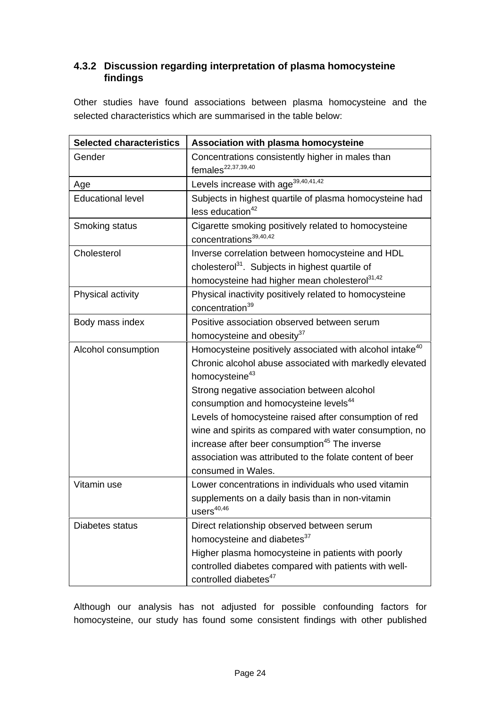#### **4.3.2 Discussion regarding interpretation of plasma homocysteine findings**

Other studies have found associations between plasma homocysteine and the selected characteristics which are summarised in the table below:

| <b>Selected characteristics</b> | Association with plasma homocysteine                                                                                                                                                                                                                                                                                                                                                                                                                                                                                                  |  |  |
|---------------------------------|---------------------------------------------------------------------------------------------------------------------------------------------------------------------------------------------------------------------------------------------------------------------------------------------------------------------------------------------------------------------------------------------------------------------------------------------------------------------------------------------------------------------------------------|--|--|
| Gender                          | Concentrations consistently higher in males than<br>females <sup>22,37,39,40</sup>                                                                                                                                                                                                                                                                                                                                                                                                                                                    |  |  |
| Age                             | Levels increase with age <sup>39,40,41,42</sup>                                                                                                                                                                                                                                                                                                                                                                                                                                                                                       |  |  |
| <b>Educational level</b>        | Subjects in highest quartile of plasma homocysteine had<br>less education <sup>42</sup>                                                                                                                                                                                                                                                                                                                                                                                                                                               |  |  |
| Smoking status                  | Cigarette smoking positively related to homocysteine<br>concentrations <sup>39,40,42</sup>                                                                                                                                                                                                                                                                                                                                                                                                                                            |  |  |
| Cholesterol                     | Inverse correlation between homocysteine and HDL<br>cholesterol <sup>31</sup> . Subjects in highest quartile of<br>homocysteine had higher mean cholesterol <sup>31,42</sup>                                                                                                                                                                                                                                                                                                                                                          |  |  |
| Physical activity               | Physical inactivity positively related to homocysteine<br>concentration <sup>39</sup>                                                                                                                                                                                                                                                                                                                                                                                                                                                 |  |  |
| Body mass index                 | Positive association observed between serum<br>homocysteine and obesity <sup>37</sup>                                                                                                                                                                                                                                                                                                                                                                                                                                                 |  |  |
| Alcohol consumption             | Homocysteine positively associated with alcohol intake <sup>40</sup><br>Chronic alcohol abuse associated with markedly elevated<br>homocysteine <sup>43</sup><br>Strong negative association between alcohol<br>consumption and homocysteine levels <sup>44</sup><br>Levels of homocysteine raised after consumption of red<br>wine and spirits as compared with water consumption, no<br>increase after beer consumption <sup>45</sup> The inverse<br>association was attributed to the folate content of beer<br>consumed in Wales. |  |  |
| Vitamin use                     | Lower concentrations in individuals who used vitamin<br>supplements on a daily basis than in non-vitamin<br>$users^{40,46}$                                                                                                                                                                                                                                                                                                                                                                                                           |  |  |
| Diabetes status                 | Direct relationship observed between serum<br>homocysteine and diabetes <sup>37</sup><br>Higher plasma homocysteine in patients with poorly<br>controlled diabetes compared with patients with well-<br>controlled diabetes <sup>47</sup>                                                                                                                                                                                                                                                                                             |  |  |

Although our analysis has not adjusted for possible confounding factors for homocysteine, our study has found some consistent findings with other published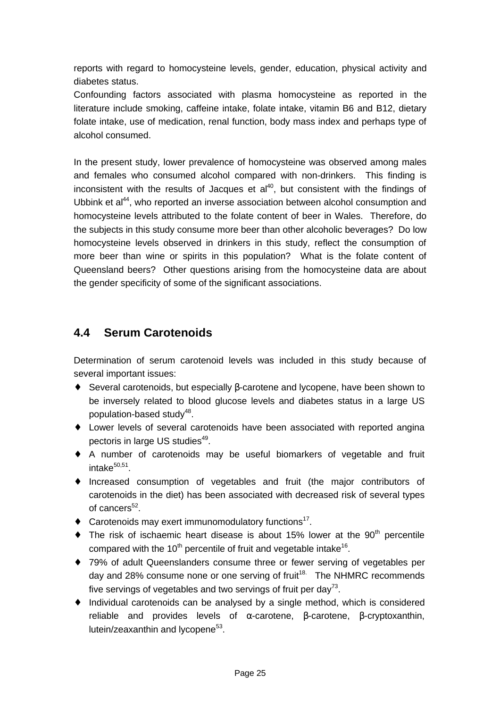reports with regard to homocysteine levels, gender, education, physical activity and diabetes status.

Confounding factors associated with plasma homocysteine as reported in the literature include smoking, caffeine intake, folate intake, vitamin B6 and B12, dietary folate intake, use of medication, renal function, body mass index and perhaps type of alcohol consumed.

In the present study, lower prevalence of homocysteine was observed among males and females who consumed alcohol compared with non-drinkers. This finding is inconsistent with the results of Jacques et  $al<sup>40</sup>$ , but consistent with the findings of Ubbink et al<sup>44</sup>, who reported an inverse association between alcohol consumption and homocysteine levels attributed to the folate content of beer in Wales. Therefore, do the subjects in this study consume more beer than other alcoholic beverages? Do low homocysteine levels observed in drinkers in this study, reflect the consumption of more beer than wine or spirits in this population? What is the folate content of Queensland beers? Other questions arising from the homocysteine data are about the gender specificity of some of the significant associations.

### **4.4 Serum Carotenoids**

Determination of serum carotenoid levels was included in this study because of several important issues:

- ♦ Several carotenoids, but especially β-carotene and lycopene, have been shown to be inversely related to blood glucose levels and diabetes status in a large US population-based study<sup>48</sup>.
- ♦ Lower levels of several carotenoids have been associated with reported angina pectoris in large US studies<sup>49</sup>.
- ♦ A number of carotenoids may be useful biomarkers of vegetable and fruit intake $^{\rm 50,51}$ .
- ♦ Increased consumption of vegetables and fruit (the major contributors of carotenoids in the diet) has been associated with decreased risk of several types of cancers<sup>52</sup>.
- ◆ Carotenoids may exert immunomodulatory functions<sup>17</sup>.
- $\bullet$  The risk of ischaemic heart disease is about 15% lower at the 90<sup>th</sup> percentile compared with the 10<sup>th</sup> percentile of fruit and vegetable intake<sup>16</sup>.
- ♦ 79% of adult Queenslanders consume three or fewer serving of vegetables per day and 28% consume none or one serving of fruit<sup>18.</sup> The NHMRC recommends five servings of vegetables and two servings of fruit per day<sup>73</sup>.
- ♦ Individual carotenoids can be analysed by a single method, which is considered reliable and provides levels of α-carotene, β-carotene, β-cryptoxanthin, lutein/zeaxanthin and lycopene<sup>53</sup>.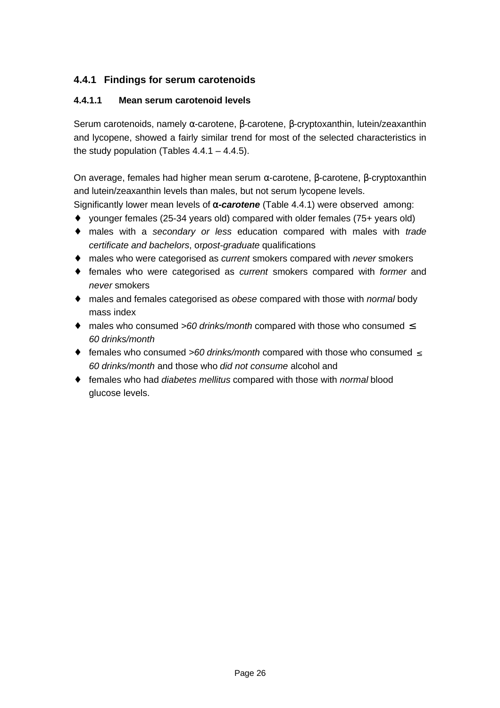### **4.4.1 Findings for serum carotenoids**

#### **4.4.1.1 Mean serum carotenoid levels**

Serum carotenoids, namely α-carotene, β-carotene, β-cryptoxanthin, lutein/zeaxanthin and lycopene, showed a fairly similar trend for most of the selected characteristics in the study population (Tables  $4.4.1 - 4.4.5$ ).

On average, females had higher mean serum α-carotene, β-carotene, β-cryptoxanthin and lutein/zeaxanthin levels than males, but not serum lycopene levels.

Significantly lower mean levels of **a***-carotene* (Table 4.4.1) were observed among:

- ♦ younger females (25-34 years old) compared with older females (75+ years old)
- ♦ males with a *secondary or less* education compared with males with *trade certificate and bachelors*, or*post-graduate* qualifications
- ♦ males who were categorised as *current* smokers compared with *never* smokers
- ♦ females who were categorised as *current* smokers compared with *former* and *never* smokers
- ♦ males and females categorised as *obese* compared with those with *normal* body mass index
- ♦ males who consumed *>60 drinks/month* compared with those who consumed ≤ *60 drinks/month*
- ♦ females who consumed *>60 drinks/month* compared with those who consumed ≤ *60 drinks/month* and those who *did not consume* alcohol and
- ♦ females who had *diabetes mellitus* compared with those with *normal* blood glucose levels.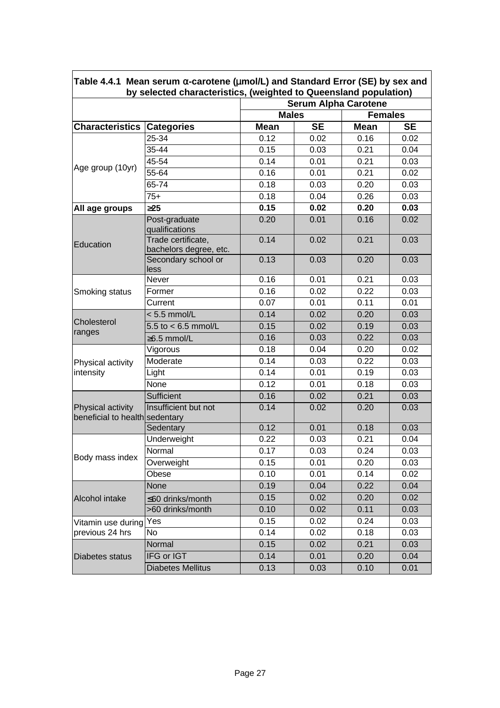|                                                     |                                              | by selected characteristics, (weighted to Queensland population)<br><b>Serum Alpha Carotene</b> |           |                |           |
|-----------------------------------------------------|----------------------------------------------|-------------------------------------------------------------------------------------------------|-----------|----------------|-----------|
|                                                     |                                              | <b>Males</b>                                                                                    |           | <b>Females</b> |           |
| <b>Characteristics</b>                              | <b>Categories</b>                            | <b>Mean</b>                                                                                     | <b>SE</b> | <b>Mean</b>    | <b>SE</b> |
|                                                     | 25-34                                        | 0.12                                                                                            | 0.02      | 0.16           | 0.02      |
|                                                     | 35-44                                        | 0.15                                                                                            | 0.03      | 0.21           | 0.04      |
|                                                     | 45-54                                        | 0.14                                                                                            | 0.01      | 0.21           | 0.03      |
| Age group (10yr)                                    | 55-64                                        | 0.16                                                                                            | 0.01      | 0.21           | 0.02      |
|                                                     | 65-74                                        | 0.18                                                                                            | 0.03      | 0.20           | 0.03      |
|                                                     | $75+$                                        | 0.18                                                                                            | 0.04      | 0.26           | 0.03      |
| All age groups                                      | 325                                          | 0.15                                                                                            | 0.02      | 0.20           | 0.03      |
| Education                                           | Post-graduate<br>qualifications              | 0.20                                                                                            | 0.01      | 0.16           | 0.02      |
|                                                     | Trade certificate,<br>bachelors degree, etc. | 0.14                                                                                            | 0.02      | 0.21           | 0.03      |
|                                                     | Secondary school or<br>less                  | 0.13                                                                                            | 0.03      | 0.20           | 0.03      |
|                                                     | Never                                        | 0.16                                                                                            | 0.01      | 0.21           | 0.03      |
| Smoking status                                      | Former                                       | 0.16                                                                                            | 0.02      | 0.22           | 0.03      |
|                                                     | Current                                      | 0.07                                                                                            | 0.01      | 0.11           | 0.01      |
| Cholesterol                                         | $< 5.5$ mmol/L                               | 0.14                                                                                            | 0.02      | 0.20           | 0.03      |
| ranges                                              | 5.5 to $< 6.5$ mmol/L                        | 0.15                                                                                            | 0.02      | 0.19           | 0.03      |
|                                                     | ≥6.5 mmol/L                                  | 0.16                                                                                            | 0.03      | 0.22           | 0.03      |
|                                                     | Vigorous                                     | 0.18                                                                                            | 0.04      | 0.20           | 0.02      |
| Physical activity                                   | Moderate                                     | 0.14                                                                                            | 0.03      | 0.22           | 0.03      |
| intensity                                           | Light                                        | 0.14                                                                                            | 0.01      | 0.19           | 0.03      |
|                                                     | None                                         | 0.12                                                                                            | 0.01      | 0.18           | 0.03      |
|                                                     | Sufficient                                   | 0.16                                                                                            | 0.02      | 0.21           | 0.03      |
| Physical activity<br>beneficial to health sedentary | Insufficient but not                         | 0.14                                                                                            | 0.02      | 0.20           | 0.03      |
|                                                     | Sedentary                                    | 0.12                                                                                            | 0.01      | 0.18           | 0.03      |
|                                                     | Underweight                                  | 0.22                                                                                            | 0.03      | 0.21           | 0.04      |
| Body mass index                                     | Normal                                       | 0.17                                                                                            | 0.03      | 0.24           | 0.03      |
|                                                     | Overweight                                   | 0.15                                                                                            | 0.01      | 0.20           | 0.03      |
|                                                     | Obese                                        | 0.10                                                                                            | 0.01      | 0.14           | 0.02      |
|                                                     | None                                         | 0.19                                                                                            | 0.04      | 0.22           | 0.04      |
| Alcohol intake                                      | ≤60 drinks/month                             | 0.15                                                                                            | 0.02      | 0.20           | 0.02      |
|                                                     | >60 drinks/month                             | 0.10                                                                                            | 0.02      | 0.11           | 0.03      |
| Vitamin use during                                  | Yes                                          | 0.15                                                                                            | 0.02      | 0.24           | 0.03      |
| previous 24 hrs                                     | No                                           | 0.14                                                                                            | 0.02      | 0.18           | 0.03      |
|                                                     | Normal                                       | 0.15                                                                                            | 0.02      | 0.21           | 0.03      |
| Diabetes status                                     | IFG or IGT                                   | 0.14                                                                                            | 0.01      | 0.20           | 0.04      |
|                                                     | <b>Diabetes Mellitus</b>                     | 0.13                                                                                            | 0.03      | 0.10           | 0.01      |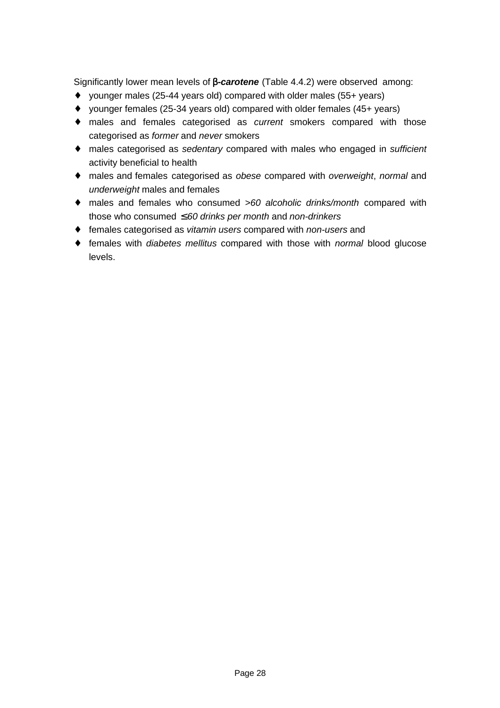Significantly lower mean levels of **b***-carotene* (Table 4.4.2) were observed among:

- ♦ younger males (25-44 years old) compared with older males (55+ years)
- ♦ younger females (25-34 years old) compared with older females (45+ years)
- ♦ males and females categorised as *current* smokers compared with those categorised as *former* and *never* smokers
- ♦ males categorised as *sedentary* compared with males who engaged in *sufficient* activity beneficial to health
- ♦ males and females categorised as *obese* compared with *overweight*, *normal* and *underweight* males and females
- ♦ males and females who consumed *>60 alcoholic drinks/month* compared with those who consumed ≤ *60 drinks per month* and *non-drinkers*
- ♦ females categorised as *vitamin users* compared with *non-users* and
- ♦ females with *diabetes mellitus* compared with those with *normal* blood glucose levels.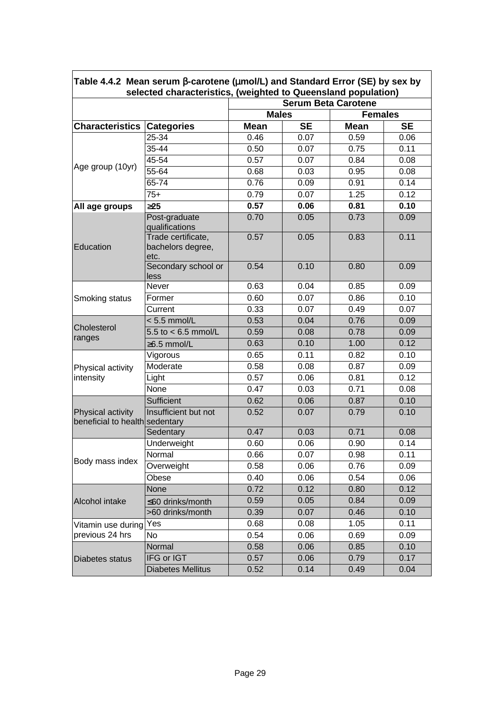| Table 4.4.2 Mean serum <b>b-</b> carotene ( <b>mmol/L</b> ) and Standard Error (SE) by sex by<br>selected characteristics, (weighted to Queensland population) |                                         |              |                            |             |           |  |  |  |
|----------------------------------------------------------------------------------------------------------------------------------------------------------------|-----------------------------------------|--------------|----------------------------|-------------|-----------|--|--|--|
|                                                                                                                                                                |                                         |              | <b>Serum Beta Carotene</b> |             |           |  |  |  |
|                                                                                                                                                                |                                         | <b>Males</b> | <b>Females</b>             |             |           |  |  |  |
| <b>Characteristics</b>                                                                                                                                         | <b>Categories</b>                       | <b>Mean</b>  | <b>SE</b>                  | <b>Mean</b> | <b>SE</b> |  |  |  |
|                                                                                                                                                                | 25-34                                   | 0.46         | 0.07                       | 0.59        | 0.06      |  |  |  |
|                                                                                                                                                                | 35-44                                   | 0.50         | 0.07                       | 0.75        | 0.11      |  |  |  |
|                                                                                                                                                                | $45 - 54$                               | 0.57         | 0.07                       | 0.84        | 0.08      |  |  |  |
| Age group (10yr)                                                                                                                                               | 55-64                                   | 0.68         | 0.03                       | 0.95        | 0.08      |  |  |  |
|                                                                                                                                                                | 65-74                                   | 0.76         | 0.09                       | 0.91        | 0.14      |  |  |  |
|                                                                                                                                                                | $75+$                                   | 0.79         | 0.07                       | 1.25        | 0.12      |  |  |  |
| All age groups                                                                                                                                                 | 325                                     | 0.57         | 0.06                       | 0.81        | 0.10      |  |  |  |
|                                                                                                                                                                | Post-graduate                           | 0.70         | 0.05                       | 0.73        | 0.09      |  |  |  |
|                                                                                                                                                                | qualifications                          |              |                            |             |           |  |  |  |
| Education                                                                                                                                                      | Trade certificate,<br>bachelors degree, | 0.57         | 0.05                       | 0.83        | 0.11      |  |  |  |
|                                                                                                                                                                | etc.                                    |              |                            |             |           |  |  |  |
|                                                                                                                                                                | Secondary school or<br>less             | 0.54         | 0.10                       | 0.80        | 0.09      |  |  |  |
|                                                                                                                                                                | Never                                   | 0.63         | 0.04                       | 0.85        | 0.09      |  |  |  |
| Smoking status                                                                                                                                                 | Former                                  | 0.60         | 0.07                       | 0.86        | 0.10      |  |  |  |
|                                                                                                                                                                | Current                                 | 0.33         | 0.07                       | 0.49        | 0.07      |  |  |  |
|                                                                                                                                                                | $< 5.5$ mmol/L                          | 0.53         | 0.04                       | 0.76        | 0.09      |  |  |  |
| Cholesterol                                                                                                                                                    | 5.5 to $< 6.5$ mmol/L                   | 0.59         | 0.08                       | 0.78        | 0.09      |  |  |  |
| ranges                                                                                                                                                         | ≥6.5 mmol/L                             | 0.63         | 0.10                       | 1.00        | 0.12      |  |  |  |
|                                                                                                                                                                | Vigorous                                | 0.65         | 0.11                       | 0.82        | 0.10      |  |  |  |
| Physical activity                                                                                                                                              | Moderate                                | 0.58         | 0.08                       | 0.87        | 0.09      |  |  |  |
| intensity                                                                                                                                                      | Light                                   | 0.57         | 0.06                       | 0.81        | 0.12      |  |  |  |
|                                                                                                                                                                | None                                    | 0.47         | 0.03                       | 0.71        | 0.08      |  |  |  |
|                                                                                                                                                                | Sufficient                              | 0.62         | 0.06                       | 0.87        | 0.10      |  |  |  |
| Physical activity<br>beneficial to health sedentary                                                                                                            | Insufficient but not                    | 0.52         | 0.07                       | 0.79        | 0.10      |  |  |  |
|                                                                                                                                                                | Sedentary                               | 0.47         | 0.03                       | 0.71        | 0.08      |  |  |  |
|                                                                                                                                                                | Underweight                             | 0.60         | 0.06                       | 0.90        | 0.14      |  |  |  |
|                                                                                                                                                                | Normal                                  | 0.66         | 0.07                       | 0.98        | 0.11      |  |  |  |
| Body mass index                                                                                                                                                | Overweight                              | 0.58         | 0.06                       | 0.76        | 0.09      |  |  |  |
|                                                                                                                                                                | Obese                                   | 0.40         | 0.06                       | 0.54        | 0.06      |  |  |  |
|                                                                                                                                                                | None                                    | 0.72         | 0.12                       | 0.80        | 0.12      |  |  |  |
| Alcohol intake                                                                                                                                                 | ≤60 drinks/month                        | 0.59         | 0.05                       | 0.84        | 0.09      |  |  |  |
|                                                                                                                                                                | >60 drinks/month                        | 0.39         | 0.07                       | 0.46        | 0.10      |  |  |  |
| Vitamin use during                                                                                                                                             | Yes                                     | 0.68         | 0.08                       | 1.05        | 0.11      |  |  |  |
| previous 24 hrs                                                                                                                                                | No                                      | 0.54         | 0.06                       | 0.69        | 0.09      |  |  |  |
|                                                                                                                                                                | Normal                                  | 0.58         | 0.06                       | 0.85        | 0.10      |  |  |  |
| Diabetes status                                                                                                                                                | IFG or IGT                              | 0.57         | 0.06                       | 0.79        | 0.17      |  |  |  |
|                                                                                                                                                                | <b>Diabetes Mellitus</b>                | 0.52         | 0.14                       | 0.49        | 0.04      |  |  |  |

 $\overline{\phantom{a}}$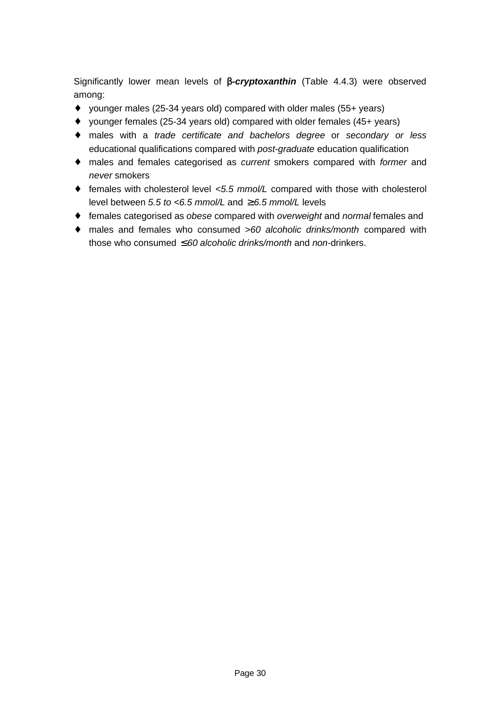Significantly lower mean levels of **b***-cryptoxanthin* (Table 4.4.3) were observed among:

- ♦ younger males (25-34 years old) compared with older males (55+ years)
- ♦ younger females (25-34 years old) compared with older females (45+ years)
- ♦ males with a *trade certificate and bachelors degree* or *secondary or less* educational qualifications compared with *post-graduate* education qualification
- ♦ males and females categorised as *current* smokers compared with *former* and *never* smokers
- ♦ females with cholesterol level *<5.5 mmol/L* compared with those with cholesterol level between *5.5 to <6.5 mmol/L* and ≥ *6.5 mmol/L* levels
- ♦ females categorised as *obese* compared with *overweight* and *normal* females and
- ♦ males and females who consumed *>60 alcoholic drinks/month* compared with those who consumed ≤ *60 alcoholic drinks/month* and *non*-drinkers.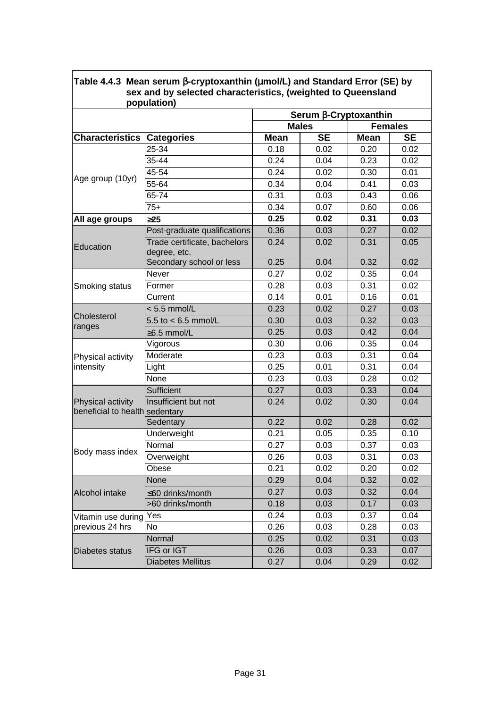|                                                     |                                              |             | Serum <b>b-Cryptoxanthin</b> |             |                |
|-----------------------------------------------------|----------------------------------------------|-------------|------------------------------|-------------|----------------|
|                                                     |                                              |             | <b>Males</b>                 |             | <b>Females</b> |
| <b>Characteristics Categories</b>                   |                                              | <b>Mean</b> | <b>SE</b>                    | <b>Mean</b> | <b>SE</b>      |
|                                                     | 25-34                                        | 0.18        | 0.02                         | 0.20        | 0.02           |
|                                                     | 35-44                                        | 0.24        | 0.04                         | 0.23        | 0.02           |
|                                                     | 45-54                                        | 0.24        | 0.02                         | 0.30        | 0.01           |
| Age group (10yr)                                    | 55-64                                        | 0.34        | 0.04                         | 0.41        | 0.03           |
|                                                     | 65-74                                        | 0.31        | 0.03                         | 0.43        | 0.06           |
|                                                     | $75+$                                        | 0.34        | 0.07                         | 0.60        | 0.06           |
| All age groups                                      | 325                                          | 0.25        | 0.02                         | 0.31        | 0.03           |
|                                                     | Post-graduate qualifications                 | 0.36        | 0.03                         | 0.27        | 0.02           |
| Education                                           | Trade certificate, bachelors<br>degree, etc. | 0.24        | 0.02                         | 0.31        | 0.05           |
|                                                     | Secondary school or less                     | 0.25        | 0.04                         | 0.32        | 0.02           |
|                                                     | Never                                        | 0.27        | 0.02                         | 0.35        | 0.04           |
| Smoking status                                      | Former                                       | 0.28        | 0.03                         | 0.31        | 0.02           |
|                                                     | Current                                      | 0.14        | 0.01                         | 0.16        | 0.01           |
|                                                     | $< 5.5$ mmol/L                               | 0.23        | 0.02                         | 0.27        | 0.03           |
| Cholesterol                                         | 5.5 to $< 6.5$ mmol/L                        | 0.30        | 0.03                         | 0.32        | 0.03           |
| ranges                                              | $\geq$ 6.5 mmol/L                            | 0.25        | 0.03                         | 0.42        | 0.04           |
|                                                     | Vigorous                                     | 0.30        | 0.06                         | 0.35        | 0.04           |
| Physical activity                                   | Moderate                                     | 0.23        | 0.03                         | 0.31        | 0.04           |
| intensity                                           | Light                                        | 0.25        | 0.01                         | 0.31        | 0.04           |
|                                                     | None                                         | 0.23        | 0.03                         | 0.28        | 0.02           |
|                                                     | Sufficient                                   | 0.27        | 0.03                         | 0.33        | 0.04           |
| Physical activity<br>beneficial to health sedentary | Insufficient but not                         | 0.24        | 0.02                         | 0.30        | 0.04           |
|                                                     | Sedentary                                    | 0.22        | 0.02                         | 0.28        | 0.02           |
|                                                     | Underweight                                  | 0.21        | 0.05                         | 0.35        | 0.10           |
|                                                     | Normal                                       | 0.27        | 0.03                         | 0.37        | 0.03           |
| Body mass index                                     | Overweight                                   | 0.26        | 0.03                         | 0.31        | 0.03           |
|                                                     | Obese                                        | 0.21        | 0.02                         | 0.20        | 0.02           |
|                                                     | None                                         | 0.29        | 0.04                         | 0.32        | 0.02           |
| Alcohol intake                                      | ≤60 drinks/month                             | 0.27        | 0.03                         | 0.32        | 0.04           |
|                                                     | >60 drinks/month                             | 0.18        | 0.03                         | 0.17        | 0.03           |
| Vitamin use during                                  | Yes                                          | 0.24        | 0.03                         | 0.37        | 0.04           |
| previous 24 hrs                                     | <b>No</b>                                    | 0.26        | 0.03                         | 0.28        | 0.03           |
|                                                     | Normal                                       | 0.25        | 0.02                         | 0.31        | 0.03           |
| Diabetes status                                     | IFG or IGT                                   | 0.26        | 0.03                         | 0.33        | 0.07           |
|                                                     | <b>Diabetes Mellitus</b>                     | 0.27        | 0.04                         | 0.29        | 0.02           |

## **Table 4.4.3 Mean serum b-cryptoxanthin (mmol/L) and Standard Error (SE) by sex and by selected characteristics, (weighted to Queensland**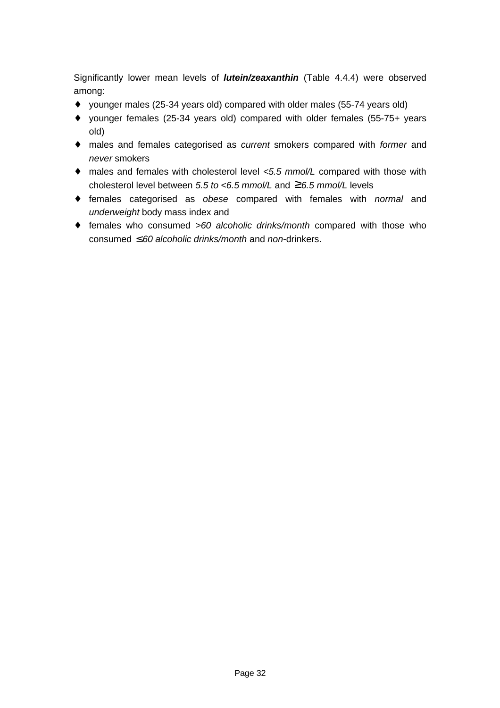Significantly lower mean levels of *lutein/zeaxanthin* (Table 4.4.4) were observed among:

- ♦ younger males (25-34 years old) compared with older males (55-74 years old)
- ♦ younger females (25-34 years old) compared with older females (55-75+ years old)
- ♦ males and females categorised as *current* smokers compared with *former* and *never* smokers
- ♦ males and females with cholesterol level *<5.5 mmol/L* compared with those with cholesterol level between *5.5 to <6.5 mmol/L* and ≥*6.5 mmol/L* levels
- ♦ females categorised as *obese* compared with females with *normal* and *underweight* body mass index and
- ♦ females who consumed *>60 alcoholic drinks/month* compared with those who consumed ≤ *60 alcoholic drinks/month* and *non*-drinkers.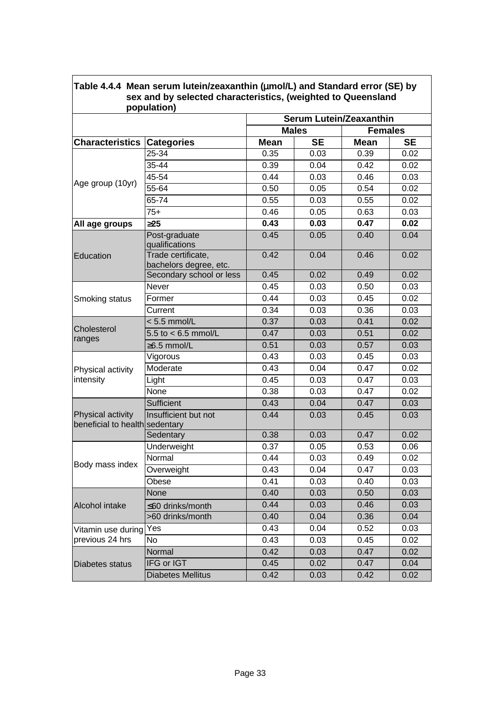|                                                     | sex and by selected characteristics, (weighted to Queensland<br>population) |                                |              |                |           |  |
|-----------------------------------------------------|-----------------------------------------------------------------------------|--------------------------------|--------------|----------------|-----------|--|
|                                                     |                                                                             | <b>Serum Lutein/Zeaxanthin</b> |              |                |           |  |
|                                                     |                                                                             |                                | <b>Males</b> | <b>Females</b> |           |  |
| <b>Characteristics</b>                              | <b>Categories</b>                                                           | <b>Mean</b>                    | <b>SE</b>    | <b>Mean</b>    | <b>SE</b> |  |
|                                                     | 25-34                                                                       | 0.35                           | 0.03         | 0.39           | 0.02      |  |
|                                                     | 35-44                                                                       | 0.39                           | 0.04         | 0.42           | 0.02      |  |
| Age group (10yr)                                    | 45-54                                                                       | 0.44                           | 0.03         | 0.46           | 0.03      |  |
|                                                     | 55-64                                                                       | 0.50                           | 0.05         | 0.54           | 0.02      |  |
|                                                     | 65-74                                                                       | 0.55                           | 0.03         | 0.55           | 0.02      |  |
|                                                     | $75+$                                                                       | 0.46                           | 0.05         | 0.63           | 0.03      |  |
| All age groups                                      | 325                                                                         | 0.43                           | 0.03         | 0.47           | 0.02      |  |
|                                                     | Post-graduate<br>qualifications                                             | 0.45                           | 0.05         | 0.40           | 0.04      |  |
| Education                                           | Trade certificate,<br>bachelors degree, etc.                                | 0.42                           | 0.04         | 0.46           | 0.02      |  |
|                                                     | Secondary school or less                                                    | 0.45                           | 0.02         | 0.49           | 0.02      |  |
|                                                     | Never                                                                       | 0.45                           | 0.03         | 0.50           | 0.03      |  |
| Smoking status                                      | Former                                                                      | 0.44                           | 0.03         | 0.45           | 0.02      |  |
|                                                     | Current                                                                     | 0.34                           | 0.03         | 0.36           | 0.03      |  |
| Cholesterol<br>ranges                               | $< 5.5$ mmol/L                                                              | 0.37                           | 0.03         | 0.41           | 0.02      |  |
|                                                     | 5.5 to $< 6.5$ mmol/L                                                       | 0.47                           | 0.03         | 0.51           | 0.02      |  |
|                                                     | $\geq$ 6.5 mmol/L                                                           | 0.51                           | 0.03         | 0.57           | 0.03      |  |
|                                                     | Vigorous                                                                    | 0.43                           | 0.03         | 0.45           | 0.03      |  |
| Physical activity                                   | Moderate                                                                    | 0.43                           | 0.04         | 0.47           | 0.02      |  |
| intensity                                           | Light                                                                       | 0.45                           | 0.03         | 0.47           | 0.03      |  |
|                                                     | None                                                                        | 0.38                           | 0.03         | 0.47           | 0.02      |  |
|                                                     | Sufficient                                                                  | 0.43                           | 0.04         | 0.47           | 0.03      |  |
| Physical activity<br>beneficial to health sedentary | Insufficient but not                                                        | 0.44                           | 0.03         | 0.45           | 0.03      |  |
|                                                     | Sedentary                                                                   | 0.38                           | 0.03         | 0.47           | 0.02      |  |
|                                                     | Underweight                                                                 | 0.37                           | 0.05         | 0.53           | 0.06      |  |
| Body mass index                                     | Normal                                                                      | 0.44                           | 0.03         | 0.49           | 0.02      |  |
|                                                     | Overweight                                                                  | 0.43                           | 0.04         | 0.47           | 0.03      |  |
|                                                     | Obese                                                                       | 0.41                           | 0.03         | 0.40           | 0.03      |  |
|                                                     | None                                                                        | 0.40                           | 0.03         | 0.50           | 0.03      |  |
| Alcohol intake                                      | ≤60 drinks/month                                                            | 0.44                           | 0.03         | 0.46           | 0.03      |  |
|                                                     | >60 drinks/month                                                            | 0.40                           | 0.04         | 0.36           | 0.04      |  |
| Vitamin use during                                  | Yes                                                                         | 0.43                           | 0.04         | 0.52           | 0.03      |  |
| previous 24 hrs                                     | No                                                                          | 0.43                           | 0.03         | 0.45           | 0.02      |  |
|                                                     | Normal                                                                      | 0.42                           | 0.03         | 0.47           | 0.02      |  |
| <b>Diabetes status</b>                              | IFG or IGT                                                                  | 0.45                           | 0.02         | 0.47           | 0.04      |  |
|                                                     | <b>Diabetes Mellitus</b>                                                    | 0.42                           | 0.03         | 0.42           | 0.02      |  |

# **Table 4.4.4 Mean serum lutein/zeaxanthin (mmol/L) and Standard error (SE) by**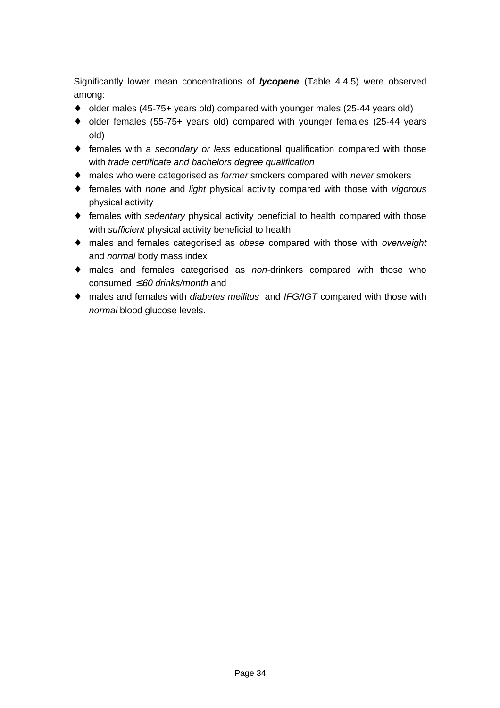Significantly lower mean concentrations of *lycopene* (Table 4.4.5) were observed among:

- ♦ older males (45-75+ years old) compared with younger males (25-44 years old)
- ♦ older females (55-75+ years old) compared with younger females (25-44 years old)
- ♦ females with a *secondary or less* educational qualification compared with those with *trade certificate and bachelors degree qualification*
- ♦ males who were categorised as *former* smokers compared with *never* smokers
- ♦ females with *none* and *light* physical activity compared with those with *vigorous* physical activity
- ♦ females with *sedentary* physical activity beneficial to health compared with those with *sufficient* physical activity beneficial to health
- ♦ males and females categorised as *obese* compared with those with *overweight* and *normal* body mass index
- ♦ males and females categorised as *non*-drinkers compared with those who consumed ≤ *60 drinks/month* and
- ♦ males and females with *diabetes mellitus* and *IFG/IGT* compared with those with *normal* blood glucose levels.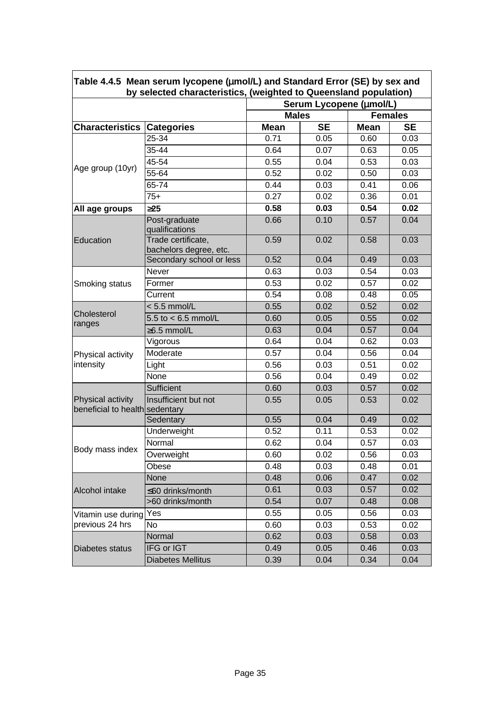|                                                     | by selected characteristics, (weighted to Queensland population) |              | Serum Lycopene (mmol/L) |             |                |
|-----------------------------------------------------|------------------------------------------------------------------|--------------|-------------------------|-------------|----------------|
|                                                     |                                                                  | <b>Males</b> |                         |             | <b>Females</b> |
| <b>Characteristics</b>                              | <b>Categories</b>                                                | <b>Mean</b>  | <b>SE</b>               | <b>Mean</b> | <b>SE</b>      |
|                                                     | 25-34                                                            | 0.71         | 0.05                    | 0.60        | 0.03           |
|                                                     | 35-44                                                            | 0.64         | 0.07                    | 0.63        | 0.05           |
| Age group (10yr)                                    | 45-54                                                            | 0.55         | 0.04                    | 0.53        | 0.03           |
|                                                     | 55-64                                                            | 0.52         | 0.02                    | 0.50        | 0.03           |
|                                                     | 65-74                                                            | 0.44         | 0.03                    | 0.41        | 0.06           |
|                                                     | $75+$                                                            | 0.27         | 0.02                    | 0.36        | 0.01           |
| All age groups                                      | 325                                                              | 0.58         | 0.03                    | 0.54        | 0.02           |
|                                                     | Post-graduate<br>qualifications                                  | 0.66         | 0.10                    | 0.57        | 0.04           |
| Education                                           | Trade certificate,<br>bachelors degree, etc.                     | 0.59         | 0.02                    | 0.58        | 0.03           |
|                                                     | Secondary school or less                                         | 0.52         | 0.04                    | 0.49        | 0.03           |
|                                                     | Never                                                            | 0.63         | 0.03                    | 0.54        | 0.03           |
| Smoking status                                      | Former                                                           | 0.53         | 0.02                    | 0.57        | 0.02           |
|                                                     | Current                                                          | 0.54         | 0.08                    | 0.48        | 0.05           |
| Cholesterol                                         | $< 5.5$ mmol/L                                                   | 0.55         | 0.02                    | 0.52        | 0.02           |
| ranges                                              | 5.5 to $< 6.5$ mmol/L                                            | 0.60         | 0.05                    | 0.55        | 0.02           |
|                                                     | $\geq$ 6.5 mmol/L                                                | 0.63         | 0.04                    | 0.57        | 0.04           |
|                                                     | Vigorous                                                         | 0.64         | 0.04                    | 0.62        | 0.03           |
| Physical activity                                   | Moderate                                                         | 0.57         | 0.04                    | 0.56        | 0.04           |
| intensity                                           | Light                                                            | 0.56         | 0.03                    | 0.51        | 0.02           |
|                                                     | None                                                             | 0.56         | 0.04                    | 0.49        | 0.02           |
|                                                     | Sufficient                                                       | 0.60         | 0.03                    | 0.57        | 0.02           |
| Physical activity<br>beneficial to health sedentary | Insufficient but not                                             | 0.55         | 0.05                    | 0.53        | 0.02           |
|                                                     | Sedentary                                                        | 0.55         | 0.04                    | 0.49        | 0.02           |
|                                                     | Underweight                                                      | 0.52         | 0.11                    | 0.53        | 0.02           |
| Body mass index                                     | Normal                                                           | 0.62         | 0.04                    | 0.57        | 0.03           |
|                                                     | Overweight                                                       | 0.60         | 0.02                    | 0.56        | 0.03           |
|                                                     | Obese                                                            | 0.48         | 0.03                    | 0.48        | 0.01           |
|                                                     | None                                                             | 0.48         | 0.06                    | 0.47        | 0.02           |
| Alcohol intake                                      | ≤60 drinks/month                                                 | 0.61         | 0.03                    | 0.57        | 0.02           |
|                                                     | >60 drinks/month                                                 | 0.54         | 0.07                    | 0.48        | 0.08           |
| Vitamin use during                                  | Yes                                                              | 0.55         | 0.05                    | 0.56        | 0.03           |
| previous 24 hrs                                     | No                                                               | 0.60         | 0.03                    | 0.53        | 0.02           |
|                                                     | Normal                                                           | 0.62         | 0.03                    | 0.58        | 0.03           |
| Diabetes status                                     | IFG or IGT                                                       | 0.49         | 0.05                    | 0.46        | 0.03           |
|                                                     | <b>Diabetes Mellitus</b>                                         | 0.39         | 0.04                    | 0.34        | 0.04           |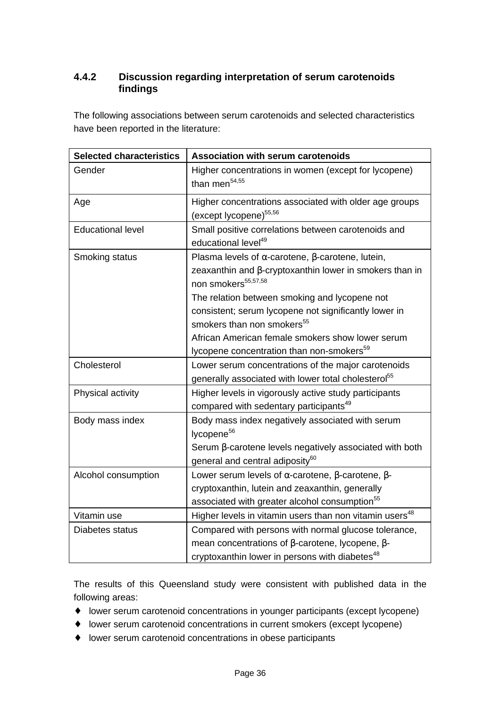#### **4.4.2 Discussion regarding interpretation of serum carotenoids findings**

The following associations between serum carotenoids and selected characteristics have been reported in the literature:

| <b>Selected characteristics</b> | <b>Association with serum carotenoids</b>                                                         |
|---------------------------------|---------------------------------------------------------------------------------------------------|
| Gender                          | Higher concentrations in women (except for lycopene)<br>than men $54,55$                          |
| Age                             | Higher concentrations associated with older age groups<br>(except lycopene) <sup>55,56</sup>      |
| <b>Educational level</b>        | Small positive correlations between carotenoids and<br>educational level <sup>49</sup>            |
| Smoking status                  | Plasma levels of $\alpha$ -carotene, $\beta$ -carotene, lutein,                                   |
|                                 | zeaxanthin and $\beta$ -cryptoxanthin lower in smokers than in<br>non smokers <sup>55,57,58</sup> |
|                                 | The relation between smoking and lycopene not                                                     |
|                                 | consistent; serum lycopene not significantly lower in                                             |
|                                 | smokers than non smokers <sup>55</sup>                                                            |
|                                 | African American female smokers show lower serum                                                  |
|                                 | lycopene concentration than non-smokers <sup>59</sup>                                             |
| Cholesterol                     | Lower serum concentrations of the major carotenoids                                               |
|                                 | generally associated with lower total cholesterol <sup>55</sup>                                   |
| Physical activity               | Higher levels in vigorously active study participants                                             |
|                                 | compared with sedentary participants <sup>49</sup>                                                |
| Body mass index                 | Body mass index negatively associated with serum                                                  |
|                                 | lycopene <sup>56</sup>                                                                            |
|                                 | Serum β-carotene levels negatively associated with both                                           |
|                                 | general and central adiposity <sup>60</sup>                                                       |
| Alcohol consumption             | Lower serum levels of $\alpha$ -carotene, $\beta$ -carotene, $\beta$ -                            |
|                                 | cryptoxanthin, lutein and zeaxanthin, generally                                                   |
|                                 | associated with greater alcohol consumption <sup>55</sup>                                         |
| Vitamin use                     | Higher levels in vitamin users than non vitamin users <sup>48</sup>                               |
| Diabetes status                 | Compared with persons with normal glucose tolerance,                                              |
|                                 | mean concentrations of $\beta$ -carotene, lycopene, $\beta$ -                                     |
|                                 | cryptoxanthin lower in persons with diabetes <sup>48</sup>                                        |

The results of this Queensland study were consistent with published data in the following areas:

- ♦ lower serum carotenoid concentrations in younger participants (except lycopene)
- ♦ lower serum carotenoid concentrations in current smokers (except lycopene)
- ♦ lower serum carotenoid concentrations in obese participants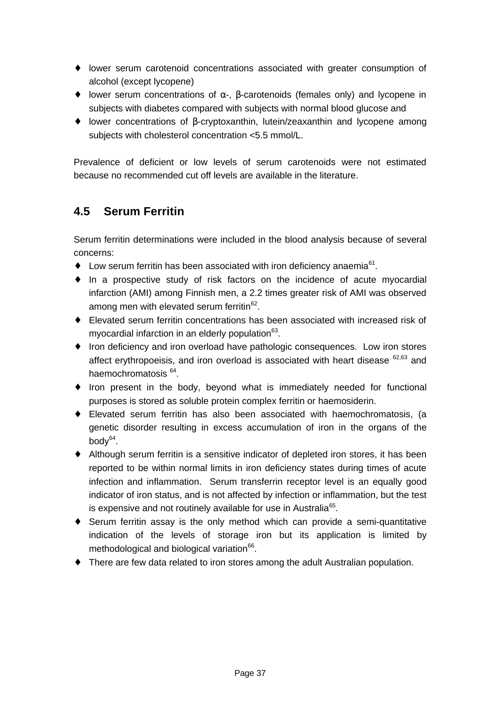- ♦ lower serum carotenoid concentrations associated with greater consumption of alcohol (except lycopene)
- $\bullet$  lower serum concentrations of  $\alpha$ -,  $\beta$ -carotenoids (females only) and lycopene in subjects with diabetes compared with subjects with normal blood glucose and
- ♦ lower concentrations of β-cryptoxanthin, lutein/zeaxanthin and lycopene among subjects with cholesterol concentration <5.5 mmol/L.

Prevalence of deficient or low levels of serum carotenoids were not estimated because no recommended cut off levels are available in the literature.

## **4.5 Serum Ferritin**

Serum ferritin determinations were included in the blood analysis because of several concerns:

- $\bullet$  Low serum ferritin has been associated with iron deficiency anaemia<sup>61</sup>.
- ♦ In a prospective study of risk factors on the incidence of acute myocardial infarction (AMI) among Finnish men, a 2.2 times greater risk of AMI was observed among men with elevated serum ferritin $^{62}$ .
- ♦ Elevated serum ferritin concentrations has been associated with increased risk of myocardial infarction in an elderly population<sup>63</sup>.
- ♦ Iron deficiency and iron overload have pathologic consequences. Low iron stores affect erythropoeisis, and iron overload is associated with heart disease  $62,63$  and haemochromatosis <sup>64</sup>.
- ♦ Iron present in the body, beyond what is immediately needed for functional purposes is stored as soluble protein complex ferritin or haemosiderin.
- ♦ Elevated serum ferritin has also been associated with haemochromatosis, (a genetic disorder resulting in excess accumulation of iron in the organs of the body $^{64}$ .
- ♦ Although serum ferritin is a sensitive indicator of depleted iron stores, it has been reported to be within normal limits in iron deficiency states during times of acute infection and inflammation. Serum transferrin receptor level is an equally good indicator of iron status, and is not affected by infection or inflammation, but the test is expensive and not routinely available for use in Australia<sup>65</sup>.
- ♦ Serum ferritin assay is the only method which can provide a semi-quantitative indication of the levels of storage iron but its application is limited by methodological and biological variation<sup>66</sup>.
- ♦ There are few data related to iron stores among the adult Australian population.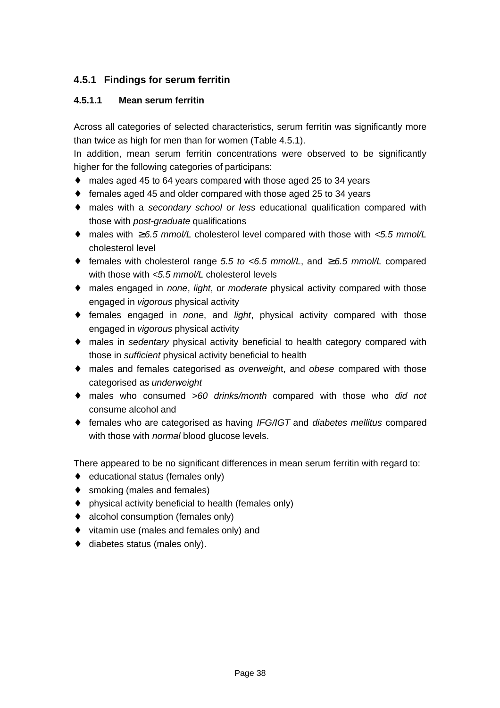#### **4.5.1 Findings for serum ferritin**

#### **4.5.1.1 Mean serum ferritin**

Across all categories of selected characteristics, serum ferritin was significantly more than twice as high for men than for women (Table 4.5.1).

In addition, mean serum ferritin concentrations were observed to be significantly higher for the following categories of participans:

- ♦ males aged 45 to 64 years compared with those aged 25 to 34 years
- ♦ females aged 45 and older compared with those aged 25 to 34 years
- ♦ males with a *secondary school or less* educational qualification compared with those with *post-graduate* qualifications
- ♦ males with ≥ *6.5 mmol/L* cholesterol level compared with those with *<5.5 mmol/L* cholesterol level
- ♦ females with cholesterol range *5.5 to <6.5 mmol/L*, and ≥ *6.5 mmol/L* compared with those with *<5.5 mmol/L* cholesterol levels
- ♦ males engaged in *none*, *light*, or *moderate* physical activity compared with those engaged in *vigorous* physical activity
- ♦ females engaged in *none*, and *light*, physical activity compared with those engaged in *vigorous* physical activity
- ♦ males in *sedentary* physical activity beneficial to health category compared with those in *sufficient* physical activity beneficial to health
- ♦ males and females categorised as *overweigh*t, and *obese* compared with those categorised as *underweight*
- ♦ males who consumed *>60 drinks/month* compared with those who *did not* consume alcohol and
- ♦ females who are categorised as having *IFG/IGT* and *diabetes mellitus* compared with those with *normal* blood glucose levels.

There appeared to be no significant differences in mean serum ferritin with regard to:

- ♦ educational status (females only)
- ♦ smoking (males and females)
- ♦ physical activity beneficial to health (females only)
- ♦ alcohol consumption (females only)
- ♦ vitamin use (males and females only) and
- ♦ diabetes status (males only).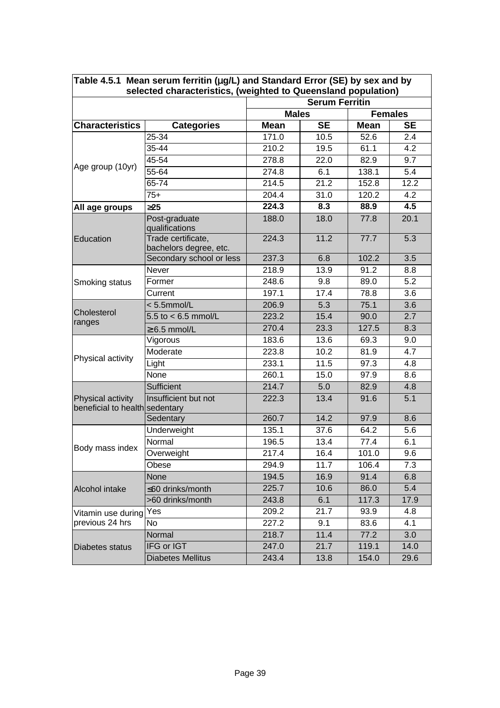| Table 4.5.1 Mean serum ferritin $(mg/L)$ and Standard Error (SE) by sex and by<br>selected characteristics, (weighted to Queensland population) |                                              |                                |           |             |           |  |  |  |
|-------------------------------------------------------------------------------------------------------------------------------------------------|----------------------------------------------|--------------------------------|-----------|-------------|-----------|--|--|--|
|                                                                                                                                                 | <b>Serum Ferritin</b>                        |                                |           |             |           |  |  |  |
|                                                                                                                                                 |                                              | <b>Females</b><br><b>Males</b> |           |             |           |  |  |  |
| <b>Characteristics</b>                                                                                                                          | <b>Categories</b>                            | <b>Mean</b>                    | <b>SE</b> | <b>Mean</b> | <b>SE</b> |  |  |  |
|                                                                                                                                                 | 25-34                                        | 171.0                          | 10.5      | 52.6        | 2.4       |  |  |  |
|                                                                                                                                                 | 35-44                                        | 210.2                          | 19.5      | 61.1        | 4.2       |  |  |  |
| Age group (10yr)                                                                                                                                | 45-54                                        | 278.8                          | 22.0      | 82.9        | 9.7       |  |  |  |
|                                                                                                                                                 | 55-64                                        | 274.8                          | 6.1       | 138.1       | 5.4       |  |  |  |
|                                                                                                                                                 | 65-74                                        | 214.5                          | 21.2      | 152.8       | 12.2      |  |  |  |
|                                                                                                                                                 | $75+$                                        | 204.4                          | 31.0      | 120.2       | 4.2       |  |  |  |
| All age groups                                                                                                                                  | 325                                          | 224.3                          | 8.3       | 88.9        | 4.5       |  |  |  |
|                                                                                                                                                 | Post-graduate<br>qualifications              | 188.0                          | 18.0      | 77.8        | 20.1      |  |  |  |
| Education                                                                                                                                       | Trade certificate,<br>bachelors degree, etc. | 224.3                          | 11.2      | 77.7        | 5.3       |  |  |  |
|                                                                                                                                                 | Secondary school or less                     | 237.3                          | 6.8       | 102.2       | 3.5       |  |  |  |
|                                                                                                                                                 | Never                                        | 218.9                          | 13.9      | 91.2        | 8.8       |  |  |  |
| Smoking status                                                                                                                                  | Former                                       | 248.6                          | 9.8       | 89.0        | 5.2       |  |  |  |
|                                                                                                                                                 | Current                                      | 197.1                          | 17.4      | 78.8        | 3.6       |  |  |  |
|                                                                                                                                                 | $< 5.5$ mmol/L                               | 206.9                          | 5.3       | 75.1        | 3.6       |  |  |  |
| Cholesterol                                                                                                                                     | 5.5 to $< 6.5$ mmol/L                        | 223.2                          | 15.4      | 90.0        | 2.7       |  |  |  |
| ranges                                                                                                                                          | $\geq 6.5$ mmol/L                            | 270.4                          | 23.3      | 127.5       | 8.3       |  |  |  |
|                                                                                                                                                 | Vigorous                                     | 183.6                          | 13.6      | 69.3        | 9.0       |  |  |  |
| Physical activity                                                                                                                               | Moderate                                     | 223.8                          | 10.2      | 81.9        | 4.7       |  |  |  |
|                                                                                                                                                 | Light                                        | 233.1                          | 11.5      | 97.3        | 4.8       |  |  |  |
|                                                                                                                                                 | None                                         | 260.1                          | 15.0      | 97.9        | 8.6       |  |  |  |
|                                                                                                                                                 | Sufficient                                   | 214.7                          | 5.0       | 82.9        | 4.8       |  |  |  |
| Physical activity<br>beneficial to health sedentary                                                                                             | Insufficient but not                         | 222.3                          | 13.4      | 91.6        | 5.1       |  |  |  |
|                                                                                                                                                 | Sedentary                                    | 260.7                          | 14.2      | 97.9        | 8.6       |  |  |  |
|                                                                                                                                                 | Underweight                                  | 135.1                          | 37.6      | 64.2        | 5.6       |  |  |  |
| Body mass index                                                                                                                                 | Normal                                       | 196.5                          | 13.4      | 77.4        | 6.1       |  |  |  |
|                                                                                                                                                 | Overweight                                   | 217.4                          | 16.4      | 101.0       | 9.6       |  |  |  |
|                                                                                                                                                 | Obese                                        | 294.9                          | 11.7      | 106.4       | 7.3       |  |  |  |
|                                                                                                                                                 | None                                         | 194.5                          | 16.9      | 91.4        | 6.8       |  |  |  |
| Alcohol intake                                                                                                                                  | ≤60 drinks/month                             | 225.7                          | 10.6      | 86.0        | 5.4       |  |  |  |
|                                                                                                                                                 | >60 drinks/month                             | 243.8                          | 6.1       | 117.3       | 17.9      |  |  |  |
| Vitamin use during                                                                                                                              | Yes                                          | 209.2                          | 21.7      | 93.9        | 4.8       |  |  |  |
| previous 24 hrs                                                                                                                                 | No                                           | 227.2                          | 9.1       | 83.6        | 4.1       |  |  |  |
|                                                                                                                                                 | Normal                                       | 218.7                          | 11.4      | 77.2        | 3.0       |  |  |  |
| Diabetes status                                                                                                                                 | IFG or IGT                                   | 247.0                          | 21.7      | 119.1       | 14.0      |  |  |  |
|                                                                                                                                                 | <b>Diabetes Mellitus</b>                     | 243.4                          | 13.8      | 154.0       | 29.6      |  |  |  |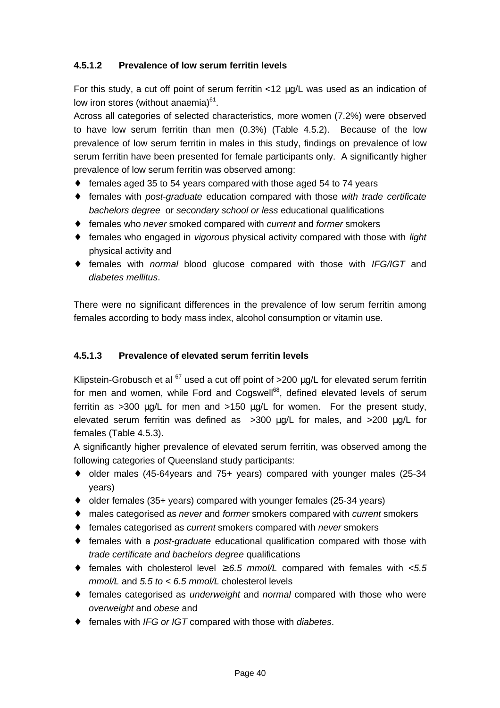#### **4.5.1.2 Prevalence of low serum ferritin levels**

For this study, a cut off point of serum ferritin <12 μg/L was used as an indication of low iron stores (without anaemia)<sup>61</sup>.

Across all categories of selected characteristics, more women (7.2%) were observed to have low serum ferritin than men (0.3%) (Table 4.5.2). Because of the low prevalence of low serum ferritin in males in this study, findings on prevalence of low serum ferritin have been presented for female participants only. A significantly higher prevalence of low serum ferritin was observed among:

- ♦ females aged 35 to 54 years compared with those aged 54 to 74 years
- ♦ females with *post-graduate* education compared with those *with trade certificate bachelors degree* or *secondary school or less* educational qualifications
- ♦ females who *never* smoked compared with *current* and *former* smokers
- ♦ females who engaged in *vigorous* physical activity compared with those with *light* physical activity and
- ♦ females with *normal* blood glucose compared with those with *IFG/IGT* and *diabetes mellitus*.

There were no significant differences in the prevalence of low serum ferritin among females according to body mass index, alcohol consumption or vitamin use.

#### **4.5.1.3 Prevalence of elevated serum ferritin levels**

Klipstein-Grobusch et al  $^{67}$  used a cut off point of  $>200$  ug/L for elevated serum ferritin for men and women, while Ford and Cogswell<sup>68</sup>, defined elevated levels of serum ferritin as >300 μg/L for men and >150 μg/L for women. For the present study, elevated serum ferritin was defined as >300 μg/L for males, and >200 μg/L for females (Table 4.5.3).

A significantly higher prevalence of elevated serum ferritin, was observed among the following categories of Queensland study participants:

- ♦ older males (45-64years and 75+ years) compared with younger males (25-34 years)
- ♦ older females (35+ years) compared with younger females (25-34 years)
- ♦ males categorised as *never* and *former* smokers compared with *current* smokers
- ♦ females categorised as *current* smokers compared with *never* smokers
- ♦ females with a *post-graduate* educational qualification compared with those with *trade certificate and bachelors degree* qualifications
- $\bullet$  females with cholesterol level  $≥ 6.5$  mmol/L compared with females with  $≤ 5.5$ *mmol/L* and *5.5 to < 6.5 mmol/L* cholesterol levels
- ♦ females categorised as *underweight* and *normal* compared with those who were *overweight* and *obese* and
- ♦ females with *IFG or IGT* compared with those with *diabetes*.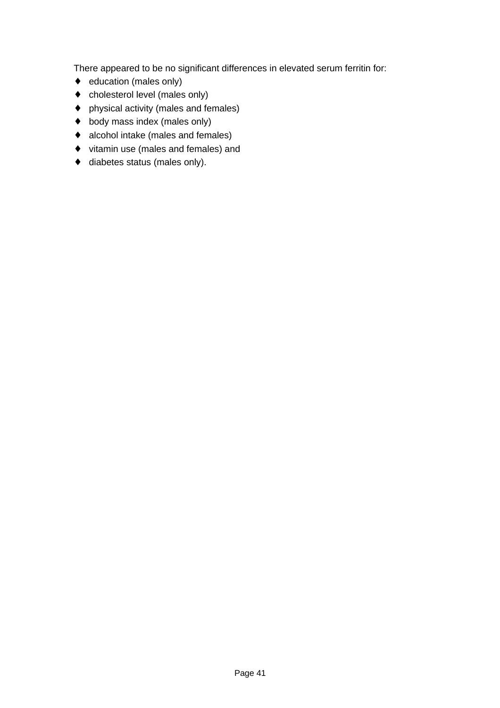There appeared to be no significant differences in elevated serum ferritin for:

- ♦ education (males only)
- ♦ cholesterol level (males only)
- ♦ physical activity (males and females)
- ♦ body mass index (males only)
- ♦ alcohol intake (males and females)
- ♦ vitamin use (males and females) and
- ♦ diabetes status (males only).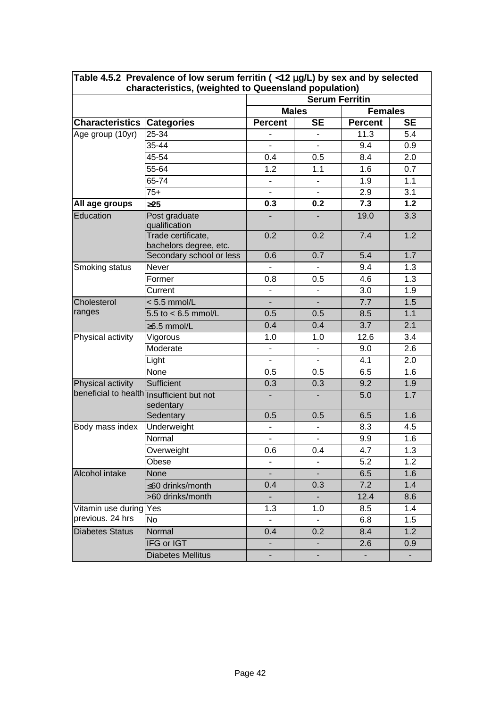|                                           | Table 4.5.2 Prevalence of low serum ferritin ( $<$ 12 mg/L) by sex and by selected<br>characteristics, (weighted to Queensland population) |                                |                              |                |           |  |
|-------------------------------------------|--------------------------------------------------------------------------------------------------------------------------------------------|--------------------------------|------------------------------|----------------|-----------|--|
|                                           |                                                                                                                                            | <b>Serum Ferritin</b>          |                              |                |           |  |
|                                           |                                                                                                                                            | <b>Males</b><br><b>Females</b> |                              |                |           |  |
| <b>Characteristics Categories</b>         |                                                                                                                                            | <b>Percent</b>                 | <b>SE</b>                    | <b>Percent</b> | <b>SE</b> |  |
| Age group (10yr)                          | 25-34                                                                                                                                      |                                |                              | 11.3           | 5.4       |  |
|                                           | 35-44                                                                                                                                      |                                |                              | 9.4            | 0.9       |  |
|                                           | 45-54                                                                                                                                      | 0.4                            | 0.5                          | 8.4            | 2.0       |  |
|                                           | 55-64                                                                                                                                      | 1.2                            | 1.1                          | 1.6            | 0.7       |  |
|                                           | 65-74                                                                                                                                      | ٠                              | $\qquad \qquad \blacksquare$ | 1.9            | 1.1       |  |
|                                           | $75+$                                                                                                                                      | $\overline{\phantom{0}}$       |                              | 2.9            | 3.1       |  |
| All age groups                            | 325                                                                                                                                        | 0.3                            | 0.2                          | 7.3            | 1.2       |  |
| Education                                 | Post graduate<br>qualification                                                                                                             |                                |                              | 19.0           | 3.3       |  |
|                                           | Trade certificate,<br>bachelors degree, etc.                                                                                               | 0.2                            | 0.2                          | 7.4            | 1.2       |  |
|                                           | Secondary school or less                                                                                                                   | 0.6                            | 0.7                          | 5.4            | 1.7       |  |
| Smoking status                            | Never                                                                                                                                      |                                |                              | 9.4            | 1.3       |  |
|                                           | Former                                                                                                                                     | 0.8                            | 0.5                          | 4.6            | 1.3       |  |
|                                           | Current                                                                                                                                    |                                |                              | 3.0            | 1.9       |  |
| Cholesterol                               | $< 5.5$ mmol/L                                                                                                                             | $\blacksquare$                 |                              | 7.7            | 1.5       |  |
| ranges                                    | 5.5 to $< 6.5$ mmol/L                                                                                                                      | 0.5                            | 0.5                          | 8.5            | 1.1       |  |
|                                           | $\geq 6.5$ mmol/L                                                                                                                          | 0.4                            | 0.4                          | 3.7            | 2.1       |  |
| Physical activity                         | Vigorous                                                                                                                                   | 1.0                            | 1.0                          | 12.6           | 3.4       |  |
|                                           | Moderate                                                                                                                                   |                                |                              | 9.0            | 2.6       |  |
|                                           | Light                                                                                                                                      |                                |                              | 4.1            | 2.0       |  |
|                                           | None                                                                                                                                       | 0.5                            | 0.5                          | 6.5            | 1.6       |  |
| Physical activity                         | Sufficient                                                                                                                                 | 0.3                            | 0.3                          | 9.2            | 1.9       |  |
| beneficial to health Insufficient but not | sedentary                                                                                                                                  |                                |                              | 5.0            | 1.7       |  |
|                                           | Sedentary                                                                                                                                  | 0.5                            | 0.5                          | 6.5            | 1.6       |  |
| Body mass index                           | Underweight                                                                                                                                |                                |                              | 8.3            | 4.5       |  |
|                                           | Normal                                                                                                                                     |                                |                              | 9.9            | 1.6       |  |
|                                           | Overweight                                                                                                                                 | 0.6                            | 0.4                          | 4.7            | 1.3       |  |
|                                           | Obese                                                                                                                                      |                                |                              | 5.2            | 1.2       |  |
| Alcohol intake                            | None                                                                                                                                       | $\overline{\phantom{a}}$       | $\overline{\phantom{a}}$     | 6.5            | 1.6       |  |
|                                           | ≤60 drinks/month                                                                                                                           | 0.4                            | 0.3                          | 7.2            | 1.4       |  |
|                                           | >60 drinks/month                                                                                                                           |                                |                              | 12.4           | 8.6       |  |
| Vitamin use during                        | Yes                                                                                                                                        | 1.3                            | 1.0                          | 8.5            | 1.4       |  |
| previous. 24 hrs                          | <b>No</b>                                                                                                                                  |                                |                              | 6.8            | 1.5       |  |
| <b>Diabetes Status</b>                    | Normal                                                                                                                                     | 0.4                            | 0.2                          | 8.4            | 1.2       |  |
|                                           | IFG or IGT                                                                                                                                 |                                |                              | 2.6            | 0.9       |  |
|                                           | <b>Diabetes Mellitus</b>                                                                                                                   |                                |                              |                |           |  |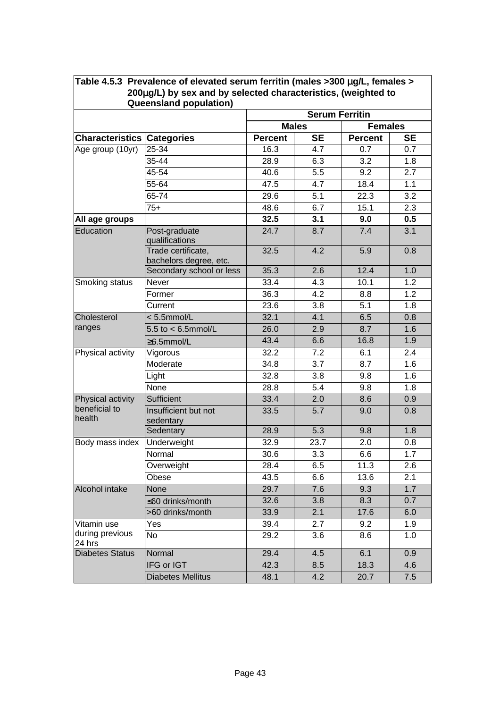|                                   | 200mg/L) by sex and by selected characteristics, (weighted to<br><b>Queensland population)</b> |                |                       |                |           |
|-----------------------------------|------------------------------------------------------------------------------------------------|----------------|-----------------------|----------------|-----------|
|                                   |                                                                                                |                | <b>Serum Ferritin</b> |                |           |
|                                   |                                                                                                | <b>Males</b>   |                       | <b>Females</b> |           |
| <b>Characteristics Categories</b> |                                                                                                | <b>Percent</b> | <b>SE</b>             | <b>Percent</b> | <b>SE</b> |
| Age group (10yr)                  | 25-34                                                                                          | 16.3           | 4.7                   | 0.7            | 0.7       |
|                                   | 35-44                                                                                          | 28.9           | 6.3                   | 3.2            | 1.8       |
|                                   | 45-54                                                                                          | 40.6           | 5.5                   | 9.2            | 2.7       |
|                                   | 55-64                                                                                          | 47.5           | 4.7                   | 18.4           | 1.1       |
|                                   | 65-74                                                                                          | 29.6           | 5.1                   | 22.3           | 3.2       |
|                                   | $75+$                                                                                          | 48.6           | 6.7                   | 15.1           | 2.3       |
| All age groups                    |                                                                                                | 32.5           | 3.1                   | 9.0            | 0.5       |
| Education                         | Post-graduate<br>qualifications                                                                | 24.7           | 8.7                   | 7.4            | 3.1       |
|                                   | Trade certificate,<br>bachelors degree, etc.                                                   | 32.5           | 4.2                   | 5.9            | 0.8       |
|                                   | Secondary school or less                                                                       | 35.3           | 2.6                   | 12.4           | 1.0       |
| Smoking status                    | <b>Never</b>                                                                                   | 33.4           | 4.3                   | 10.1           | 1.2       |
|                                   | Former                                                                                         | 36.3           | 4.2                   | 8.8            | 1.2       |
|                                   | Current                                                                                        | 23.6           | 3.8                   | 5.1            | 1.8       |
| Cholesterol                       | $< 5.5$ mmol/L                                                                                 | 32.1           | 4.1                   | 6.5            | 0.8       |
| ranges                            | 5.5 to $<$ 6.5mmol/L                                                                           | 26.0           | 2.9                   | 8.7            | 1.6       |
|                                   | ≥6.5mmol/L                                                                                     | 43.4           | 6.6                   | 16.8           | 1.9       |
| Physical activity                 | Vigorous                                                                                       | 32.2           | 7.2                   | 6.1            | 2.4       |
|                                   | Moderate                                                                                       | 34.8           | 3.7                   | 8.7            | 1.6       |
|                                   | Light                                                                                          | 32.8           | 3.8                   | 9.8            | 1.6       |
|                                   | None                                                                                           | 28.8           | 5.4                   | 9.8            | 1.8       |
| Physical activity                 | Sufficient                                                                                     | 33.4           | 2.0                   | 8.6            | 0.9       |
| beneficial to<br>health           | Insufficient but not<br>sedentary                                                              | 33.5           | 5.7                   | 9.0            | 0.8       |
|                                   | Sedentary                                                                                      | 28.9           | 5.3                   | 9.8            | 1.8       |
| Body mass index                   | Underweight                                                                                    | 32.9           | 23.7                  | 2.0            | 0.8       |
|                                   | Normal                                                                                         | 30.6           | 3.3                   | 6.6            | 1.7       |
|                                   | Overweight                                                                                     | 28.4           | 6.5                   | 11.3           | 2.6       |
|                                   | Obese                                                                                          | 43.5           | 6.6                   | 13.6           | 2.1       |
| Alcohol intake                    | <b>None</b>                                                                                    | 29.7           | 7.6                   | 9.3            | 1.7       |
|                                   | ≤60 drinks/month                                                                               | 32.6           | 3.8                   | 8.3            | 0.7       |
|                                   | >60 drinks/month                                                                               | 33.9           | 2.1                   | 17.6           | 6.0       |
| Vitamin use                       | Yes                                                                                            | 39.4           | 2.7                   | 9.2            | 1.9       |
| during previous<br>24 hrs         | No                                                                                             | 29.2           | 3.6                   | 8.6            | 1.0       |
| <b>Diabetes Status</b>            | Normal                                                                                         | 29.4           | 4.5                   | 6.1            | 0.9       |
|                                   | IFG or IGT                                                                                     | 42.3           | 8.5                   | 18.3           | 4.6       |
|                                   | <b>Diabetes Mellitus</b>                                                                       | 48.1           | 4.2                   | 20.7           | 7.5       |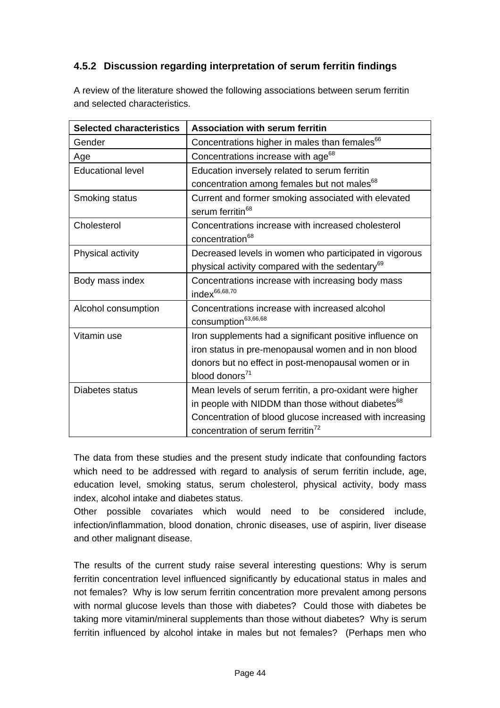### **4.5.2 Discussion regarding interpretation of serum ferritin findings**

| A review of the literature showed the following associations between serum ferritin |
|-------------------------------------------------------------------------------------|
| and selected characteristics.                                                       |

| <b>Selected characteristics</b> | <b>Association with serum ferritin</b>                                                                    |
|---------------------------------|-----------------------------------------------------------------------------------------------------------|
| Gender                          | Concentrations higher in males than females <sup>66</sup>                                                 |
| Age                             | Concentrations increase with age <sup>68</sup>                                                            |
| <b>Educational level</b>        | Education inversely related to serum ferritin                                                             |
|                                 | concentration among females but not males <sup>68</sup>                                                   |
| Smoking status                  | Current and former smoking associated with elevated<br>serum ferritin <sup>68</sup>                       |
| Cholesterol                     | Concentrations increase with increased cholesterol<br>concentration <sup>68</sup>                         |
| Physical activity               | Decreased levels in women who participated in vigorous                                                    |
|                                 | physical activity compared with the sedentary <sup>69</sup>                                               |
| Body mass index                 | Concentrations increase with increasing body mass<br>index <sup>66,68,70</sup>                            |
| Alcohol consumption             | Concentrations increase with increased alcohol<br>consumption <sup>63,66,68</sup>                         |
| Vitamin use                     | Iron supplements had a significant positive influence on                                                  |
|                                 | iron status in pre-menopausal women and in non blood                                                      |
|                                 | donors but no effect in post-menopausal women or in                                                       |
|                                 | blood donors <sup>71</sup>                                                                                |
| Diabetes status                 | Mean levels of serum ferritin, a pro-oxidant were higher                                                  |
|                                 | in people with NIDDM than those without diabetes <sup>68</sup>                                            |
|                                 | Concentration of blood glucose increased with increasing<br>concentration of serum ferritin <sup>72</sup> |
|                                 |                                                                                                           |

The data from these studies and the present study indicate that confounding factors which need to be addressed with regard to analysis of serum ferritin include, age, education level, smoking status, serum cholesterol, physical activity, body mass index, alcohol intake and diabetes status.

Other possible covariates which would need to be considered include, infection/inflammation, blood donation, chronic diseases, use of aspirin, liver disease and other malignant disease.

The results of the current study raise several interesting questions: Why is serum ferritin concentration level influenced significantly by educational status in males and not females? Why is low serum ferritin concentration more prevalent among persons with normal glucose levels than those with diabetes? Could those with diabetes be taking more vitamin/mineral supplements than those without diabetes? Why is serum ferritin influenced by alcohol intake in males but not females? (Perhaps men who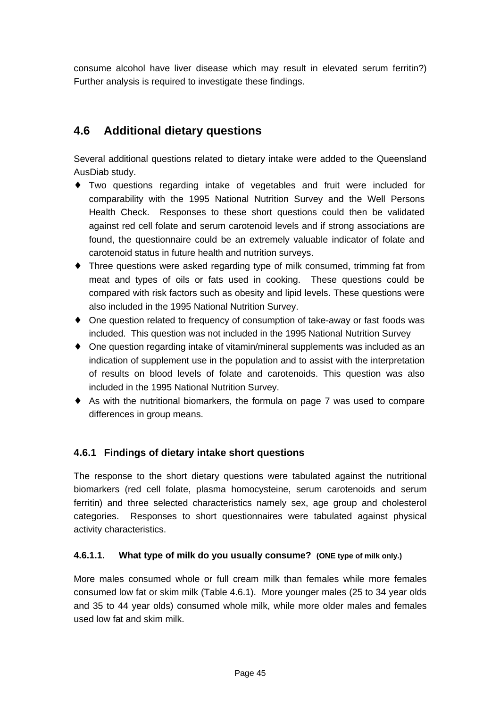consume alcohol have liver disease which may result in elevated serum ferritin?) Further analysis is required to investigate these findings.

## **4.6 Additional dietary questions**

Several additional questions related to dietary intake were added to the Queensland AusDiab study.

- ♦ Two questions regarding intake of vegetables and fruit were included for comparability with the 1995 National Nutrition Survey and the Well Persons Health Check. Responses to these short questions could then be validated against red cell folate and serum carotenoid levels and if strong associations are found, the questionnaire could be an extremely valuable indicator of folate and carotenoid status in future health and nutrition surveys.
- ♦ Three questions were asked regarding type of milk consumed, trimming fat from meat and types of oils or fats used in cooking. These questions could be compared with risk factors such as obesity and lipid levels. These questions were also included in the 1995 National Nutrition Survey.
- One question related to frequency of consumption of take-away or fast foods was included. This question was not included in the 1995 National Nutrition Survey
- ♦ One question regarding intake of vitamin/mineral supplements was included as an indication of supplement use in the population and to assist with the interpretation of results on blood levels of folate and carotenoids. This question was also included in the 1995 National Nutrition Survey.
- ♦ As with the nutritional biomarkers, the formula on page 7 was used to compare differences in group means.

#### **4.6.1 Findings of dietary intake short questions**

The response to the short dietary questions were tabulated against the nutritional biomarkers (red cell folate, plasma homocysteine, serum carotenoids and serum ferritin) and three selected characteristics namely sex, age group and cholesterol categories. Responses to short questionnaires were tabulated against physical activity characteristics.

#### **4.6.1.1. What type of milk do you usually consume? (ONE type of milk only.)**

More males consumed whole or full cream milk than females while more females consumed low fat or skim milk (Table 4.6.1). More younger males (25 to 34 year olds and 35 to 44 year olds) consumed whole milk, while more older males and females used low fat and skim milk.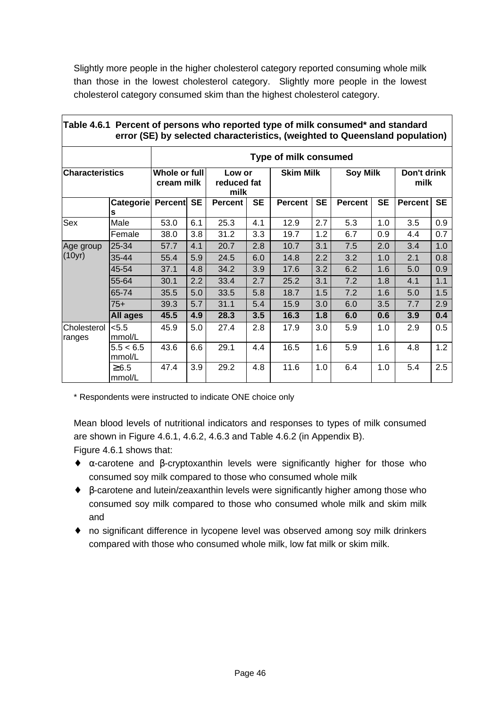Slightly more people in the higher cholesterol category reported consuming whole milk than those in the lowest cholesterol category. Slightly more people in the lowest cholesterol category consumed skim than the highest cholesterol category.

|                        |                      |                                                              |           |                  |           | error (SE) by selected characteristics, (weighted to Queensland population) |           |                     |           |         |           |
|------------------------|----------------------|--------------------------------------------------------------|-----------|------------------|-----------|-----------------------------------------------------------------------------|-----------|---------------------|-----------|---------|-----------|
|                        |                      |                                                              |           |                  |           | <b>Type of milk consumed</b>                                                |           |                     |           |         |           |
| <b>Characteristics</b> |                      | Whole or full<br>Low or<br>cream milk<br>reduced fat<br>milk |           | <b>Skim Milk</b> |           | <b>Soy Milk</b>                                                             |           | Don't drink<br>milk |           |         |           |
|                        | Categorie            | <b>Percent</b>                                               | <b>SE</b> | <b>Percent</b>   | <b>SE</b> | <b>Percent</b>                                                              | <b>SE</b> | <b>Percent</b>      | <b>SE</b> | Percent | <b>SE</b> |
|                        | s                    |                                                              |           |                  |           |                                                                             |           |                     |           |         |           |
| Sex                    | Male                 | 53.0                                                         | 6.1       | 25.3             | 4.1       | 12.9                                                                        | 2.7       | 5.3                 | 1.0       | 3.5     | 0.9       |
|                        | Female               | 38.0                                                         | 3.8       | 31.2             | 3.3       | 19.7                                                                        | 1.2       | 6.7                 | 0.9       | 4.4     | 0.7       |
| Age group              | 25-34                | 57.7                                                         | 4.1       | 20.7             | 2.8       | 10.7                                                                        | 3.1       | 7.5                 | 2.0       | 3.4     | 1.0       |
| (10yr)                 | 35-44                | 55.4                                                         | 5.9       | 24.5             | 6.0       | 14.8                                                                        | 2.2       | 3.2                 | 1.0       | 2.1     | 0.8       |
|                        | 45-54                | 37.1                                                         | 4.8       | 34.2             | 3.9       | 17.6                                                                        | 3.2       | 6.2                 | 1.6       | 5.0     | 0.9       |
|                        | 55-64                | 30.1                                                         | 2.2       | 33.4             | 2.7       | 25.2                                                                        | 3.1       | 7.2                 | 1.8       | 4.1     | 1.1       |
|                        | 65-74                | 35.5                                                         | 5.0       | 33.5             | 5.8       | 18.7                                                                        | 1.5       | 7.2                 | 1.6       | 5.0     | 1.5       |
|                        | $75+$                | 39.3                                                         | 5.7       | 31.1             | 5.4       | 15.9                                                                        | 3.0       | 6.0                 | 3.5       | 7.7     | 2.9       |
|                        | All ages             | 45.5                                                         | 4.9       | 28.3             | 3.5       | 16.3                                                                        | 1.8       | 6.0                 | 0.6       | 3.9     | 0.4       |
| Cholesterol<br>ranges  | < 5.5<br>mmol/L      | 45.9                                                         | 5.0       | 27.4             | 2.8       | 17.9                                                                        | 3.0       | 5.9                 | 1.0       | 2.9     | 0.5       |
|                        | 5.5 < 6.5<br>mmol/L  | 43.6                                                         | 6.6       | 29.1             | 4.4       | 16.5                                                                        | 1.6       | 5.9                 | 1.6       | 4.8     | 1.2       |
|                        | $\geq 6.5$<br>mmol/L | 47.4                                                         | 3.9       | 29.2             | 4.8       | 11.6                                                                        | 1.0       | 6.4                 | 1.0       | 5.4     | 2.5       |

#### **Table 4.6.1 Percent of persons who reported type of milk consumed\* and standard error (SE) by selected characteristics, (weighted to Queensland population)**

\* Respondents were instructed to indicate ONE choice only

Mean blood levels of nutritional indicators and responses to types of milk consumed are shown in Figure 4.6.1, 4.6.2, 4.6.3 and Table 4.6.2 (in Appendix B). Figure 4.6.1 shows that:

- ♦ α-carotene and β-cryptoxanthin levels were significantly higher for those who consumed soy milk compared to those who consumed whole milk
- ♦ β-carotene and lutein/zeaxanthin levels were significantly higher among those who consumed soy milk compared to those who consumed whole milk and skim milk and
- ♦ no significant difference in lycopene level was observed among soy milk drinkers compared with those who consumed whole milk, low fat milk or skim milk.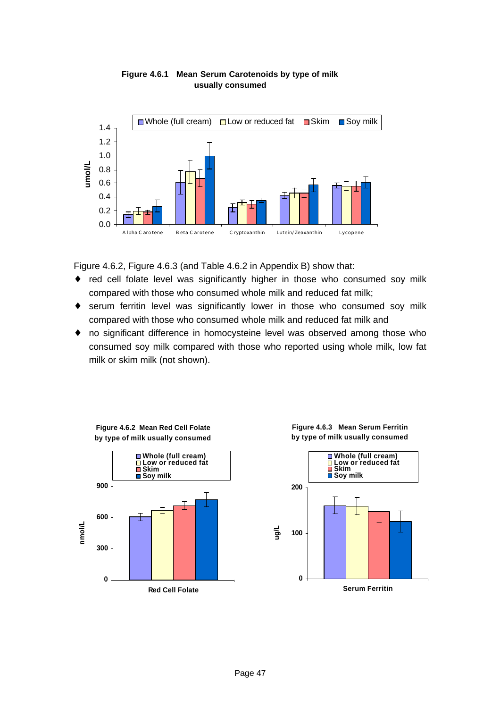

#### **Figure 4.6.1 Mean Serum Carotenoids by type of milk usually consumed**

Figure 4.6.2, Figure 4.6.3 (and Table 4.6.2 in Appendix B) show that:

- ♦ red cell folate level was significantly higher in those who consumed soy milk compared with those who consumed whole milk and reduced fat milk;
- ♦ serum ferritin level was significantly lower in those who consumed soy milk compared with those who consumed whole milk and reduced fat milk and
- ♦ no significant difference in homocysteine level was observed among those who consumed soy milk compared with those who reported using whole milk, low fat milk or skim milk (not shown).



**Figure 4.6.3 Mean Serum Ferritin by type of milk usually consumed**

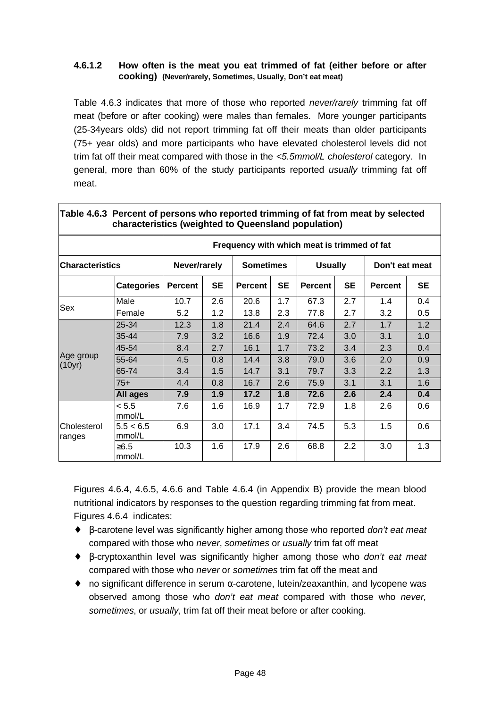#### **4.6.1.2 How often is the meat you eat trimmed of fat (either before or after cooking) (Never/rarely, Sometimes, Usually, Don't eat meat)**

Table 4.6.3 indicates that more of those who reported *never/rarely* trimming fat off meat (before or after cooking) were males than females. More younger participants (25-34years olds) did not report trimming fat off their meats than older participants (75+ year olds) and more participants who have elevated cholesterol levels did not trim fat off their meat compared with those in the *<5.5mmol/L cholesterol* category. In general, more than 60% of the study participants reported *usually* trimming fat off meat.

|                        | Table 4.6.3 Percent of persons who reported trimming of fat from meat by selected<br>characteristics (weighted to Queensland population) |                |           |                                             |           |                |           |                |           |  |
|------------------------|------------------------------------------------------------------------------------------------------------------------------------------|----------------|-----------|---------------------------------------------|-----------|----------------|-----------|----------------|-----------|--|
|                        |                                                                                                                                          |                |           | Frequency with which meat is trimmed of fat |           |                |           |                |           |  |
| <b>Characteristics</b> |                                                                                                                                          | Never/rarely   |           | <b>Sometimes</b>                            |           | <b>Usually</b> |           | Don't eat meat |           |  |
|                        | <b>Categories</b>                                                                                                                        | <b>Percent</b> | <b>SE</b> | <b>Percent</b>                              | <b>SE</b> | <b>Percent</b> | <b>SE</b> | <b>Percent</b> | <b>SE</b> |  |
|                        | Male                                                                                                                                     | 10.7           | 2.6       | 20.6                                        | 1.7       | 67.3           | 2.7       | 1.4            | 0.4       |  |
| Sex                    | Female                                                                                                                                   | 5.2            | 1.2       | 13.8                                        | 2.3       | 77.8           | 2.7       | 3.2            | 0.5       |  |
|                        | 25-34                                                                                                                                    | 12.3           | 1.8       | 21.4                                        | 2.4       | 64.6           | 2.7       | 1.7            | 1.2       |  |
|                        | 35-44                                                                                                                                    | 7.9            | 3.2       | 16.6                                        | 1.9       | 72.4           | 3.0       | 3.1            | 1.0       |  |
|                        | 45-54                                                                                                                                    | 8.4            | 2.7       | 16.1                                        | 1.7       | 73.2           | 3.4       | 2.3            | 0.4       |  |
| Age group<br>(10yr)    | 55-64                                                                                                                                    | 4.5            | 0.8       | 14.4                                        | 3.8       | 79.0           | 3.6       | 2.0            | 0.9       |  |
|                        | 65-74                                                                                                                                    | 3.4            | 1.5       | 14.7                                        | 3.1       | 79.7           | 3.3       | 2.2            | 1.3       |  |
|                        | $75+$                                                                                                                                    | 4.4            | 0.8       | 16.7                                        | 2.6       | 75.9           | 3.1       | 3.1            | 1.6       |  |
|                        | All ages                                                                                                                                 | 7.9            | 1.9       | 17.2                                        | 1.8       | 72.6           | 2.6       | 2.4            | 0.4       |  |
|                        | < 5.5<br>mmol/L                                                                                                                          | 7.6            | 1.6       | 16.9                                        | 1.7       | 72.9           | 1.8       | 2.6            | 0.6       |  |
| Cholesterol<br>ranges  | 5.5 < 6.5<br>mmol/L                                                                                                                      | 6.9            | 3.0       | 17.1                                        | 3.4       | 74.5           | 5.3       | 1.5            | 0.6       |  |
|                        | $≥6.5$<br>mmol/L                                                                                                                         | 10.3           | 1.6       | 17.9                                        | 2.6       | 68.8           | 2.2       | 3.0            | 1.3       |  |

**Table 4.6.3 Percent of persons who reported trimming of fat from meat by selected**

Figures 4.6.4, 4.6.5, 4.6.6 and Table 4.6.4 (in Appendix B) provide the mean blood nutritional indicators by responses to the question regarding trimming fat from meat. Figures 4.6.4 indicates:

- ♦ β-carotene level was significantly higher among those who reported *don't eat meat* compared with those who *never*, *sometimes* or *usually* trim fat off meat
- ♦ β-cryptoxanthin level was significantly higher among those who *don't eat meat* compared with those who *never* or *sometimes* trim fat off the meat and
- $\bullet$  no significant difference in serum  $\alpha$ -carotene, lutein/zeaxanthin, and lycopene was observed among those who *don't eat meat* compared with those who *never, sometimes*, or *usually*, trim fat off their meat before or after cooking.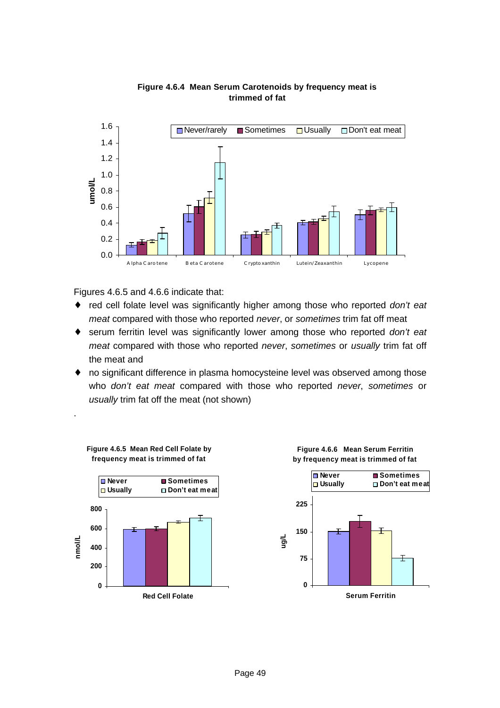

#### **Figure 4.6.4 Mean Serum Carotenoids by frequency meat is trimmed of fat**

Figures 4.6.5 and 4.6.6 indicate that:

.

- ♦ red cell folate level was significantly higher among those who reported *don't eat meat* compared with those who reported *never*, or *sometimes* trim fat off meat
- ♦ serum ferritin level was significantly lower among those who reported *don't eat meat* compared with those who reported *never*, *sometimes* or *usually* trim fat off the meat and
- ♦ no significant difference in plasma homocysteine level was observed among those who *don't eat meat* compared with those who reported *never*, *sometimes* or *usually* trim fat off the meat (not shown)





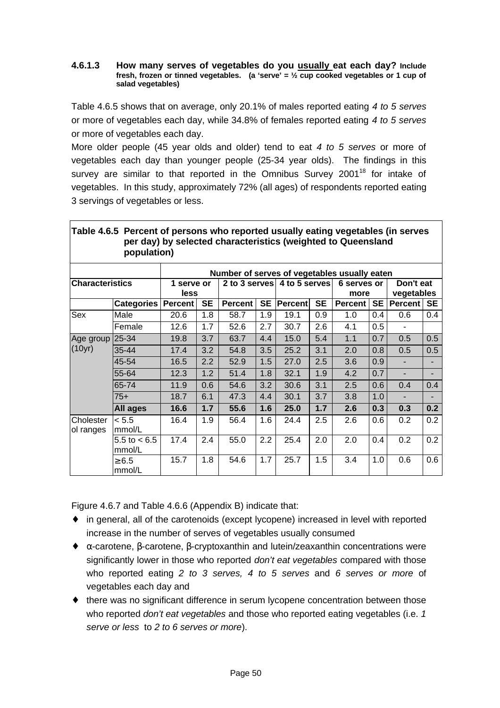#### **4.6.1.3 How many serves of vegetables do you usually eat each day? Include fresh, frozen or tinned vegetables. (a 'serve' = ½ cup cooked vegetables or 1 cup of salad vegetables)**

Table 4.6.5 shows that on average, only 20.1% of males reported eating *4 to 5 serves* or more of vegetables each day, while 34.8% of females reported eating *4 to 5 serves* or more of vegetables each day.

More older people (45 year olds and older) tend to eat *4 to 5 serves* or more of vegetables each day than younger people (25-34 year olds). The findings in this survey are similar to that reported in the Omnibus Survey  $2001^{18}$  for intake of vegetables. In this study, approximately 72% (all ages) of respondents reported eating 3 servings of vegetables or less.

|                        | <u>rabic 4.0.5 Fercent or persons wild reported usually eating vegetables (iii serves</u><br>population) |                    |           | per day) by selected characteristics (weighted to Queensland |           |                             |           |                     |           |                         |     |
|------------------------|----------------------------------------------------------------------------------------------------------|--------------------|-----------|--------------------------------------------------------------|-----------|-----------------------------|-----------|---------------------|-----------|-------------------------|-----|
|                        |                                                                                                          |                    |           | Number of serves of vegetables usually eaten                 |           |                             |           |                     |           |                         |     |
| <b>Characteristics</b> |                                                                                                          | 1 serve or<br>less |           |                                                              |           | 2 to 3 serves 4 to 5 serves |           | 6 serves or<br>more |           | Don't eat<br>vegetables |     |
|                        | <b>Categories</b>                                                                                        | <b>Percent</b>     | <b>SE</b> | <b>Percent</b>                                               | <b>SE</b> | Percent                     | <b>SE</b> | Percent             | <b>SE</b> | <b>Percent</b>          | SE  |
| <b>Sex</b>             | Male                                                                                                     | 20.6               | 1.8       | 58.7                                                         | 1.9       | 19.1                        | 0.9       | 1.0                 | 0.4       | 0.6                     | 0.4 |
|                        | Female                                                                                                   | 12.6               | 1.7       | 52.6                                                         | 2.7       | 30.7                        | 2.6       | 4.1                 | 0.5       |                         |     |
| Age group              | 25-34                                                                                                    | 19.8               | 3.7       | 63.7                                                         | 4.4       | 15.0                        | 5.4       | 1.1                 | 0.7       | 0.5                     | 0.5 |
| (10yr)                 | 35-44                                                                                                    | 17.4               | 3.2       | 54.8                                                         | 3.5       | 25.2                        | 3.1       | 2.0                 | 0.8       | 0.5                     | 0.5 |
|                        | 45-54                                                                                                    | 16.5               | 2.2       | 52.9                                                         | 1.5       | 27.0                        | 2.5       | 3.6                 | 0.9       | ÷.                      |     |
|                        | 55-64                                                                                                    | 12.3               | 1.2       | 51.4                                                         | 1.8       | 32.1                        | 1.9       | 4.2                 | 0.7       | ÷                       |     |
|                        | 65-74                                                                                                    | 11.9               | 0.6       | 54.6                                                         | 3.2       | 30.6                        | 3.1       | 2.5                 | 0.6       | 0.4                     | 0.4 |
|                        | $75+$                                                                                                    | 18.7               | 6.1       | 47.3                                                         | 4.4       | 30.1                        | 3.7       | 3.8                 | 1.0       | ÷.                      |     |
|                        | <b>All ages</b>                                                                                          | 16.6               | 1.7       | 55.6                                                         | 1.6       | 25.0                        | 1.7       | 2.6                 | 0.3       | 0.3                     | 0.2 |
| Cholester<br>ol ranges | < 5.5<br>mmol/L                                                                                          | 16.4               | 1.9       | 56.4                                                         | 1.6       | 24.4                        | 2.5       | 2.6                 | 0.6       | 0.2                     | 0.2 |
|                        | $5.5 \text{ to } < 6.5$<br>mmol/L                                                                        | 17.4               | 2.4       | 55.0                                                         | 2.2       | 25.4                        | 2.0       | 2.0                 | 0.4       | 0.2                     | 0.2 |
|                        | $\geq 6.5$<br>mmol/L                                                                                     | 15.7               | 1.8       | 54.6                                                         | 1.7       | 25.7                        | 1.5       | 3.4                 | 1.0       | 0.6                     | 0.6 |

| Table 4.6.5 Percent of persons who reported usually eating vegetables (in serves |
|----------------------------------------------------------------------------------|
| per day) by selected characteristics (weighted to Queensland                     |
| population)                                                                      |

Figure 4.6.7 and Table 4.6.6 (Appendix B) indicate that:

- ♦ in general, all of the carotenoids (except lycopene) increased in level with reported increase in the number of serves of vegetables usually consumed
- ♦ α-carotene, β-carotene, β-cryptoxanthin and lutein/zeaxanthin concentrations were significantly lower in those who reported *don't eat vegetables* compared with those who reported eating *2 to 3 serves, 4 to 5 serves* and *6 serves or more* of vegetables each day and
- ♦ there was no significant difference in serum lycopene concentration between those who reported *don't eat vegetables* and those who reported eating vegetables (i.e. *1 serve or less* to *2 to 6 serves or more*).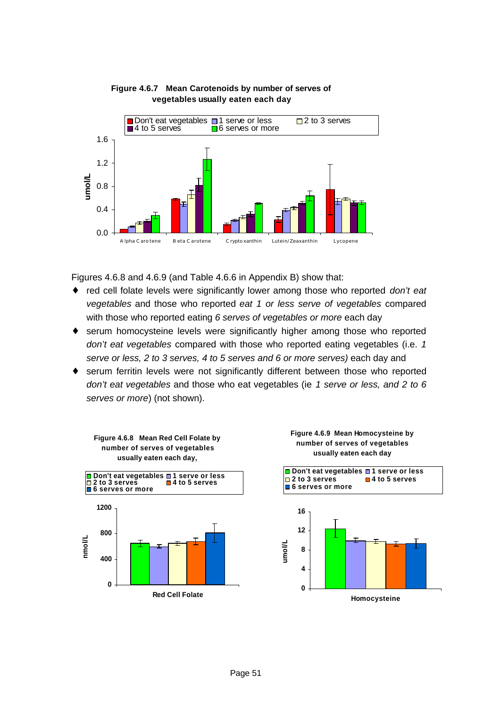

#### **Figure 4.6.7 Mean Carotenoids by number of serves of vegetables usually eaten each day**

Figures 4.6.8 and 4.6.9 (and Table 4.6.6 in Appendix B) show that:

- ♦ red cell folate levels were significantly lower among those who reported *don't eat vegetables* and those who reported *eat 1 or less serve of vegetables* compared with those who reported eating *6 serves of vegetables or more* each day
- ♦ serum homocysteine levels were significantly higher among those who reported *don't eat vegetables* compared with those who reported eating vegetables (i.e. *1 serve or less, 2 to 3 serves, 4 to 5 serves and 6 or more serves)* each day and
- ♦ serum ferritin levels were not significantly different between those who reported *don't eat vegetables* and those who eat vegetables (ie *1 serve or less, and 2 to 6 serves or more*) (not shown).



**Figure 4.6.8 Mean Red Cell Folate by** 



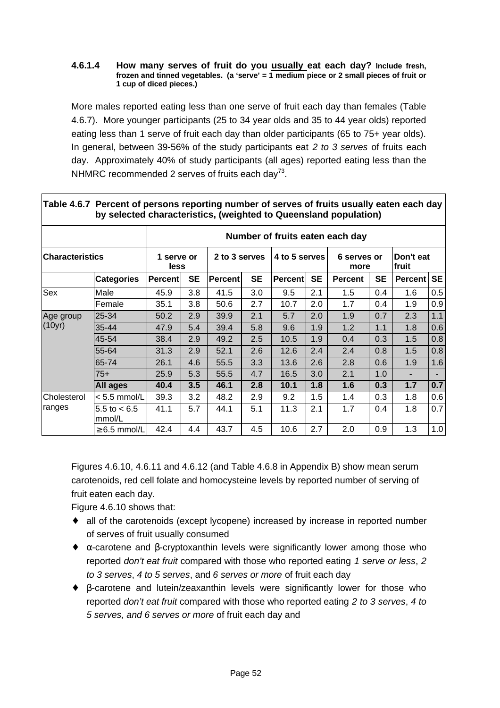#### **4.6.1.4 How many serves of fruit do you usually eat each day? Include fresh, frozen and tinned vegetables. (a 'serve' = 1 medium piece or 2 small pieces of fruit or 1 cup of diced pieces.)**

More males reported eating less than one serve of fruit each day than females (Table 4.6.7). More younger participants (25 to 34 year olds and 35 to 44 year olds) reported eating less than 1 serve of fruit each day than older participants (65 to 75+ year olds). In general, between 39-56% of the study participants eat *2 to 3 serves* of fruits each day. Approximately 40% of study participants (all ages) reported eating less than the NHMRC recommended 2 serves of fruits each day<sup>73</sup>.

|                        |                                   |                           |           |                |           |                |           | <u>enaraetonotrooj (morginoa to Gaoonoiana popaiation)</u> |           |                    |           |
|------------------------|-----------------------------------|---------------------------|-----------|----------------|-----------|----------------|-----------|------------------------------------------------------------|-----------|--------------------|-----------|
|                        |                                   |                           |           |                |           |                |           | Number of fruits eaten each day                            |           |                    |           |
| <b>Characteristics</b> |                                   | 1 serve or<br><b>less</b> |           | 2 to 3 serves  |           | 4 to 5 serves  |           | 6 serves or<br>more                                        |           | Don't eat<br>fruit |           |
|                        | <b>Categories</b>                 | <b>Percent</b>            | <b>SE</b> | <b>Percent</b> | <b>SE</b> | <b>Percent</b> | <b>SE</b> | <b>Percent</b>                                             | <b>SE</b> | <b>Percent</b>     | <b>SE</b> |
| Sex                    | Male                              | 45.9                      | 3.8       | 41.5           | 3.0       | 9.5            | 2.1       | 1.5                                                        | 0.4       | 1.6                | 0.5       |
|                        | Female                            | 35.1                      | 3.8       | 50.6           | 2.7       | 10.7           | 2.0       | 1.7                                                        | 0.4       | 1.9                | 0.9       |
| Age group              | 25-34                             | 50.2                      | 2.9       | 39.9           | 2.1       | 5.7            | 2.0       | 1.9                                                        | 0.7       | 2.3                | 1.1       |
| (10yr)                 | 35-44                             | 47.9                      | 5.4       | 39.4           | 5.8       | 9.6            | 1.9       | 1.2                                                        | 1.1       | 1.8                | 0.6       |
|                        | 45-54                             | 38.4                      | 2.9       | 49.2           | 2.5       | 10.5           | 1.9       | 0.4                                                        | 0.3       | 1.5                | 0.8       |
|                        | 55-64                             | 31.3                      | 2.9       | 52.1           | 2.6       | 12.6           | 2.4       | 2.4                                                        | 0.8       | 1.5                | 0.8       |
|                        | 65-74                             | 26.1                      | 4.6       | 55.5           | 3.3       | 13.6           | 2.6       | 2.8                                                        | 0.6       | 1.9                | 1.6       |
|                        | $75+$                             | 25.9                      | 5.3       | 55.5           | 4.7       | 16.5           | 3.0       | 2.1                                                        | 1.0       |                    |           |
|                        | All ages                          | 40.4                      | 3.5       | 46.1           | 2.8       | 10.1           | 1.8       | 1.6                                                        | 0.3       | 1.7                | 0.7       |
| Cholesterol            | $< 5.5$ mmol/L                    | 39.3                      | 3.2       | 48.2           | 2.9       | 9.2            | 1.5       | 1.4                                                        | 0.3       | 1.8                | 0.6       |
| ranges                 | $5.5 \text{ to } < 6.5$<br>mmol/L | 41.1                      | 5.7       | 44.1           | 5.1       | 11.3           | 2.1       | 1.7                                                        | 0.4       | 1.8                | 0.7       |
|                        | $\geq 6.5$ mmol/L                 | 42.4                      | 4.4       | 43.7           | 4.5       | 10.6           | 2.7       | 2.0                                                        | 0.9       | 1.3                | 1.0       |

#### **Table 4.6.7 Percent of persons reporting number of serves of fruits usually eaten each day by selected characteristics, (weighted to Queensland population)**

Figures 4.6.10, 4.6.11 and 4.6.12 (and Table 4.6.8 in Appendix B) show mean serum carotenoids, red cell folate and homocysteine levels by reported number of serving of fruit eaten each day.

Figure 4.6.10 shows that:

- ♦ all of the carotenoids (except lycopene) increased by increase in reported number of serves of fruit usually consumed
- $\bullet$   $\alpha$ -carotene and β-cryptoxanthin levels were significantly lower among those who reported *don't eat fruit* compared with those who reported eating *1 serve or less*, *2 to 3 serves*, *4 to 5 serves*, and *6 serves or more* of fruit each day
- ♦ β-carotene and lutein/zeaxanthin levels were significantly lower for those who reported *don't eat fruit* compared with those who reported eating *2 to 3 serves*, *4 to 5 serves, and 6 serves or more* of fruit each day and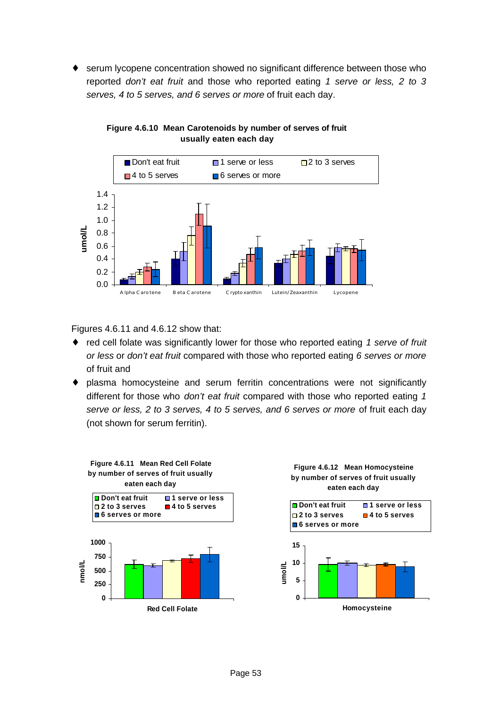serum lycopene concentration showed no significant difference between those who reported *don't eat fruit* and those who reported eating *1 serve or less, 2 to 3 serves, 4 to 5 serves, and 6 serves or more* of fruit each day.



**Figure 4.6.10 Mean Carotenoids by number of serves of fruit usually eaten each day**

Figures 4.6.11 and 4.6.12 show that:

- ♦ red cell folate was significantly lower for those who reported eating *1 serve of fruit or less* or *don't eat fruit* compared with those who reported eating *6 serves or more* of fruit and
- ♦ plasma homocysteine and serum ferritin concentrations were not significantly different for those who *don't eat fruit* compared with those who reported eating *1 serve or less, 2 to 3 serves, 4 to 5 serves, and 6 serves or more* of fruit each day (not shown for serum ferritin).

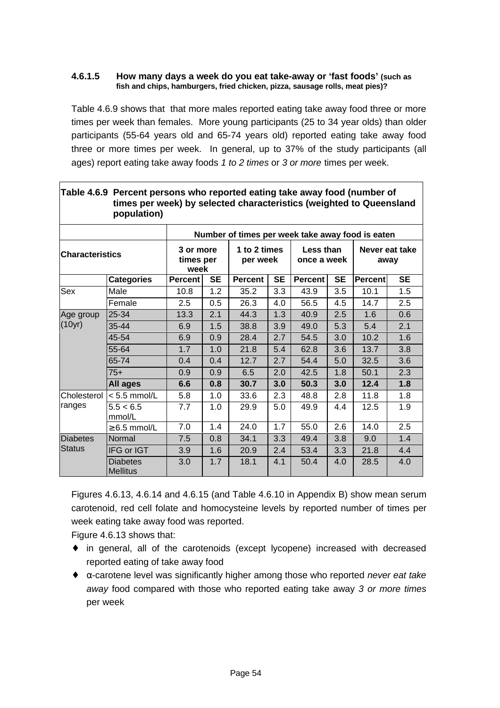#### **4.6.1.5 How many days a week do you eat take-away or 'fast foods' (such as fish and chips, hamburgers, fried chicken, pizza, sausage rolls, meat pies)?**

Table 4.6.9 shows that that more males reported eating take away food three or more times per week than females. More young participants (25 to 34 year olds) than older participants (55-64 years old and 65-74 years old) reported eating take away food three or more times per week. In general, up to 37% of the study participants (all ages) report eating take away foods *1 to 2 times* or *3 or more* times per week.

|                        | $\sim$ . The state into the state of the state and the state $\sim$<br>times per week) by selected characteristics (weighted to Queensland<br>population) |                                |           |                                                  |           |                          |           |         |                        |
|------------------------|-----------------------------------------------------------------------------------------------------------------------------------------------------------|--------------------------------|-----------|--------------------------------------------------|-----------|--------------------------|-----------|---------|------------------------|
|                        |                                                                                                                                                           |                                |           | Number of times per week take away food is eaten |           |                          |           |         |                        |
| <b>Characteristics</b> |                                                                                                                                                           | 3 or more<br>times per<br>week |           | 1 to 2 times<br>per week                         |           | Less than<br>once a week |           |         | Never eat take<br>away |
|                        | <b>Categories</b>                                                                                                                                         | <b>Percent</b>                 | <b>SE</b> | <b>Percent</b>                                   | <b>SE</b> | <b>Percent</b>           | <b>SE</b> | Percent | <b>SE</b>              |
| Sex                    | Male                                                                                                                                                      | 10.8                           | 1.2       | 35.2                                             | 3.3       | 43.9                     | 3.5       | 10.1    | 1.5                    |
|                        | Female                                                                                                                                                    | 2.5                            | 0.5       | 26.3                                             | 4.0       | 56.5                     | 4.5       | 14.7    | 2.5                    |
| Age group              | 25-34                                                                                                                                                     | 13.3                           | 2.1       | 44.3                                             | 1.3       | 40.9                     | 2.5       | 1.6     | 0.6                    |
| (10yr)                 | 35-44                                                                                                                                                     | 6.9                            | 1.5       | 38.8                                             | 3.9       | 49.0                     | 5.3       | 5.4     | 2.1                    |
|                        | 45-54                                                                                                                                                     | 6.9                            | 0.9       | 28.4                                             | 2.7       | 54.5                     | 3.0       | 10.2    | 1.6                    |
|                        | 55-64                                                                                                                                                     | 1.7                            | 1.0       | 21.8                                             | 5.4       | 62.8                     | 3.6       | 13.7    | 3.8                    |
|                        | 65-74                                                                                                                                                     | 0.4                            | 0.4       | 12.7                                             | 2.7       | 54.4                     | 5.0       | 32.5    | 3.6                    |
|                        | $75+$                                                                                                                                                     | 0.9                            | 0.9       | 6.5                                              | 2.0       | 42.5                     | 1.8       | 50.1    | 2.3                    |
|                        | <b>All ages</b>                                                                                                                                           | 6.6                            | 0.8       | 30.7                                             | 3.0       | 50.3                     | 3.0       | 12.4    | 1.8                    |
| Cholesterol            | $< 5.5$ mmol/L                                                                                                                                            | 5.8                            | 1.0       | 33.6                                             | 2.3       | 48.8                     | 2.8       | 11.8    | 1.8                    |
| ranges                 | 5.5 < 6.5<br>mmol/L                                                                                                                                       | 7.7                            | 1.0       | 29.9                                             | 5.0       | 49.9                     | 4.4       | 12.5    | 1.9                    |
|                        | $\geq 6.5$ mmol/L                                                                                                                                         | $7.0\,$                        | 1.4       | 24.0                                             | 1.7       | 55.0                     | 2.6       | 14.0    | 2.5                    |
| <b>Diabetes</b>        | Normal                                                                                                                                                    | 7.5                            | 0.8       | 34.1                                             | 3.3       | 49.4                     | 3.8       | 9.0     | 1.4                    |
| <b>Status</b>          | IFG or IGT                                                                                                                                                | 3.9                            | 1.6       | 20.9                                             | 2.4       | 53.4                     | 3.3       | 21.8    | 4.4                    |
|                        | <b>Diabetes</b><br><b>Mellitus</b>                                                                                                                        | 3.0                            | 1.7       | 18.1                                             | 4.1       | 50.4                     | 4.0       | 28.5    | 4.0                    |

## **Table 4.6.9 Percent persons who reported eating take away food (number of**

Figures 4.6.13, 4.6.14 and 4.6.15 (and Table 4.6.10 in Appendix B) show mean serum carotenoid, red cell folate and homocysteine levels by reported number of times per week eating take away food was reported.

Figure 4.6.13 shows that:

- ♦ in general, all of the carotenoids (except lycopene) increased with decreased reported eating of take away food
- ♦ α-carotene level was significantly higher among those who reported *never eat take away* food compared with those who reported eating take away *3 or more times* per week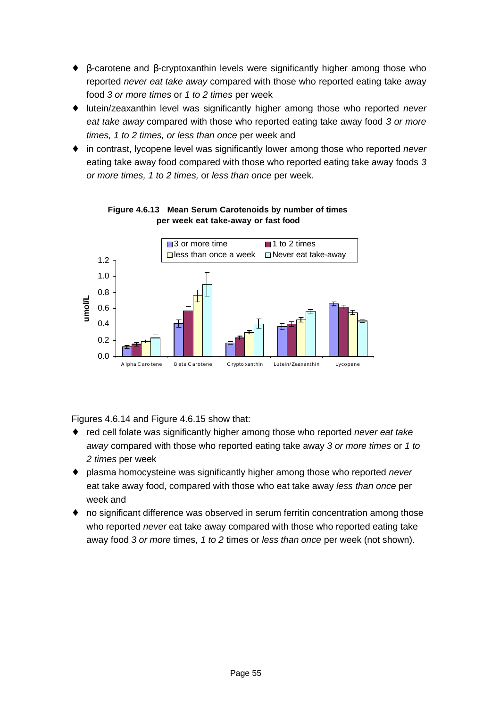- ♦ β-carotene and β-cryptoxanthin levels were significantly higher among those who reported *never eat take away* compared with those who reported eating take away food *3 or more times* or *1 to 2 times* per week
- ♦ lutein/zeaxanthin level was significantly higher among those who reported *never eat take away* compared with those who reported eating take away food *3 or more times, 1 to 2 times, or less than once* per week and
- ♦ in contrast, lycopene level was significantly lower among those who reported *never* eating take away food compared with those who reported eating take away foods *3 or more times, 1 to 2 times,* or *less than once* per week.



**Figure 4.6.13 Mean Serum Carotenoids by number of times per week eat take-away or fast food**

Figures 4.6.14 and Figure 4.6.15 show that:

- ♦ red cell folate was significantly higher among those who reported *never eat take away* compared with those who reported eating take away *3 or more times* or *1 to 2 times* per week
- ♦ plasma homocysteine was significantly higher among those who reported *never* eat take away food, compared with those who eat take away *less than once* per week and
- ♦ no significant difference was observed in serum ferritin concentration among those who reported *never* eat take away compared with those who reported eating take away food *3 or more* times, *1 to 2* times or *less than once* per week (not shown).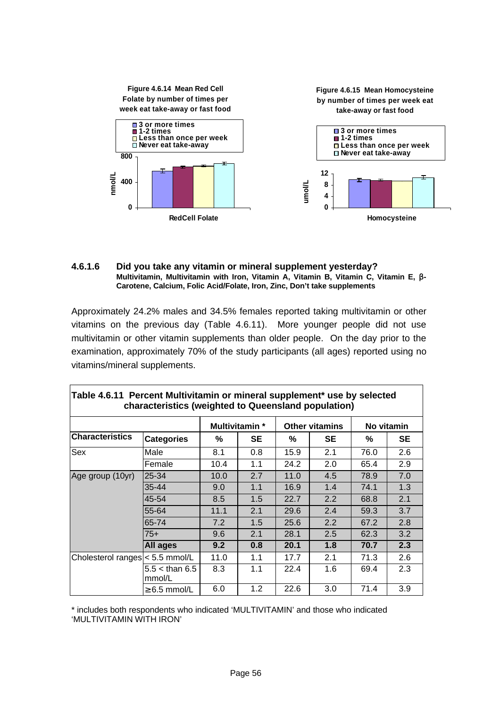

#### **4.6.1.6 Did you take any vitamin or mineral supplement yesterday? Multivitamin, Multivitamin with Iron, Vitamin A, Vitamin B, Vitamin C, Vitamin E, b-Carotene, Calcium, Folic Acid/Folate, Iron, Zinc, Don't take supplements**

Approximately 24.2% males and 34.5% females reported taking multivitamin or other vitamins on the previous day (Table 4.6.11). More younger people did not use multivitamin or other vitamin supplements than older people. On the day prior to the examination, approximately 70% of the study participants (all ages) reported using no vitamins/mineral supplements.

|                                 | characteristics (weighted to Queensland population) |      |                |      |                       |      |            |
|---------------------------------|-----------------------------------------------------|------|----------------|------|-----------------------|------|------------|
|                                 |                                                     |      | Multivitamin * |      | <b>Other vitamins</b> |      | No vitamin |
| <b>Characteristics</b>          | <b>Categories</b>                                   | ℅    | SE             | %    | SE                    | ℅    | <b>SE</b>  |
| <b>Sex</b>                      | Male                                                | 8.1  | 0.8            | 15.9 | 2.1                   | 76.0 | 2.6        |
|                                 | Female                                              | 10.4 | 1.1            | 24.2 | 2.0                   | 65.4 | 2.9        |
| Age group (10yr)                | 25-34                                               | 10.0 | 2.7            | 11.0 | 4.5                   | 78.9 | 7.0        |
|                                 | 35-44                                               | 9.0  | 1.1            | 16.9 | 1.4                   | 74.1 | 1.3        |
|                                 | 45-54                                               | 8.5  | 1.5            | 22.7 | 2.2                   | 68.8 | 2.1        |
|                                 | 55-64                                               | 11.1 | 2.1            | 29.6 | 2.4                   | 59.3 | 3.7        |
|                                 | 65-74                                               | 7.2  | 1.5            | 25.6 | 2.2                   | 67.2 | 2.8        |
|                                 | $75+$                                               | 9.6  | 2.1            | 28.1 | 2.5                   | 62.3 | 3.2        |
|                                 | All ages                                            | 9.2  | 0.8            | 20.1 | 1.8                   | 70.7 | 2.3        |
| Cholesterol ranges < 5.5 mmol/L |                                                     | 11.0 | 1.1            | 17.7 | 2.1                   | 71.3 | 2.6        |
|                                 | $5.5 <$ than 6.5<br>mmol/L                          | 8.3  | 1.1            | 22.4 | 1.6                   | 69.4 | 2.3        |
|                                 | $\geq 6.5$ mmol/L                                   | 6.0  | 1.2            | 22.6 | 3.0                   | 71.4 | 3.9        |

#### **Table 4.6.11 Percent Multivitamin or mineral supplement\* use by selected characteristics (weighted to Queensland population)**

\* includes both respondents who indicated 'MULTIVITAMIN' and those who indicated 'MULTIVITAMIN WITH IRON'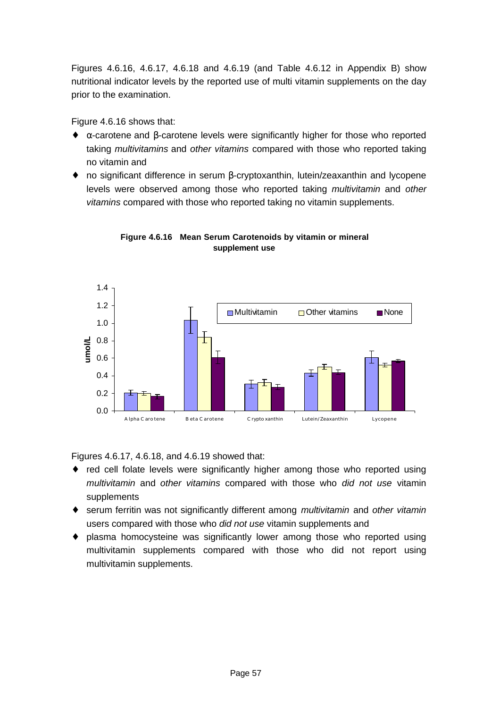Figures 4.6.16, 4.6.17, 4.6.18 and 4.6.19 (and Table 4.6.12 in Appendix B) show nutritional indicator levels by the reported use of multi vitamin supplements on the day prior to the examination.

Figure 4.6.16 shows that:

- ♦ α-carotene and β-carotene levels were significantly higher for those who reported taking *multivitamins* and *other vitamins* compared with those who reported taking no vitamin and
- ♦ no significant difference in serum β-cryptoxanthin, lutein/zeaxanthin and lycopene levels were observed among those who reported taking *multivitamin* and *other vitamins* compared with those who reported taking no vitamin supplements.



**Figure 4.6.16 Mean Serum Carotenoids by vitamin or mineral supplement use**

Figures 4.6.17, 4.6.18, and 4.6.19 showed that:

- red cell folate levels were significantly higher among those who reported using *multivitamin* and *other vitamins* compared with those who *did not use* vitamin supplements
- ♦ serum ferritin was not significantly different among *multivitamin* and *other vitamin* users compared with those who *did not use* vitamin supplements and
- ♦ plasma homocysteine was significantly lower among those who reported using multivitamin supplements compared with those who did not report using multivitamin supplements.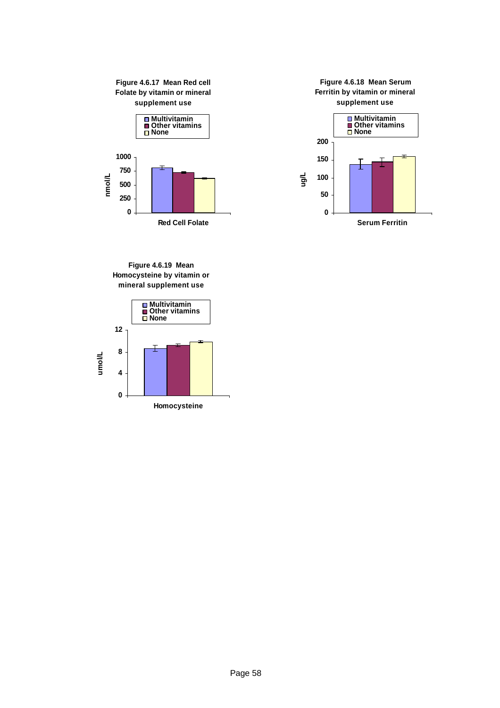





**Figure 4.6.19 Mean Homocysteine by vitamin or mineral supplement use**

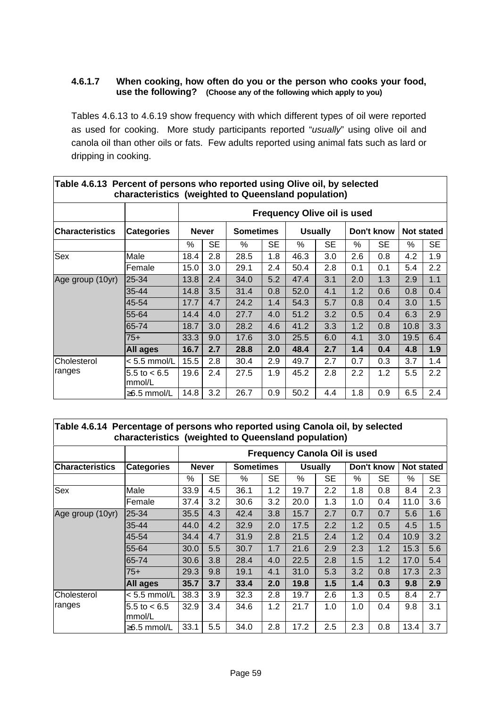#### **4.6.1.7 When cooking, how often do you or the person who cooks your food, use the following? (Choose any of the following which apply to you)**

Tables 4.6.13 to 4.6.19 show frequency with which different types of oil were reported as used for cooking. More study participants reported "*usually*" using olive oil and canola oil than other oils or fats. Few adults reported using animal fats such as lard or dripping in cooking.

|                        | characteristics (weighted to Queensland population) |                                    |              |                  |           |                |           |     |            |      |            |  |  |  |
|------------------------|-----------------------------------------------------|------------------------------------|--------------|------------------|-----------|----------------|-----------|-----|------------|------|------------|--|--|--|
|                        |                                                     | <b>Frequency Olive oil is used</b> |              |                  |           |                |           |     |            |      |            |  |  |  |
| <b>Characteristics</b> | <b>Categories</b>                                   |                                    | <b>Never</b> | <b>Sometimes</b> |           | <b>Usually</b> |           |     | Don't know |      | Not stated |  |  |  |
|                        |                                                     | $\%$                               | <b>SE</b>    | %                | <b>SE</b> | %              | <b>SE</b> | %   | <b>SE</b>  | ℅    | <b>SE</b>  |  |  |  |
| Sex                    | Male                                                | 18.4                               | 2.8          | 28.5             | 1.8       | 46.3           | 3.0       | 2.6 | 0.8        | 4.2  | 1.9        |  |  |  |
|                        | Female                                              | 15.0                               | 3.0          | 29.1             | 2.4       | 50.4           | 2.8       | 0.1 | 0.1        | 5.4  | 2.2        |  |  |  |
| Age group (10yr)       | 25-34                                               | 13.8                               | 2.4          | 34.0             | 5.2       | 47.4           | 3.1       | 2.0 | 1.3        | 2.9  | 1.1        |  |  |  |
|                        | $35 - 44$                                           | 14.8                               | 3.5          | 31.4             | 0.8       | 52.0           | 4.1       | 1.2 | 0.6        | 0.8  | 0.4        |  |  |  |
|                        | 45-54                                               | 17.7                               | 4.7          | 24.2             | 1.4       | 54.3           | 5.7       | 0.8 | 0.4        | 3.0  | 1.5        |  |  |  |
|                        | 55-64                                               | 14.4                               | 4.0          | 27.7             | 4.0       | 51.2           | 3.2       | 0.5 | 0.4        | 6.3  | 2.9        |  |  |  |
|                        | 65-74                                               | 18.7                               | 3.0          | 28.2             | 4.6       | 41.2           | 3.3       | 1.2 | 0.8        | 10.8 | 3.3        |  |  |  |
|                        | $75+$                                               | 33.3                               | 9.0          | 17.6             | 3.0       | 25.5           | 6.0       | 4.1 | 3.0        | 19.5 | 6.4        |  |  |  |
|                        | All ages                                            | 16.7                               | 2.7          | 28.8             | 2.0       | 48.4           | 2.7       | 1.4 | 0.4        | 4.8  | 1.9        |  |  |  |
| Cholesterol            | $< 5.5$ mmol/L                                      | 15.5                               | 2.8          | 30.4             | 2.9       | 49.7           | 2.7       | 0.7 | 0.3        | 3.7  | 1.4        |  |  |  |
| ranges                 | 5.5 to $< 6.5$<br>mmol/L                            | 19.6                               | 2.4          | 27.5             | 1.9       | 45.2           | 2.8       | 2.2 | 1.2        | 5.5  | 2.2        |  |  |  |
|                        | ≥6.5 mmol/L                                         | 14.8                               | 3.2          | 26.7             | 0.9       | 50.2           | 4.4       | 1.8 | 0.9        | 6.5  | 2.4        |  |  |  |

#### **Table 4.6.13 Percent of persons who reported using Olive oil, by selected characteristics (weighted to Queensland population)**

**Table 4.6.14 Percentage of persons who reported using Canola oil, by selected characteristics (weighted to Queensland population)**

|                        |                          | <b>Frequency Canola Oil is used</b> |              |                  |           |      |                |     |            |                   |           |  |  |  |
|------------------------|--------------------------|-------------------------------------|--------------|------------------|-----------|------|----------------|-----|------------|-------------------|-----------|--|--|--|
| <b>Characteristics</b> | <b>Categories</b>        |                                     | <b>Never</b> | <b>Sometimes</b> |           |      | <b>Usually</b> |     | Don't know | <b>Not stated</b> |           |  |  |  |
|                        |                          | %                                   | <b>SE</b>    | %                | <b>SE</b> | %    | <b>SE</b>      | %   | <b>SE</b>  | %                 | <b>SE</b> |  |  |  |
| <b>Sex</b>             | Male                     | 33.9                                | 4.5          | 36.1             | 1.2       | 19.7 | 2.2            | 1.8 | 0.8        | 8.4               | 2.3       |  |  |  |
|                        | Female                   | 37.4                                | 3.2          | 30.6             | 3.2       | 20.0 | 1.3            | 1.0 | 0.4        | 11.0              | 3.6       |  |  |  |
| Age group (10yr)       | 25-34                    | 35.5                                | 4.3          | 42.4             | 3.8       | 15.7 | 2.7            | 0.7 | 0.7        | 5.6               | 1.6       |  |  |  |
|                        | 35-44                    | 44.0                                | 4.2          | 32.9             | 2.0       | 17.5 | 2.2            | 1.2 | 0.5        | 4.5               | 1.5       |  |  |  |
|                        | 45-54                    | 34.4                                | 4.7          | 31.9             | 2.8       | 21.5 | 2.4            | 1.2 | 0.4        | 10.9              | 3.2       |  |  |  |
|                        | 55-64                    | 30.0                                | 5.5          | 30.7             | 1.7       | 21.6 | 2.9            | 2.3 | 1.2        | 15.3              | 5.6       |  |  |  |
|                        | 65-74                    | 30.6                                | 3.8          | 28.4             | 4.0       | 22.5 | 2.8            | 1.5 | 1.2        | 17.0              | 5.4       |  |  |  |
|                        | $75+$                    | 29.3                                | 9.8          | 19.1             | 4.1       | 31.0 | 5.3            | 3.2 | 0.8        | 17.3              | 2.3       |  |  |  |
|                        | <b>All ages</b>          | 35.7                                | 3.7          | 33.4             | 2.0       | 19.8 | 1.5            | 1.4 | 0.3        | 9.8               | 2.9       |  |  |  |
| Cholesterol            | $< 5.5$ mmol/L           | 38.3                                | 3.9          | 32.3             | 2.8       | 19.7 | 2.6            | 1.3 | 0.5        | 8.4               | 2.7       |  |  |  |
| ranges                 | 5.5 to $< 6.5$<br>mmol/L | 32.9                                | 3.4          | 34.6             | 1.2       | 21.7 | 1.0            | 1.0 | 0.4        | 9.8               | 3.1       |  |  |  |
|                        | $\geq$ 6.5 mmol/L        | 33.1                                | 5.5          | 34.0             | 2.8       | 17.2 | 2.5            | 2.3 | 0.8        | 13.4              | 3.7       |  |  |  |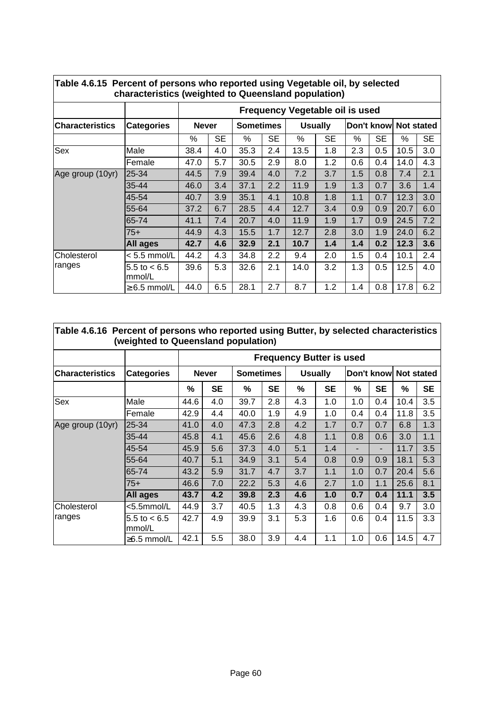|                        | characteristics (weighted to Queensland population) |                                 |           |                  |           |                |           |                       |           |      |           |  |  |  |
|------------------------|-----------------------------------------------------|---------------------------------|-----------|------------------|-----------|----------------|-----------|-----------------------|-----------|------|-----------|--|--|--|
|                        |                                                     | Frequency Vegetable oil is used |           |                  |           |                |           |                       |           |      |           |  |  |  |
| <b>Characteristics</b> | <b>Categories</b>                                   | <b>Never</b>                    |           | <b>Sometimes</b> |           | <b>Usually</b> |           | Don't know Not stated |           |      |           |  |  |  |
|                        |                                                     | ℅                               | <b>SE</b> | %                | <b>SE</b> | %              | <b>SE</b> | %                     | <b>SE</b> | %    | <b>SE</b> |  |  |  |
| Sex                    | Male                                                | 38.4                            | 4.0       | 35.3             | 2.4       | 13.5           | 1.8       | 2.3                   | 0.5       | 10.5 | 3.0       |  |  |  |
|                        | Female                                              | 47.0                            | 5.7       | 30.5             | 2.9       | 8.0            | 1.2       | 0.6                   | 0.4       | 14.0 | 4.3       |  |  |  |
| Age group (10yr)       | 25-34                                               | 44.5                            | 7.9       | 39.4             | 4.0       | 7.2            | 3.7       | 1.5                   | 0.8       | 7.4  | 2.1       |  |  |  |
|                        | $35 - 44$                                           | 46.0                            | 3.4       | 37.1             | 2.2       | 11.9           | 1.9       | 1.3                   | 0.7       | 3.6  | 1.4       |  |  |  |
|                        | 45-54                                               | 40.7                            | 3.9       | 35.1             | 4.1       | 10.8           | 1.8       | 1.1                   | 0.7       | 12.3 | 3.0       |  |  |  |
|                        | 55-64                                               | 37.2                            | 6.7       | 28.5             | 4.4       | 12.7           | 3.4       | 0.9                   | 0.9       | 20.7 | 6.0       |  |  |  |
|                        | 65-74                                               | 41.1                            | 7.4       | 20.7             | 4.0       | 11.9           | 1.9       | 1.7                   | 0.9       | 24.5 | 7.2       |  |  |  |
|                        | $75+$                                               | 44.9                            | 4.3       | 15.5             | 1.7       | 12.7           | 2.8       | 3.0                   | 1.9       | 24.0 | 6.2       |  |  |  |
|                        | <b>All ages</b>                                     | 42.7                            | 4.6       | 32.9             | 2.1       | 10.7           | 1.4       | 1.4                   | 0.2       | 12.3 | 3.6       |  |  |  |
| Cholesterol            | $< 5.5$ mmol/L                                      | 44.2                            | 4.3       | 34.8             | 2.2       | 9.4            | 2.0       | 1.5                   | 0.4       | 10.1 | 2.4       |  |  |  |
| ranges                 | 5.5 to $< 6.5$<br>mmol/L                            | 39.6                            | 5.3       | 32.6             | 2.1       | 14.0           | 3.2       | 1.3                   | 0.5       | 12.5 | 4.0       |  |  |  |
|                        | $\geq 6.5$ mmol/L                                   | 44.0                            | 6.5       | 28.1             | 2.7       | 8.7            | 1.2       | 1.4                   | 0.8       | 17.8 | 6.2       |  |  |  |

| Table 4.6.15 Percent of persons who reported using Vegetable oil, by selected |
|-------------------------------------------------------------------------------|
| characteristics (weighted to Queensland population)                           |

| Table 4.6.16 Percent of persons who reported using Butter, by selected characteristics | (weighted to Queensland population) |                                 |              |                  |           |      |                |            |           |                   |           |  |  |  |  |
|----------------------------------------------------------------------------------------|-------------------------------------|---------------------------------|--------------|------------------|-----------|------|----------------|------------|-----------|-------------------|-----------|--|--|--|--|
|                                                                                        |                                     | <b>Frequency Butter is used</b> |              |                  |           |      |                |            |           |                   |           |  |  |  |  |
| <b>ICharacteristics</b>                                                                | <b>Categories</b>                   |                                 | <b>Never</b> | <b>Sometimes</b> |           |      | <b>Usually</b> | Don't know |           | <b>Not stated</b> |           |  |  |  |  |
|                                                                                        |                                     | %                               | <b>SE</b>    | %                | <b>SE</b> | $\%$ | <b>SE</b>      | %          | <b>SE</b> | $\%$              | <b>SE</b> |  |  |  |  |
| Sex                                                                                    | Male                                | 44.6                            | 4.0          | 39.7             | 2.8       | 4.3  | 1.0            | 1.0        | 0.4       | 10.4              | 3.5       |  |  |  |  |
|                                                                                        | lFemale                             | 42.9                            | 4.4          | 40.0             | 1.9       | 4.9  | 1.0            | 0.4        | 0.4       | 11.8              | 3.5       |  |  |  |  |
| Age group (10yr)                                                                       | 25-34                               | 41.0                            | 4.0          | 47.3             | 2.8       | 4.2  | 1.7            | 0.7        | 0.7       | 6.8               | 1.3       |  |  |  |  |
|                                                                                        | $35 - 44$                           | 45.8                            | 4.1          | 45.6             | 2.6       | 4.8  | 1.1            | 0.8        | 0.6       | 3.0               | 1.1       |  |  |  |  |
|                                                                                        | 45-54                               | 45.9                            | 5.6          | 37.3             | 4.0       | 5.1  | 1.4            |            | -         | 11.7              | 3.5       |  |  |  |  |
|                                                                                        | 55-64                               | 40.7                            | 5.1          | 34.9             | 3.1       | 5.4  | 0.8            | 0.9        | 0.9       | 18.1              | 5.3       |  |  |  |  |
|                                                                                        | 65-74                               | 43.2                            | 5.9          | 31.7             | 4.7       | 3.7  | 1.1            | 1.0        | 0.7       | 20.4              | 5.6       |  |  |  |  |
|                                                                                        | $75+$                               | 46.6                            | 7.0          | 22.2             | 5.3       | 4.6  | 2.7            | 1.0        | 1.1       | 25.6              | 8.1       |  |  |  |  |
|                                                                                        | All ages                            | 43.7                            | 4.2          | 39.8             | 2.3       | 4.6  | 1.0            | 0.7        | 0.4       | 11.1              | 3.5       |  |  |  |  |
| Cholesterol                                                                            | <5.5mmol/L                          | 44.9                            | 3.7          | 40.5             | 1.3       | 4.3  | 0.8            | 0.6        | 0.4       | 9.7               | 3.0       |  |  |  |  |
| ranges                                                                                 | 5.5 to $< 6.5$<br>mmol/L            | 42.7                            | 4.9          | 39.9             | 3.1       | 5.3  | 1.6            | 0.6        | 0.4       | 11.5              | 3.3       |  |  |  |  |
|                                                                                        | $\geq 6.5$ mmol/L                   | 42.1                            | 5.5          | 38.0             | 3.9       | 4.4  | 1.1            | 1.0        | 0.6       | 14.5              | 4.7       |  |  |  |  |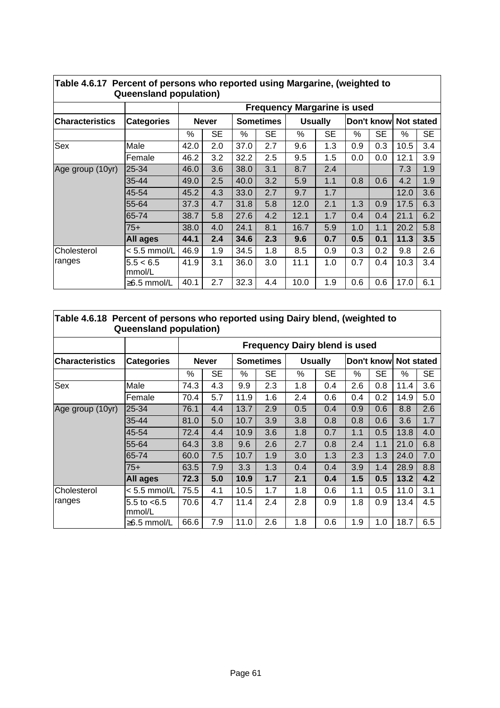|                        | <b>Queensland population)</b> |                                    |              |      |                  |      |                |     |                       |      |           |  |  |  |
|------------------------|-------------------------------|------------------------------------|--------------|------|------------------|------|----------------|-----|-----------------------|------|-----------|--|--|--|
|                        |                               | <b>Frequency Margarine is used</b> |              |      |                  |      |                |     |                       |      |           |  |  |  |
| <b>Characteristics</b> | <b>Categories</b>             |                                    | <b>Never</b> |      | <b>Sometimes</b> |      | <b>Usually</b> |     | Don't know Not stated |      |           |  |  |  |
|                        |                               | %                                  | <b>SE</b>    | %    | <b>SE</b>        | $\%$ | <b>SE</b>      | %   | <b>SE</b>             | %    | <b>SE</b> |  |  |  |
| Sex                    | Male                          | 42.0                               | 2.0          | 37.0 | 2.7              | 9.6  | 1.3            | 0.9 | 0.3                   | 10.5 | 3.4       |  |  |  |
|                        | Female                        | 46.2                               | 3.2          | 32.2 | 2.5              | 9.5  | 1.5            | 0.0 | 0.0                   | 12.1 | 3.9       |  |  |  |
| Age group (10yr)       | 25-34                         | 46.0                               | 3.6          | 38.0 | 3.1              | 8.7  | 2.4            |     |                       | 7.3  | 1.9       |  |  |  |
|                        | 35-44                         | 49.0                               | 2.5          | 40.0 | 3.2              | 5.9  | 1.1            | 0.8 | 0.6                   | 4.2  | 1.9       |  |  |  |
|                        | 45-54                         | 45.2                               | 4.3          | 33.0 | 2.7              | 9.7  | 1.7            |     |                       | 12.0 | 3.6       |  |  |  |
|                        | 55-64                         | 37.3                               | 4.7          | 31.8 | 5.8              | 12.0 | 2.1            | 1.3 | 0.9                   | 17.5 | 6.3       |  |  |  |
|                        | 65-74                         | 38.7                               | 5.8          | 27.6 | 4.2              | 12.1 | 1.7            | 0.4 | 0.4                   | 21.1 | 6.2       |  |  |  |
|                        | $75+$                         | 38.0                               | 4.0          | 24.1 | 8.1              | 16.7 | 5.9            | 1.0 | 1.1                   | 20.2 | 5.8       |  |  |  |
|                        | <b>All ages</b>               | 44.1                               | 2.4          | 34.6 | 2.3              | 9.6  | 0.7            | 0.5 | 0.1                   | 11.3 | 3.5       |  |  |  |
| Cholesterol            | $< 5.5$ mmol/L                | 46.9                               | 1.9          | 34.5 | 1.8              | 8.5  | 0.9            | 0.3 | 0.2                   | 9.8  | 2.6       |  |  |  |
| ranges                 | 5.5 < 6.5<br>mmol/L           | 41.9                               | 3.1          | 36.0 | 3.0              | 11.1 | 1.0            | 0.7 | 0.4                   | 10.3 | 3.4       |  |  |  |
|                        | $\geq$ 6.5 mmol/L             | 40.1                               | 2.7          | 32.3 | 4.4              | 10.0 | 1.9            | 0.6 | 0.6                   | 17.0 | 6.1       |  |  |  |

## **Table 4.6.17 Percent of persons who reported using Margarine, (weighted to**

#### **Table 4.6.18 Percent of persons who reported using Dairy blend, (weighted to Queensland population)**

|                        |                          |      |              |      | <b>Frequency Dairy blend is used</b> |     |                |     |                       |      |           |
|------------------------|--------------------------|------|--------------|------|--------------------------------------|-----|----------------|-----|-----------------------|------|-----------|
| <b>Characteristics</b> | <b>Categories</b>        |      | <b>Never</b> |      | <b>Sometimes</b>                     |     | <b>Usually</b> |     | Don't know Not stated |      |           |
|                        |                          | ℅    | <b>SE</b>    | %    | <b>SE</b>                            | %   | <b>SE</b>      | %   | <b>SE</b>             | %    | <b>SE</b> |
| Sex                    | Male                     | 74.3 | 4.3          | 9.9  | 2.3                                  | 1.8 | 0.4            | 2.6 | 0.8                   | 11.4 | 3.6       |
|                        | Female                   | 70.4 | 5.7          | 11.9 | 1.6                                  | 2.4 | 0.6            | 0.4 | 0.2                   | 14.9 | 5.0       |
| Age group (10yr)       | 25-34                    | 76.1 | 4.4          | 13.7 | 2.9                                  | 0.5 | 0.4            | 0.9 | 0.6                   | 8.8  | 2.6       |
|                        | $35 - 44$                | 81.0 | 5.0          | 10.7 | 3.9                                  | 3.8 | 0.8            | 0.8 | 0.6                   | 3.6  | 1.7       |
|                        | 45-54                    | 72.4 | 4.4          | 10.9 | 3.6                                  | 1.8 | 0.7            | 1.1 | 0.5                   | 13.8 | 4.0       |
|                        | 55-64                    | 64.3 | 3.8          | 9.6  | 2.6                                  | 2.7 | 0.8            | 2.4 | 1.1                   | 21.0 | 6.8       |
|                        | 65-74                    | 60.0 | 7.5          | 10.7 | 1.9                                  | 3.0 | 1.3            | 2.3 | 1.3                   | 24.0 | 7.0       |
|                        | $75+$                    | 63.5 | 7.9          | 3.3  | 1.3                                  | 0.4 | 0.4            | 3.9 | 1.4                   | 28.9 | 8.8       |
|                        | <b>All ages</b>          | 72.3 | 5.0          | 10.9 | 1.7                                  | 2.1 | 0.4            | 1.5 | 0.5                   | 13.2 | 4.2       |
| Cholesterol            | $< 5.5$ mmol/L           | 75.5 | 4.1          | 10.5 | 1.7                                  | 1.8 | 0.6            | 1.1 | 0.5                   | 11.0 | 3.1       |
| ranges                 | 5.5 to $< 6.5$<br>mmol/L | 70.6 | 4.7          | 11.4 | 2.4                                  | 2.8 | 0.9            | 1.8 | 0.9                   | 13.4 | 4.5       |
|                        | $\geq$ 6.5 mmol/L        | 66.6 | 7.9          | 11.0 | 2.6                                  | 1.8 | 0.6            | 1.9 | 1.0                   | 18.7 | 6.5       |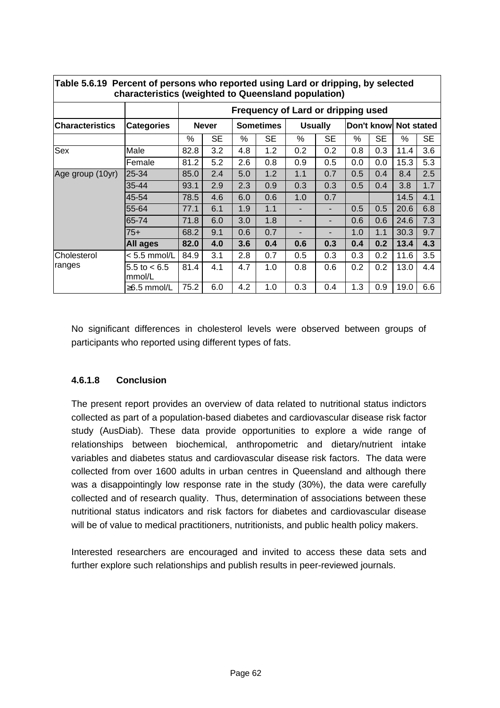| characteristics (weighted to Queensland population) |                          |                                    |     |                  |     |                |     |                       |           |      |     |
|-----------------------------------------------------|--------------------------|------------------------------------|-----|------------------|-----|----------------|-----|-----------------------|-----------|------|-----|
|                                                     | <b>Categories</b>        | Frequency of Lard or dripping used |     |                  |     |                |     |                       |           |      |     |
| <b>ICharacteristics</b>                             |                          | <b>Never</b>                       |     | <b>Sometimes</b> |     | <b>Usually</b> |     | Don't know Not stated |           |      |     |
|                                                     |                          | ℅                                  | SE  | %                | SE  | ℅              | SE  | %                     | <b>SE</b> | %    | SE. |
| Sex                                                 | Male                     | 82.8                               | 3.2 | 4.8              | 1.2 | 0.2            | 0.2 | 0.8                   | 0.3       | 11.4 | 3.6 |
|                                                     | Female                   | 81.2                               | 5.2 | 2.6              | 0.8 | 0.9            | 0.5 | 0.0                   | 0.0       | 15.3 | 5.3 |
| Age group (10yr)                                    | 25-34                    | 85.0                               | 2.4 | 5.0              | 1.2 | 1.1            | 0.7 | 0.5                   | 0.4       | 8.4  | 2.5 |
|                                                     | 35-44                    | 93.1                               | 2.9 | 2.3              | 0.9 | 0.3            | 0.3 | 0.5                   | 0.4       | 3.8  | 1.7 |
|                                                     | 45-54                    | 78.5                               | 4.6 | 6.0              | 0.6 | 1.0            | 0.7 |                       |           | 14.5 | 4.1 |
|                                                     | 55-64                    | 77.1                               | 6.1 | 1.9              | 1.1 |                | ٠   | 0.5                   | 0.5       | 20.6 | 6.8 |
|                                                     | 65-74                    | 71.8                               | 6.0 | 3.0              | 1.8 | ۰              | ٠   | 0.6                   | 0.6       | 24.6 | 7.3 |
|                                                     | $75+$                    | 68.2                               | 9.1 | 0.6              | 0.7 |                | ۰   | 1.0                   | 1.1       | 30.3 | 9.7 |
|                                                     | <b>All ages</b>          | 82.0                               | 4.0 | 3.6              | 0.4 | 0.6            | 0.3 | 0.4                   | 0.2       | 13.4 | 4.3 |
| Cholesterol<br>ranges                               | $< 5.5$ mmol/L           | 84.9                               | 3.1 | 2.8              | 0.7 | 0.5            | 0.3 | 0.3                   | 0.2       | 11.6 | 3.5 |
|                                                     | 5.5 to $< 6.5$<br>mmol/L | 81.4                               | 4.1 | 4.7              | 1.0 | 0.8            | 0.6 | 0.2                   | 0.2       | 13.0 | 4.4 |
|                                                     | $\geq$ 6.5 mmol/L        | 75.2                               | 6.0 | 4.2              | 1.0 | 0.3            | 0.4 | 1.3                   | 0.9       | 19.0 | 6.6 |

**Table 5.6.19 Percent of persons who reported using Lard or dripping, by selected**

No significant differences in cholesterol levels were observed between groups of participants who reported using different types of fats.

#### **4.6.1.8 Conclusion**

The present report provides an overview of data related to nutritional status indictors collected as part of a population-based diabetes and cardiovascular disease risk factor study (AusDiab). These data provide opportunities to explore a wide range of relationships between biochemical, anthropometric and dietary/nutrient intake variables and diabetes status and cardiovascular disease risk factors. The data were collected from over 1600 adults in urban centres in Queensland and although there was a disappointingly low response rate in the study (30%), the data were carefully collected and of research quality. Thus, determination of associations between these nutritional status indicators and risk factors for diabetes and cardiovascular disease will be of value to medical practitioners, nutritionists, and public health policy makers.

Interested researchers are encouraged and invited to access these data sets and further explore such relationships and publish results in peer-reviewed journals.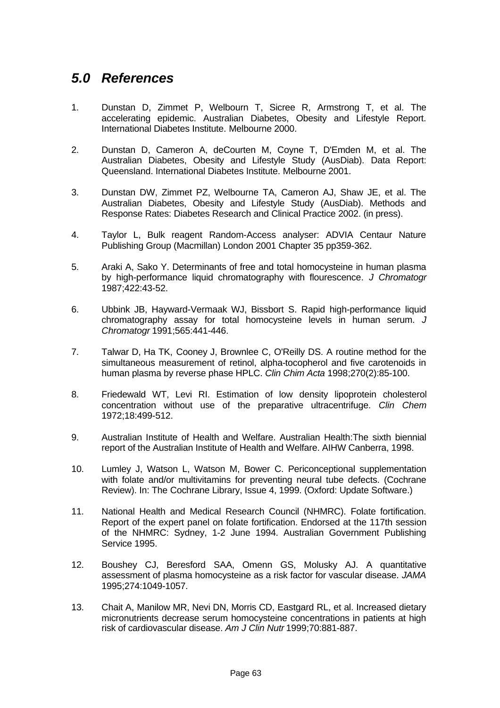## *5.0 References*

- 1. Dunstan D, Zimmet P, Welbourn T, Sicree R, Armstrong T, et al. The accelerating epidemic. Australian Diabetes, Obesity and Lifestyle Report. International Diabetes Institute. Melbourne 2000.
- 2. Dunstan D, Cameron A, deCourten M, Coyne T, D'Emden M, et al. The Australian Diabetes, Obesity and Lifestyle Study (AusDiab). Data Report: Queensland. International Diabetes Institute. Melbourne 2001.
- 3. Dunstan DW, Zimmet PZ, Welbourne TA, Cameron AJ, Shaw JE, et al. The Australian Diabetes, Obesity and Lifestyle Study (AusDiab). Methods and Response Rates: Diabetes Research and Clinical Practice 2002. (in press).
- 4. Taylor L, Bulk reagent Random-Access analyser: ADVIA Centaur Nature Publishing Group (Macmillan) London 2001 Chapter 35 pp359-362.
- 5. Araki A, Sako Y. Determinants of free and total homocysteine in human plasma by high-performance liquid chromatography with flourescence. *J Chromatogr* 1987;422:43-52.
- 6. Ubbink JB, Hayward-Vermaak WJ, Bissbort S. Rapid high-performance liquid chromatography assay for total homocysteine levels in human serum. *J Chromatogr* 1991;565:441-446.
- 7. Talwar D, Ha TK, Cooney J, Brownlee C, O'Reilly DS. A routine method for the simultaneous measurement of retinol, alpha-tocopherol and five carotenoids in human plasma by reverse phase HPLC. *Clin Chim Acta* 1998;270(2):85-100.
- 8. Friedewald WT, Levi RI. Estimation of low density lipoprotein cholesterol concentration without use of the preparative ultracentrifuge. *Clin Chem* 1972;18:499-512.
- 9. Australian Institute of Health and Welfare. Australian Health:The sixth biennial report of the Australian Institute of Health and Welfare. AIHW Canberra, 1998.
- 10. Lumley J, Watson L, Watson M, Bower C. Periconceptional supplementation with folate and/or multivitamins for preventing neural tube defects. (Cochrane Review). In: The Cochrane Library, Issue 4, 1999. (Oxford: Update Software.)
- 11. National Health and Medical Research Council (NHMRC). Folate fortification. Report of the expert panel on folate fortification. Endorsed at the 117th session of the NHMRC: Sydney, 1-2 June 1994. Australian Government Publishing Service 1995.
- 12. Boushey CJ, Beresford SAA, Omenn GS, Molusky AJ. A quantitative assessment of plasma homocysteine as a risk factor for vascular disease. *JAMA* 1995;274:1049-1057.
- 13. Chait A, Manilow MR, Nevi DN, Morris CD, Eastgard RL, et al. Increased dietary micronutrients decrease serum homocysteine concentrations in patients at high risk of cardiovascular disease. *Am J Clin Nutr* 1999;70:881-887.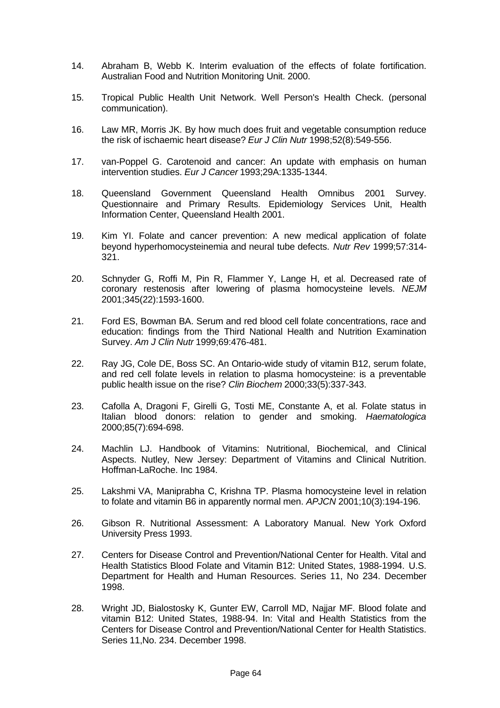- 14. Abraham B, Webb K. Interim evaluation of the effects of folate fortification. Australian Food and Nutrition Monitoring Unit. 2000.
- 15. Tropical Public Health Unit Network. Well Person's Health Check. (personal communication).
- 16. Law MR, Morris JK. By how much does fruit and vegetable consumption reduce the risk of ischaemic heart disease? *Eur J Clin Nutr* 1998;52(8):549-556.
- 17. van-Poppel G. Carotenoid and cancer: An update with emphasis on human intervention studies. *Eur J Cancer* 1993;29A:1335-1344.
- 18. Queensland Government Queensland Health Omnibus 2001 Survey. Questionnaire and Primary Results. Epidemiology Services Unit, Health Information Center, Queensland Health 2001.
- 19. Kim YI. Folate and cancer prevention: A new medical application of folate beyond hyperhomocysteinemia and neural tube defects. *Nutr Rev* 1999;57:314- 321.
- 20. Schnyder G, Roffi M, Pin R, Flammer Y, Lange H, et al. Decreased rate of coronary restenosis after lowering of plasma homocysteine levels. *NEJM* 2001;345(22):1593-1600.
- 21. Ford ES, Bowman BA. Serum and red blood cell folate concentrations, race and education: findings from the Third National Health and Nutrition Examination Survey. *Am J Clin Nutr* 1999;69:476-481.
- 22. Ray JG, Cole DE, Boss SC. An Ontario-wide study of vitamin B12, serum folate, and red cell folate levels in relation to plasma homocysteine: is a preventable public health issue on the rise? *Clin Biochem* 2000;33(5):337-343.
- 23. Cafolla A, Dragoni F, Girelli G, Tosti ME, Constante A, et al. Folate status in Italian blood donors: relation to gender and smoking. *Haematologica* 2000;85(7):694-698.
- 24. Machlin LJ. Handbook of Vitamins: Nutritional, Biochemical, and Clinical Aspects. Nutley, New Jersey: Department of Vitamins and Clinical Nutrition. Hoffman-LaRoche. Inc 1984.
- 25. Lakshmi VA, Maniprabha C, Krishna TP. Plasma homocysteine level in relation to folate and vitamin B6 in apparently normal men. *APJCN* 2001;10(3):194-196.
- 26. Gibson R. Nutritional Assessment: A Laboratory Manual. New York Oxford University Press 1993.
- 27. Centers for Disease Control and Prevention/National Center for Health. Vital and Health Statistics Blood Folate and Vitamin B12: United States, 1988-1994. U.S. Department for Health and Human Resources. Series 11, No 234. December 1998.
- 28. Wright JD, Bialostosky K, Gunter EW, Carroll MD, Najjar MF. Blood folate and vitamin B12: United States, 1988-94. In: Vital and Health Statistics from the Centers for Disease Control and Prevention/National Center for Health Statistics. Series 11,No. 234. December 1998.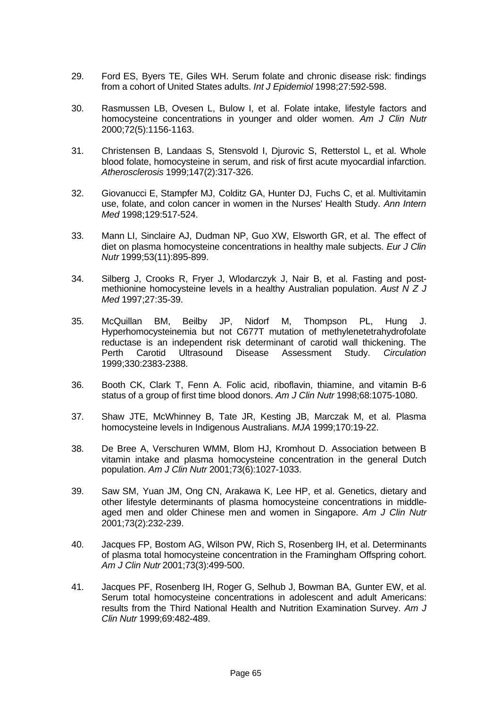- 29. Ford ES, Byers TE, Giles WH. Serum folate and chronic disease risk: findings from a cohort of United States adults. *Int J Epidemiol* 1998;27:592-598.
- 30. Rasmussen LB, Ovesen L, Bulow I, et al. Folate intake, lifestyle factors and homocysteine concentrations in younger and older women. *Am J Clin Nutr* 2000;72(5):1156-1163.
- 31. Christensen B, Landaas S, Stensvold I, Djurovic S, Retterstol L, et al. Whole blood folate, homocysteine in serum, and risk of first acute myocardial infarction. *Atherosclerosis* 1999;147(2):317-326.
- 32. Giovanucci E, Stampfer MJ, Colditz GA, Hunter DJ, Fuchs C, et al. Multivitamin use, folate, and colon cancer in women in the Nurses' Health Study. *Ann Intern Med* 1998;129:517-524.
- 33. Mann LI, Sinclaire AJ, Dudman NP, Guo XW, Elsworth GR, et al. The effect of diet on plasma homocysteine concentrations in healthy male subjects. *Eur J Clin Nutr* 1999;53(11):895-899.
- 34. Silberg J, Crooks R, Fryer J, Wlodarczyk J, Nair B, et al. Fasting and postmethionine homocysteine levels in a healthy Australian population. *Aust N Z J Med* 1997;27:35-39.
- 35. McQuillan BM, Beilby JP, Nidorf M, Thompson PL, Hung J. Hyperhomocysteinemia but not C677T mutation of methylenetetrahydrofolate reductase is an independent risk determinant of carotid wall thickening. The Perth Carotid Ultrasound Disease Assessment Study. *Circulation* 1999;330:2383-2388.
- 36. Booth CK, Clark T, Fenn A. Folic acid, riboflavin, thiamine, and vitamin B-6 status of a group of first time blood donors. *Am J Clin Nutr* 1998;68:1075-1080.
- 37. Shaw JTE, McWhinney B, Tate JR, Kesting JB, Marczak M, et al. Plasma homocysteine levels in Indigenous Australians. *MJA* 1999;170:19-22.
- 38. De Bree A, Verschuren WMM, Blom HJ, Kromhout D. Association between B vitamin intake and plasma homocysteine concentration in the general Dutch population. *Am J Clin Nutr* 2001;73(6):1027-1033.
- 39. Saw SM, Yuan JM, Ong CN, Arakawa K, Lee HP, et al. Genetics, dietary and other lifestyle determinants of plasma homocysteine concentrations in middleaged men and older Chinese men and women in Singapore. *Am J Clin Nutr* 2001;73(2):232-239.
- 40. Jacques FP, Bostom AG, Wilson PW, Rich S, Rosenberg IH, et al. Determinants of plasma total homocysteine concentration in the Framingham Offspring cohort. *Am J Clin Nutr* 2001;73(3):499-500.
- 41. Jacques PF, Rosenberg IH, Roger G, Selhub J, Bowman BA, Gunter EW, et al. Serum total homocysteine concentrations in adolescent and adult Americans: results from the Third National Health and Nutrition Examination Survey. *Am J Clin Nutr* 1999;69:482-489.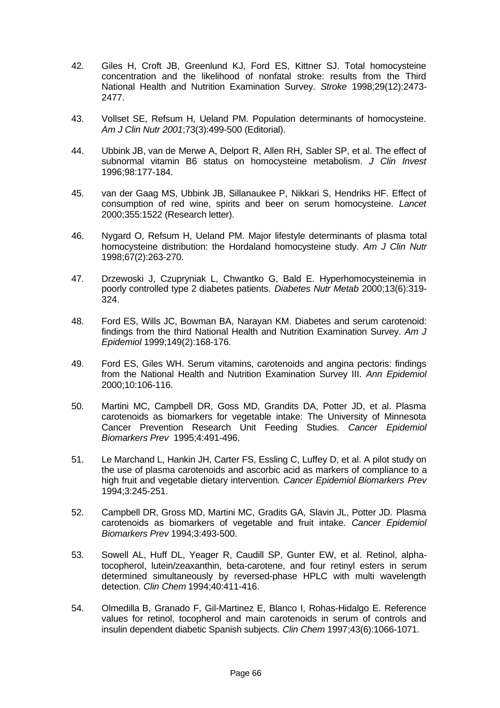- 42. Giles H, Croft JB, Greenlund KJ, Ford ES, Kittner SJ. Total homocysteine concentration and the likelihood of nonfatal stroke: results from the Third National Health and Nutrition Examination Survey. *Stroke* 1998;29(12):2473- 2477.
- 43. Vollset SE, Refsum H, Ueland PM. Population determinants of homocysteine. *Am J Clin Nutr 2001*;73(3):499-500 (Editorial).
- 44. Ubbink JB, van de Merwe A, Delport R, Allen RH, Sabler SP, et al. The effect of subnormal vitamin B6 status on homocysteine metabolism. *J Clin Invest* 1996;98:177-184.
- 45. van der Gaag MS, Ubbink JB, Sillanaukee P, Nikkari S, Hendriks HF. Effect of consumption of red wine, spirits and beer on serum homocysteine. *Lancet* 2000;355:1522 (Research letter).
- 46. Nygard O, Refsum H, Ueland PM. Major lifestyle determinants of plasma total homocysteine distribution: the Hordaland homocysteine study. *Am J Clin Nutr* 1998;67(2):263-270.
- 47. Drzewoski J, Czupryniak L, Chwantko G, Bald E. Hyperhomocysteinemia in poorly controlled type 2 diabetes patients. *Diabetes Nutr Metab* 2000;13(6):319- 324.
- 48. Ford ES, Wills JC, Bowman BA, Narayan KM. Diabetes and serum carotenoid: findings from the third National Health and Nutrition Examination Survey. *Am J Epidemiol* 1999;149(2):168-176.
- 49. Ford ES, Giles WH. Serum vitamins, carotenoids and angina pectoris: findings from the National Health and Nutrition Examination Survey III. *Ann Epidemiol* 2000;10:106-116.
- 50. Martini MC, Campbell DR, Goss MD, Grandits DA, Potter JD, et al. Plasma carotenoids as biomarkers for vegetable intake: The University of Minnesota Cancer Prevention Research Unit Feeding Studies. *Cancer Epidemiol Biomarkers Prev* 1995;4:491-496.
- 51. Le Marchand L, Hankin JH, Carter FS, Essling C, Luffey D, et al. A pilot study on the use of plasma carotenoids and ascorbic acid as markers of compliance to a high fruit and vegetable dietary intervention*. Cancer Epidemiol Biomarkers Prev* 1994;3:245-251.
- 52. Campbell DR, Gross MD, Martini MC, Gradits GA, Slavin JL, Potter JD. Plasma carotenoids as biomarkers of vegetable and fruit intake. *Cancer Epidemiol Biomarkers Prev* 1994;3:493-500.
- 53. Sowell AL, Huff DL, Yeager R, Caudill SP, Gunter EW, et al. Retinol, alphatocopherol, lutein/zeaxanthin, beta-carotene, and four retinyl esters in serum determined simultaneously by reversed-phase HPLC with multi wavelength detection. *Clin Chem* 1994;40:411-416.
- 54. Olmedilla B, Granado F, Gil-Martinez E, Blanco I, Rohas-Hidalgo E. Reference values for retinol, tocopherol and main carotenoids in serum of controls and insulin dependent diabetic Spanish subjects. *Clin Chem* 1997;43(6):1066-1071.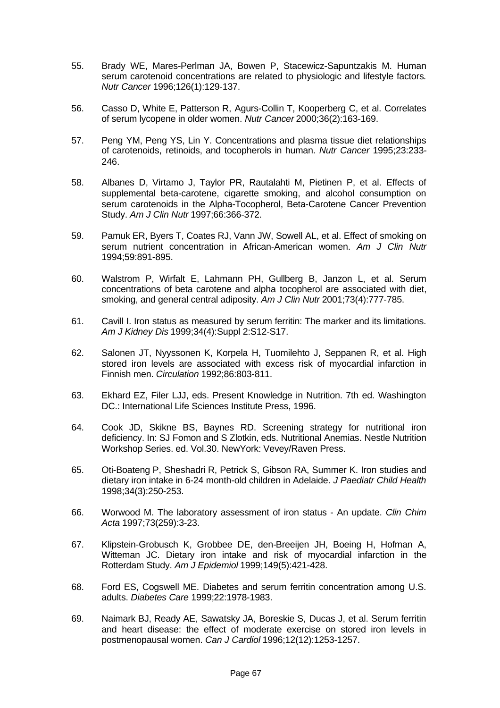- 55. Brady WE, Mares-Perlman JA, Bowen P, Stacewicz-Sapuntzakis M. Human serum carotenoid concentrations are related to physiologic and lifestyle factors*. Nutr Cancer* 1996;126(1):129-137.
- 56. Casso D, White E, Patterson R, Agurs-Collin T, Kooperberg C, et al. Correlates of serum lycopene in older women. *Nutr Cancer* 2000;36(2):163-169.
- 57. Peng YM, Peng YS, Lin Y. Concentrations and plasma tissue diet relationships of carotenoids, retinoids, and tocopherols in human. *Nutr Cancer* 1995;23:233- 246.
- 58. Albanes D, Virtamo J, Taylor PR, Rautalahti M, Pietinen P, et al. Effects of supplemental beta-carotene, cigarette smoking, and alcohol consumption on serum carotenoids in the Alpha-Tocopherol, Beta-Carotene Cancer Prevention Study. *Am J Clin Nutr* 1997;66:366-372.
- 59. Pamuk ER, Byers T, Coates RJ, Vann JW, Sowell AL, et al. Effect of smoking on serum nutrient concentration in African-American women. *Am J Clin Nutr* 1994;59:891-895.
- 60. Walstrom P, Wirfalt E, Lahmann PH, Gullberg B, Janzon L, et al. Serum concentrations of beta carotene and alpha tocopherol are associated with diet, smoking, and general central adiposity. *Am J Clin Nutr* 2001;73(4):777-785.
- 61. Cavill I. Iron status as measured by serum ferritin: The marker and its limitations. *Am J Kidney Dis* 1999;34(4):Suppl 2:S12-S17.
- 62. Salonen JT, Nyyssonen K, Korpela H, Tuomilehto J, Seppanen R, et al. High stored iron levels are associated with excess risk of myocardial infarction in Finnish men. *Circulation* 1992;86:803-811.
- 63. Ekhard EZ, Filer LJJ, eds. Present Knowledge in Nutrition. 7th ed. Washington DC.: International Life Sciences Institute Press, 1996.
- 64. Cook JD, Skikne BS, Baynes RD. Screening strategy for nutritional iron deficiency. In: SJ Fomon and S Zlotkin, eds. Nutritional Anemias. Nestle Nutrition Workshop Series. ed. Vol.30. NewYork: Vevey/Raven Press.
- 65. Oti-Boateng P, Sheshadri R, Petrick S, Gibson RA, Summer K. Iron studies and dietary iron intake in 6-24 month-old children in Adelaide. *J Paediatr Child Health* 1998;34(3):250-253.
- 66. Worwood M. The laboratory assessment of iron status An update. *Clin Chim Acta* 1997;73(259):3-23.
- 67. Klipstein-Grobusch K, Grobbee DE, den-Breeijen JH, Boeing H, Hofman A, Witteman JC. Dietary iron intake and risk of myocardial infarction in the Rotterdam Study. *Am J Epidemiol* 1999;149(5):421-428.
- 68. Ford ES, Cogswell ME. Diabetes and serum ferritin concentration among U.S. adults. *Diabetes Care* 1999;22:1978-1983.
- 69. Naimark BJ, Ready AE, Sawatsky JA, Boreskie S, Ducas J, et al. Serum ferritin and heart disease: the effect of moderate exercise on stored iron levels in postmenopausal women. *Can J Cardiol* 1996;12(12):1253-1257.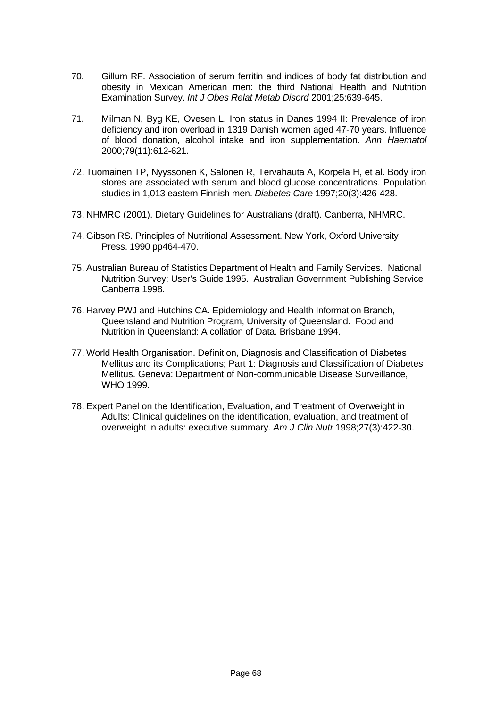- 70. Gillum RF. Association of serum ferritin and indices of body fat distribution and obesity in Mexican American men: the third National Health and Nutrition Examination Survey. *Int J Obes Relat Metab Disord* 2001;25:639-645.
- 71. Milman N, Byg KE, Ovesen L. Iron status in Danes 1994 II: Prevalence of iron deficiency and iron overload in 1319 Danish women aged 47-70 years. Influence of blood donation, alcohol intake and iron supplementation. *Ann Haematol* 2000;79(11):612-621.
- 72. Tuomainen TP, Nyyssonen K, Salonen R, Tervahauta A, Korpela H, et al. Body iron stores are associated with serum and blood glucose concentrations. Population studies in 1,013 eastern Finnish men. *Diabetes Care* 1997;20(3):426-428.
- 73. NHMRC (2001). Dietary Guidelines for Australians (draft). Canberra, NHMRC.
- 74. Gibson RS. Principles of Nutritional Assessment. New York, Oxford University Press. 1990 pp464-470.
- 75. Australian Bureau of Statistics Department of Health and Family Services. National Nutrition Survey: User's Guide 1995. Australian Government Publishing Service Canberra 1998.
- 76. Harvey PWJ and Hutchins CA. Epidemiology and Health Information Branch, Queensland and Nutrition Program, University of Queensland. Food and Nutrition in Queensland: A collation of Data. Brisbane 1994.
- 77. World Health Organisation. Definition, Diagnosis and Classification of Diabetes Mellitus and its Complications; Part 1: Diagnosis and Classification of Diabetes Mellitus. Geneva: Department of Non-communicable Disease Surveillance, WHO 1999.
- 78. Expert Panel on the Identification, Evaluation, and Treatment of Overweight in Adults: Clinical guidelines on the identification, evaluation, and treatment of overweight in adults: executive summary. *Am J Clin Nutr* 1998;27(3):422-30.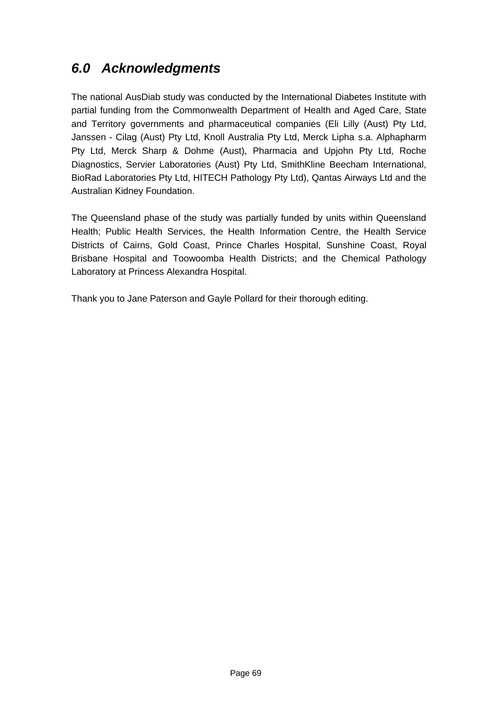## *6.0 Acknowledgments*

The national AusDiab study was conducted by the International Diabetes Institute with partial funding from the Commonwealth Department of Health and Aged Care, State and Territory governments and pharmaceutical companies (Eli Lilly (Aust) Pty Ltd, Janssen - Cilag (Aust) Pty Ltd, Knoll Australia Pty Ltd, Merck Lipha s.a. Alphapharm Pty Ltd, Merck Sharp & Dohme (Aust), Pharmacia and Upjohn Pty Ltd, Roche Diagnostics, Servier Laboratories (Aust) Pty Ltd, SmithKline Beecham International, BioRad Laboratories Pty Ltd, HITECH Pathology Pty Ltd), Qantas Airways Ltd and the Australian Kidney Foundation.

The Queensland phase of the study was partially funded by units within Queensland Health; Public Health Services, the Health Information Centre, the Health Service Districts of Cairns, Gold Coast, Prince Charles Hospital, Sunshine Coast, Royal Brisbane Hospital and Toowoomba Health Districts; and the Chemical Pathology Laboratory at Princess Alexandra Hospital.

Thank you to Jane Paterson and Gayle Pollard for their thorough editing.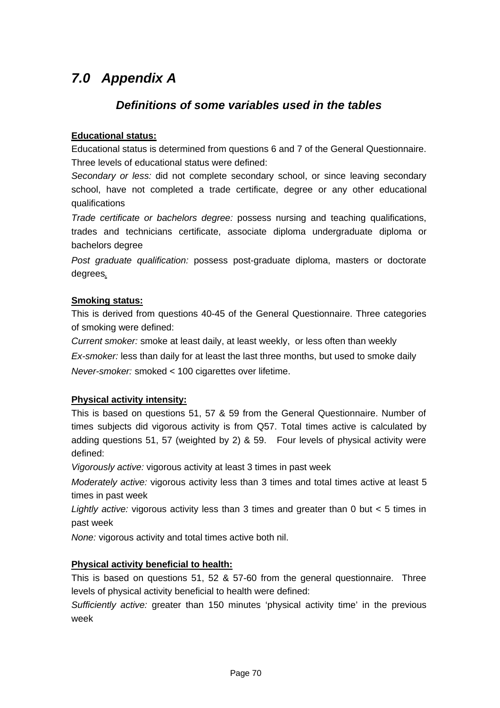## *7.0 Appendix A*

### *Definitions of some variables used in the tables*

#### **Educational status:**

Educational status is determined from questions 6 and 7 of the General Questionnaire. Three levels of educational status were defined:

*Secondary or less:* did not complete secondary school, or since leaving secondary school, have not completed a trade certificate, degree or any other educational qualifications

*Trade certificate or bachelors degree:* possess nursing and teaching qualifications, trades and technicians certificate, associate diploma undergraduate diploma or bachelors degree

*Post graduate qualification:* possess post-graduate diploma, masters or doctorate degrees*.*

#### **Smoking status:**

This is derived from questions 40-45 of the General Questionnaire. Three categories of smoking were defined:

*Current smoker:* smoke at least daily, at least weekly, or less often than weekly

*Ex-smoker:* less than daily for at least the last three months, but used to smoke daily *Never-smoker:* smoked < 100 cigarettes over lifetime.

#### **Physical activity intensity:**

This is based on questions 51, 57 & 59 from the General Questionnaire. Number of times subjects did vigorous activity is from Q57. Total times active is calculated by adding questions 51, 57 (weighted by 2) & 59. Four levels of physical activity were defined:

*Vigorously active:* vigorous activity at least 3 times in past week

*Moderately active:* vigorous activity less than 3 times and total times active at least 5 times in past week

*Lightly active:* vigorous activity less than 3 times and greater than 0 but < 5 times in past week

*None:* vigorous activity and total times active both nil.

#### **Physical activity beneficial to health:**

This is based on questions 51, 52 & 57-60 from the general questionnaire. Three levels of physical activity beneficial to health were defined:

*Sufficiently active:* greater than 150 minutes 'physical activity time' in the previous week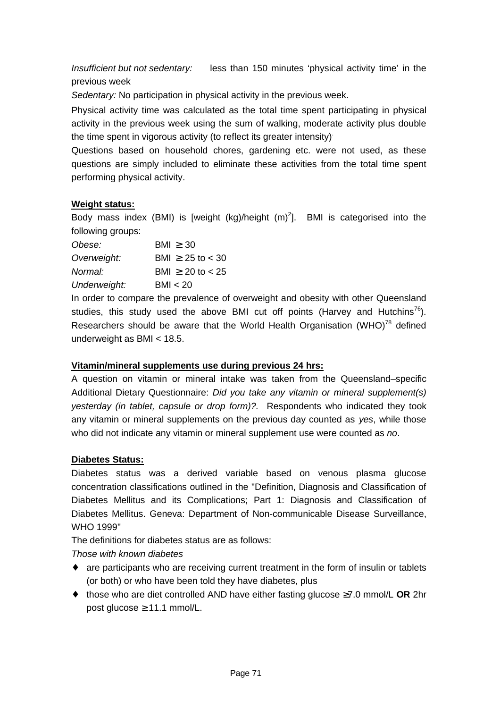*Insufficient but not sedentary:* less than 150 minutes 'physical activity time' in the previous week

*Sedentary:* No participation in physical activity in the previous week.

Physical activity time was calculated as the total time spent participating in physical activity in the previous week using the sum of walking, moderate activity plus double the time spent in vigorous activity (to reflect its greater intensity).

Questions based on household chores, gardening etc. were not used, as these questions are simply included to eliminate these activities from the total time spent performing physical activity.

#### **Weight status:**

Body mass index (BMI) is [weight (kg)/height  $(m)^2$ ]. BMI is categorised into the following groups:

| Obese:       | BM > 30                 |
|--------------|-------------------------|
| Overweight:  | BMI $> 25$ to $< 30$    |
| Normal:      | BMI $\geq 20$ to $< 25$ |
| Underweight: | BMI < 20                |

In order to compare the prevalence of overweight and obesity with other Queensland studies, this study used the above BMI cut off points (Harvey and Hutchins<sup>76</sup>). Researchers should be aware that the World Health Organisation (WHO) $^{78}$  defined underweight as BMI < 18.5.

#### **Vitamin/mineral supplements use during previous 24 hrs:**

A question on vitamin or mineral intake was taken from the Queensland–specific Additional Dietary Questionnaire: *Did you take any vitamin or mineral supplement(s) yesterday (in tablet, capsule or drop form)?.* Respondents who indicated they took any vitamin or mineral supplements on the previous day counted as *yes*, while those who did not indicate any vitamin or mineral supplement use were counted as *no*.

#### **Diabetes Status:**

Diabetes status was a derived variable based on venous plasma glucose concentration classifications outlined in the "Definition, Diagnosis and Classification of Diabetes Mellitus and its Complications; Part 1: Diagnosis and Classification of Diabetes Mellitus. Geneva: Department of Non-communicable Disease Surveillance, WHO 1999"

The definitions for diabetes status are as follows:

*Those with known diabetes*

- are participants who are receiving current treatment in the form of insulin or tablets (or both) or who have been told they have diabetes, plus
- ♦ those who are diet controlled AND have either fasting glucose ≥7.0 mmol/L **OR** 2hr post glucose  $\geq 11.1$  mmol/L.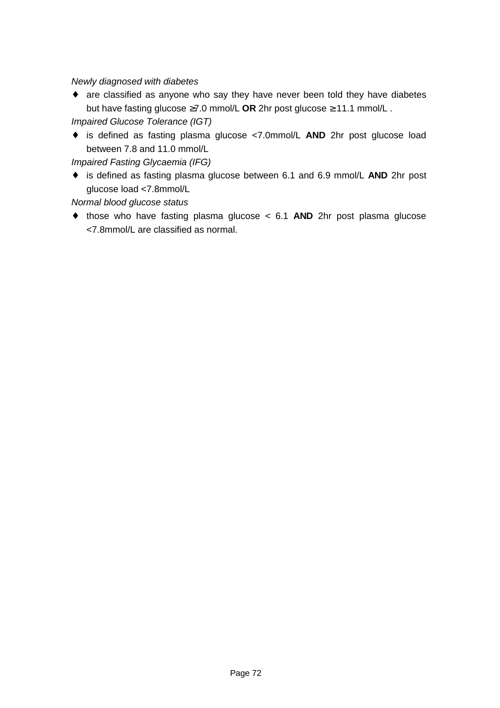*Newly diagnosed with diabetes*

♦ are classified as anyone who say they have never been told they have diabetes but have fasting glucose ≥7.0 mmol/L **OR** 2hr post glucose ≥ 11.1 mmol/L .

*Impaired Glucose Tolerance (IGT)*

♦ is defined as fasting plasma glucose <7.0mmol/L **AND** 2hr post glucose load between 7.8 and 11.0 mmol/L

*Impaired Fasting Glycaemia (IFG)*

♦ is defined as fasting plasma glucose between 6.1 and 6.9 mmol/L **AND** 2hr post glucose load <7.8mmol/L

*Normal blood glucose status*

♦ those who have fasting plasma glucose < 6.1 **AND** 2hr post plasma glucose <7.8mmol/L are classified as normal.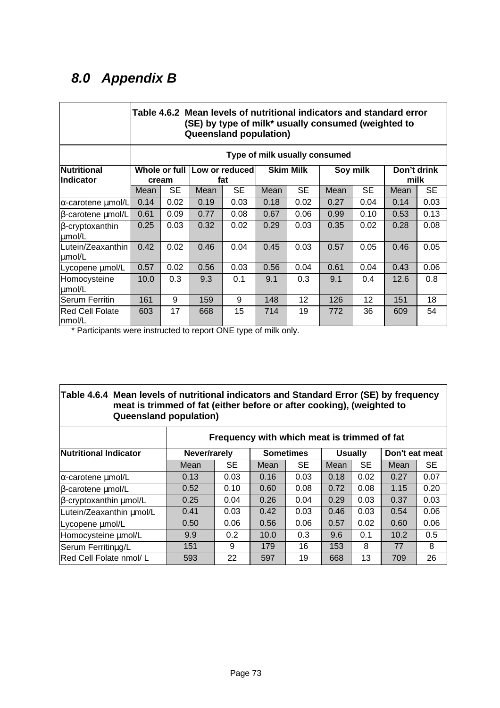## *8.0 Appendix B*

|                                  |       | Table 4.6.2 Mean levels of nutritional indicators and standard error<br>(SE) by type of milk* usually consumed (weighted to<br><b>Queensland population)</b> |                                     |           |                  |           |          |           |                     |           |  |  |
|----------------------------------|-------|--------------------------------------------------------------------------------------------------------------------------------------------------------------|-------------------------------------|-----------|------------------|-----------|----------|-----------|---------------------|-----------|--|--|
|                                  |       | Type of milk usually consumed                                                                                                                                |                                     |           |                  |           |          |           |                     |           |  |  |
| Nutritional<br>lIndicator        | cream |                                                                                                                                                              | Whole or full Low or reduced<br>fat |           | <b>Skim Milk</b> |           | Soy milk |           | Don't drink<br>milk |           |  |  |
|                                  | Mean  | <b>SE</b>                                                                                                                                                    | Mean                                | <b>SE</b> | Mean             | <b>SE</b> | Mean     | <b>SE</b> | Mean                | <b>SE</b> |  |  |
| $\alpha$ -carotene umol/L        | 0.14  | 0.02                                                                                                                                                         | 0.19                                | 0.03      | 0.18             | 0.02      | 0.27     | 0.04      | 0.14                | 0.03      |  |  |
| $\beta$ -carotene $\mu$ mol/L    | 0.61  | 0.09                                                                                                                                                         | 0.77                                | 0.08      | 0.67             | 0.06      | 0.99     | 0.10      | 0.53                | 0.13      |  |  |
| $\beta$ -cryptoxanthin<br>µmol/L | 0.25  | 0.03                                                                                                                                                         | 0.32                                | 0.02      | 0.29             | 0.03      | 0.35     | 0.02      | 0.28                | 0.08      |  |  |
| Lutein/Zeaxanthin<br>umol/L      | 0.42  | 0.02                                                                                                                                                         | 0.46                                | 0.04      | 0.45             | 0.03      | 0.57     | 0.05      | 0.46                | 0.05      |  |  |
| Lycopene umol/L                  | 0.57  | 0.02                                                                                                                                                         | 0.56                                | 0.03      | 0.56             | 0.04      | 0.61     | 0.04      | 0.43                | 0.06      |  |  |
| Homocysteine<br>umol/L           | 10.0  | 0.3                                                                                                                                                          | 9.3                                 | 0.1       | 9.1              | 0.3       | 9.1      | 0.4       | 12.6                | 0.8       |  |  |
| <b>Serum Ferritin</b>            | 161   | 9                                                                                                                                                            | 159                                 | 9         | 148              | 12        | 126      | 12        | 151                 | 18        |  |  |
| Red Cell Folate<br>Inmol/L       | 603   | 17                                                                                                                                                           | 668                                 | 15        | 714              | 19        | 772      | 36        | 609                 | 54        |  |  |

\* Participants were instructed to report ONE type of milk only.

#### **Table 4.6.4 Mean levels of nutritional indicators and Standard Error (SE) by frequency meat is trimmed of fat (either before or after cooking), (weighted to Queensland population)**

|                                | Frequency with which meat is trimmed of fat |           |      |                  |      |                |                |           |  |  |
|--------------------------------|---------------------------------------------|-----------|------|------------------|------|----------------|----------------|-----------|--|--|
| Nutritional Indicator          | Never/rarely                                |           |      | <b>Sometimes</b> |      | <b>Usually</b> | Don't eat meat |           |  |  |
|                                | Mean                                        | <b>SE</b> | Mean | <b>SE</b>        | Mean | <b>SE</b>      | Mean           | <b>SE</b> |  |  |
| $\alpha$ -carotene $\mu$ mol/L | 0.13                                        | 0.03      | 0.16 | 0.03             | 0.18 | 0.02           | 0.27           | 0.07      |  |  |
| β-carotene μmol/L              | 0.52                                        | 0.10      | 0.60 | 0.08             | 0.72 | 0.08           | 1.15           | 0.20      |  |  |
| β-cryptoxanthin μmol/L         | 0.25                                        | 0.04      | 0.26 | 0.04             | 0.29 | 0.03           | 0.37           | 0.03      |  |  |
| Lutein/Zeaxanthin µmol/L       | 0.41                                        | 0.03      | 0.42 | 0.03             | 0.46 | 0.03           | 0.54           | 0.06      |  |  |
| Lycopene umol/L                | 0.50                                        | 0.06      | 0.56 | 0.06             | 0.57 | 0.02           | 0.60           | 0.06      |  |  |
| Homocysteine µmol/L            | 9.9                                         | 0.2       | 10.0 | 0.3              | 9.6  | 0.1            | 10.2           | 0.5       |  |  |
| Serum Ferritinug/L             | 151                                         | 9         | 179  | 16               | 153  | 8              | 77             | 8         |  |  |
| Red Cell Folate nmol/L         | 593                                         | 22        | 597  | 19               | 668  | 13             | 709            | 26        |  |  |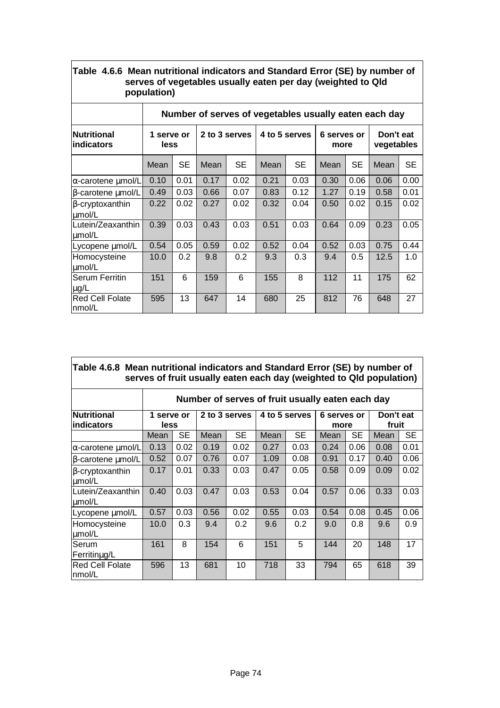| serves of vegetables usually eaten per day (weighted to Qld<br>population) |                                                       |           |               |      |               |      |                     |           |                         |           |  |  |
|----------------------------------------------------------------------------|-------------------------------------------------------|-----------|---------------|------|---------------|------|---------------------|-----------|-------------------------|-----------|--|--|
|                                                                            | Number of serves of vegetables usually eaten each day |           |               |      |               |      |                     |           |                         |           |  |  |
| <b>Nutritional</b><br><b>Indicators</b>                                    | 1 serve or<br>less                                    |           | 2 to 3 serves |      | 4 to 5 serves |      | 6 serves or<br>more |           | Don't eat<br>vegetables |           |  |  |
|                                                                            | Mean                                                  | <b>SE</b> | Mean          | SE   | Mean          | SE   | Mean                | <b>SE</b> | Mean                    | <b>SE</b> |  |  |
| $\alpha$ -carotene µmol/L                                                  | 0.10                                                  | 0.01      | 0.17          | 0.02 | 0.21          | 0.03 | 0.30                | 0.06      | 0.06                    | 0.00      |  |  |
| β-carotene μmol/L                                                          | 0.49                                                  | 0.03      | 0.66          | 0.07 | 0.83          | 0.12 | 1.27                | 0.19      | 0.58                    | 0.01      |  |  |
| $\beta$ -cryptoxanthin<br>umol/L                                           | 0.22                                                  | 0.02      | 0.27          | 0.02 | 0.32          | 0.04 | 0.50                | 0.02      | 0.15                    | 0.02      |  |  |
| Lutein/Zeaxanthin<br>umol/L                                                | 0.39                                                  | 0.03      | 0.43          | 0.03 | 0.51          | 0.03 | 0.64                | 0.09      | 0.23                    | 0.05      |  |  |
| Lycopene umol/L                                                            | 0.54                                                  | 0.05      | 0.59          | 0.02 | 0.52          | 0.04 | 0.52                | 0.03      | 0.75                    | 0.44      |  |  |
| Homocysteine<br>umol/L                                                     | 10.0                                                  | 0.2       | 9.8           | 0.2  | 9.3           | 0.3  | 9.4                 | 0.5       | 12.5                    | 1.0       |  |  |
| <b>Serum Ferritin</b><br>$\mu$ g/L                                         | 151                                                   | 6         | 159           | 6    | 155           | 8    | 112                 | 11        | 175                     | 62        |  |  |
| <b>Red Cell Folate</b><br>Inmol/L                                          | 595                                                   | 13        | 647           | 14   | 680           | 25   | 812                 | 76        | 648                     | 27        |  |  |

|  | Table 4.6.6 Mean nutritional indicators and Standard Error (SE) by number of |
|--|------------------------------------------------------------------------------|
|  | serves of vegetables usually eaten per day (weighted to Qld                  |
|  | population)                                                                  |

 $\mathbf{r}$ 

| Table 4.6.8 Mean nutritional indicators and Standard Error (SE) by number of<br>serves of fruit usually eaten each day (weighted to Qld population) |                                                  |           |               |           |               |           |                     |           |                    |           |  |
|-----------------------------------------------------------------------------------------------------------------------------------------------------|--------------------------------------------------|-----------|---------------|-----------|---------------|-----------|---------------------|-----------|--------------------|-----------|--|
|                                                                                                                                                     | Number of serves of fruit usually eaten each day |           |               |           |               |           |                     |           |                    |           |  |
| <b>Nutritional</b><br>indicators                                                                                                                    | 1 serve or<br>less                               |           | 2 to 3 serves |           | 4 to 5 serves |           | 6 serves or<br>more |           | Don't eat<br>fruit |           |  |
|                                                                                                                                                     | Mean                                             | <b>SE</b> | Mean          | <b>SE</b> | Mean          | <b>SE</b> | Mean                | <b>SE</b> | Mean               | <b>SE</b> |  |
| $\alpha$ -carotene $\mu$ mol/L                                                                                                                      | 0.13                                             | 0.02      | 0.19          | 0.02      | 0.27          | 0.03      | 0.24                | 0.06      | 0.08               | 0.01      |  |
| $\beta$ -carotene $\mu$ mol/L                                                                                                                       | 0.52                                             | 0.07      | 0.76          | 0.07      | 1.09          | 0.08      | 0.91                | 0.17      | 0.40               | 0.06      |  |
| $\beta$ -cryptoxanthin<br>umol/L                                                                                                                    | 0.17                                             | 0.01      | 0.33          | 0.03      | 0.47          | 0.05      | 0.58                | 0.09      | 0.09               | 0.02      |  |
| Lutein/Zeaxanthin<br>umol/L                                                                                                                         | 0.40                                             | 0.03      | 0.47          | 0.03      | 0.53          | 0.04      | 0.57                | 0.06      | 0.33               | 0.03      |  |
| Lycopene umol/L                                                                                                                                     | 0.57                                             | 0.03      | 0.56          | 0.02      | 0.55          | 0.03      | 0.54                | 0.08      | 0.45               | 0.06      |  |
| Homocysteine<br>umol/L                                                                                                                              | 10.0                                             | 0.3       | 9.4           | 0.2       | 9.6           | 0.2       | 9.0                 | 0.8       | 9.6                | 0.9       |  |
| Serum<br>Ferritinug/L                                                                                                                               | 161                                              | 8         | 154           | 6         | 151           | 5         | 144                 | 20        | 148                | 17        |  |
| <b>Red Cell Folate</b><br> nmol/L                                                                                                                   | 596                                              | 13        | 681           | 10        | 718           | 33        | 794                 | 65        | 618                | 39        |  |